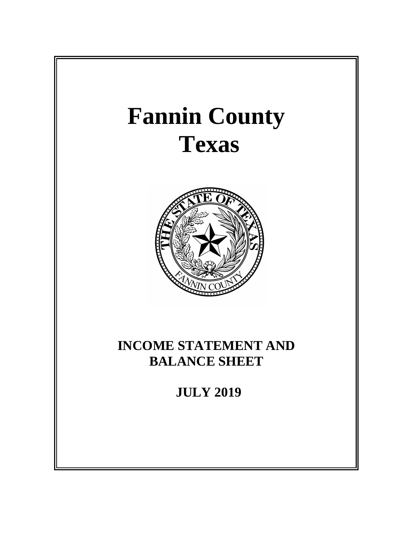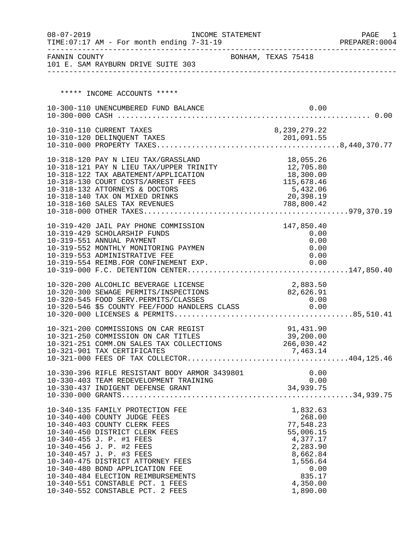| $08 - 07 - 2019$ | INCOME STATEMENT<br>TIME: 07:17 AM - For month ending 7-31-19                              |                     |              |                       |              | PAGE<br>- 1<br>PREPARER: 0004 |
|------------------|--------------------------------------------------------------------------------------------|---------------------|--------------|-----------------------|--------------|-------------------------------|
|                  | FANNIN COUNTY<br>101 E. SAM RAYBURN DRIVE SUITE 303                                        | BONHAM, TEXAS 75418 |              |                       |              |                               |
|                  |                                                                                            |                     |              |                       |              |                               |
|                  | ***** INCOME ACCOUNTS *****                                                                |                     |              |                       |              |                               |
|                  | 10-300-110 UNENCUMBERED FUND BALANCE                                                       |                     |              |                       | 0.00         |                               |
|                  |                                                                                            |                     |              |                       |              |                               |
|                  | 10-310-110 CURRENT TAXES<br>10-310-110 CURRENT TAXES<br>10-310-120 DELINQUENT TAXES        |                     | 8,239,279.22 |                       |              |                               |
|                  |                                                                                            |                     |              |                       |              |                               |
|                  |                                                                                            |                     |              |                       |              |                               |
|                  | 10-318-120 PAY N LIEU TAX/GRASSLAND                                                        |                     |              | 18,055.26             |              |                               |
|                  | 10-318-122 TAX ABATEMENT/APPLICATION                                                       |                     | 18,300.00    |                       |              |                               |
|                  | 10-318-130 COURT COSTS/ARREST FEES<br>10-318-132 ATTORNEYS & DOCTORS                       |                     |              | 115,678.46            |              |                               |
|                  | 10-318-140 TAX ON MIXED DRINKS                                                             |                     |              | 5,432.06<br>20,398.19 |              |                               |
|                  | 10-318-160 SALES TAX REVENUES                                                              |                     | 788,800.42   |                       |              |                               |
|                  |                                                                                            |                     |              |                       |              |                               |
|                  | 10-319-420 JAIL PAY PHONE COMMISSION<br>10-319-429 SCHOLARSHIP FUNDS                       |                     |              | 147,850.40<br>0.00    |              |                               |
|                  | 10-319-551 ANNUAL PAYMENT                                                                  |                     |              |                       | 0.00         |                               |
|                  | 10-319-552 MONTHLY MONITORING PAYMEN<br>10-319-553 ADMINISTRATIVE FEE                      |                     |              |                       | 0.00<br>0.00 |                               |
|                  |                                                                                            |                     |              |                       |              |                               |
|                  |                                                                                            |                     |              |                       |              |                               |
|                  | 10-320-200 ALCOHLIC BEVERAGE LICENSE                                                       |                     | 2,883.50     |                       |              |                               |
|                  | 10-320-300 SEWAGE PERMITS/INSPECTIONS                                                      |                     | 82,626.91    | 0.00                  |              |                               |
|                  | 10-320-545 FOOD SERV.PERMITS/CLASSES<br>10-320-546 \$5 COUNTY FEE/FOOD HANDLERS CLASS      |                     |              | 0.00                  |              |                               |
|                  |                                                                                            |                     |              |                       |              |                               |
|                  | 10-321-200 COMMISSIONS ON CAR REGIST                                                       |                     |              | 91,431.90             |              |                               |
|                  | 10-321-250 COMMISSION ON CAR TITLES<br>10-321-251 COMM.ON SALES TAX COLLECTIONS 266,030.42 | 39, 200.00          |              |                       |              |                               |
|                  |                                                                                            |                     |              |                       |              |                               |
|                  |                                                                                            |                     |              |                       |              |                               |
|                  |                                                                                            |                     |              |                       |              |                               |
|                  |                                                                                            |                     |              |                       |              |                               |
|                  |                                                                                            |                     |              |                       |              |                               |
|                  | 10-340-135 FAMILY PROTECTION FEE                                                           |                     |              | 1,832.63              |              |                               |
|                  | 10-340-400 COUNTY JUDGE FEES<br>10-340-403 COUNTY CLERK FEES                               |                     |              | 268.00<br>77,548.23   |              |                               |
|                  | 10-340-450 DISTRICT CLERK FEES                                                             |                     |              | 55,006.15             |              |                               |
|                  | 10-340-455 J. P. #1 FEES                                                                   |                     |              | 4,377.17              |              |                               |
|                  | 10-340-456 J. P. #2 FEES<br>10-340-457 J. P. #3 FEES                                       |                     |              | 2,283.90<br>8,662.84  |              |                               |
|                  | 10-340-475 DISTRICT ATTORNEY FEES                                                          |                     |              | 1,556.64              |              |                               |
|                  | 10-340-480 BOND APPLICATION FEE<br>10-340-484 ELECTION REIMBURSEMENTS                      |                     |              | 835.17                | 0.00         |                               |
|                  | 10-340-551 CONSTABLE PCT. 1 FEES                                                           |                     |              | 4,350.00              |              |                               |
|                  | 10-340-552 CONSTABLE PCT. 2 FEES                                                           |                     |              | 1,890.00              |              |                               |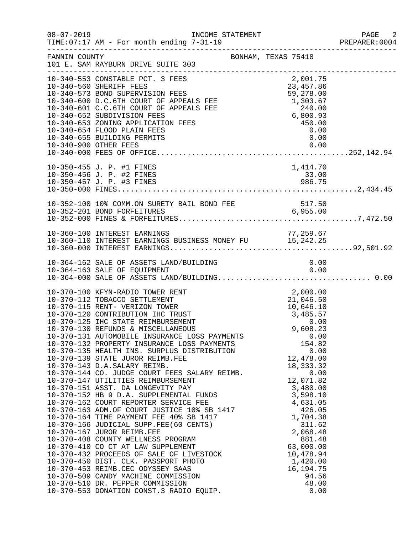| $08 - 07 - 2019$ | INCOME STATEMENT<br>TIME: 07:17 AM - For month ending 7-31-19                                                                                                                                                                                                                                                                                                                                                                                                                                                                                                                                                                                                                                                                                                                                                                                                                                                                                                                                                                                                                                                                                         |                                                                                                                                                                                                                                                                                                                                                | PAGE 2<br>PREPARER: 0004 |
|------------------|-------------------------------------------------------------------------------------------------------------------------------------------------------------------------------------------------------------------------------------------------------------------------------------------------------------------------------------------------------------------------------------------------------------------------------------------------------------------------------------------------------------------------------------------------------------------------------------------------------------------------------------------------------------------------------------------------------------------------------------------------------------------------------------------------------------------------------------------------------------------------------------------------------------------------------------------------------------------------------------------------------------------------------------------------------------------------------------------------------------------------------------------------------|------------------------------------------------------------------------------------------------------------------------------------------------------------------------------------------------------------------------------------------------------------------------------------------------------------------------------------------------|--------------------------|
| FANNIN COUNTY    | BONHAM, TEXAS 75418<br>101 E. SAM RAYBURN DRIVE SUITE 303                                                                                                                                                                                                                                                                                                                                                                                                                                                                                                                                                                                                                                                                                                                                                                                                                                                                                                                                                                                                                                                                                             |                                                                                                                                                                                                                                                                                                                                                |                          |
|                  | 10-340-553 CONSTABLE FOR APPEAR CONSTANT FIND 50 10-340-560 SHERIFF FEES<br>10-340-560 SHERIFF FEES<br>10-340-573 BOND SUPERVISION FEES<br>10-340-600 D.C.6TH COURT OF APPEALS FEE 1,303.67<br>10-340-601 C.C.6TH COURT OF APPEALS FEE<br>10-340-655 BUILDING PERMITS<br>10-340-900 OTHER FEES                                                                                                                                                                                                                                                                                                                                                                                                                                                                                                                                                                                                                                                                                                                                                                                                                                                        | 0.00<br>0.00                                                                                                                                                                                                                                                                                                                                   |                          |
|                  | 10-350-455 J. P. #1 FINES<br>10-350-456 J. P. #2 FINES<br>10-350-457 J. P. #3 FINES                                                                                                                                                                                                                                                                                                                                                                                                                                                                                                                                                                                                                                                                                                                                                                                                                                                                                                                                                                                                                                                                   | 1,414.70<br>33.00<br>986.75                                                                                                                                                                                                                                                                                                                    |                          |
|                  |                                                                                                                                                                                                                                                                                                                                                                                                                                                                                                                                                                                                                                                                                                                                                                                                                                                                                                                                                                                                                                                                                                                                                       |                                                                                                                                                                                                                                                                                                                                                |                          |
|                  | 10-360-110 INTEREST EARNINGS BUSINESS MONEY FU<br>10-360-000 INTEREST EARNINGS BUSINESS MONEY FU<br>15,242.25 IO-360-000 INTEREST EARNINGS                                                                                                                                                                                                                                                                                                                                                                                                                                                                                                                                                                                                                                                                                                                                                                                                                                                                                                                                                                                                            |                                                                                                                                                                                                                                                                                                                                                |                          |
|                  | 10-364-162 SALE OF ASSETS LAND/BUILDING                                                                                                                                                                                                                                                                                                                                                                                                                                                                                                                                                                                                                                                                                                                                                                                                                                                                                                                                                                                                                                                                                                               | 0.00                                                                                                                                                                                                                                                                                                                                           |                          |
|                  | 10-370-100 KFYN-RADIO TOWER RENT<br>10-370-112 TOBACCO SETTLEMENT<br>10-370-115 RENT- VERIZON TOWER<br>10-370-120 CONTRIBUTION IHC TRUST<br>10-370-125 IHC STATE REIMBURSEMENT<br>10-370-130 REFUNDS & MISCELLANEOUS<br>10-370-131 AUTOMOBILE INSURANCE LOSS PAYMENTS<br>10-370-132 PROPERTY INSURANCE LOSS PAYMENTS<br>10-370-135 HEALTH INS. SURPLUS DISTRIBUTION<br>10-370-139 STATE JUROR REIMB.FEE<br>10-370-143 D.A.SALARY REIMB.<br>10-370-144 CO. JUDGE COURT FEES SALARY REIMB.<br>10-370-147 UTILITIES REIMBURSEMENT<br>10-370-151 ASST. DA LONGEVITY PAY<br>10-370-152 HB 9 D.A. SUPPLEMENTAL FUNDS<br>10-370-162 COURT REPORTER SERVICE FEE<br>10-370-163 ADM.OF COURT JUSTICE 10% SB 1417<br>10-370-164 TIME PAYMENT FEE 40% SB 1417<br>10-370-166 JUDICIAL SUPP.FEE(60 CENTS)<br>10-370-167 JUROR REIMB.FEE<br>10-370-408 COUNTY WELLNESS PROGRAM<br>10-370-410 CO CT AT LAW SUPPLEMENT<br>10-370-432 PROCEEDS OF SALE OF LIVESTOCK<br>10-370-450 DIST. CLK. PASSPORT PHOTO<br>10-370-453 REIMB.CEC ODYSSEY SAAS<br>10-370-509 CANDY MACHINE COMMISSION<br>10-370-510 DR. PEPPER COMMISSION<br>10-370-553 DONATION CONST.3 RADIO EQUIP. | 2,000.00<br>$2,000.00$<br>$21,046.50$<br>$10,646.10$<br>$3,485.57$<br>$0.00$<br>$9,608.23$<br>0.00<br>154.82<br>0.00<br>12,478.00<br>18, 333. 32<br>0.00<br>12,071.82<br>3,480.00<br>3,598.10<br>4,631.05<br>426.05<br>1,704.38<br>311.62<br>2,068.48<br>881.48<br>63,000.00<br>10,478.94<br>1,420.00<br>16, 194. 75<br>94.56<br>48.00<br>0.00 |                          |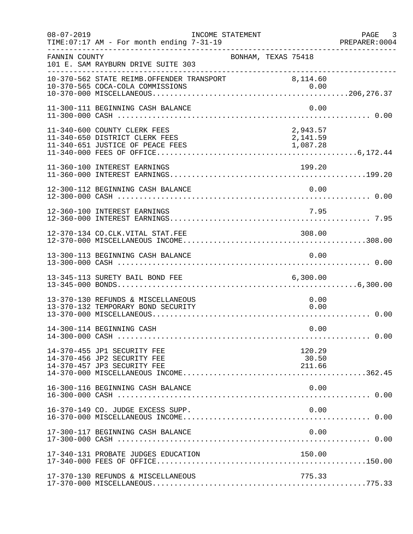| $08 - 07 - 2019$ | TIME: 07:17 AM - For month ending 7-31-19                                                          | INCOME STATEMENT    |                                  | PAGE<br>$\overline{\phantom{a}}$ 3<br>PREPARER: 0004 |
|------------------|----------------------------------------------------------------------------------------------------|---------------------|----------------------------------|------------------------------------------------------|
| FANNIN COUNTY    | 101 E. SAM RAYBURN DRIVE SUITE 303                                                                 | BONHAM, TEXAS 75418 |                                  |                                                      |
|                  | 10-370-562 STATE REIMB.OFFENDER TRANSPORT 8,114.60                                                 |                     |                                  |                                                      |
|                  | 11-300-111 BEGINNING CASH BALANCE                                                                  |                     | 0.00                             |                                                      |
|                  | 11-340-600 COUNTY CLERK FEES<br>11-340-650 DISTRICT CLERK FEES<br>11-340-651 JUSTICE OF PEACE FEES |                     | 2,943.57<br>2,141.59<br>1,087.28 |                                                      |
|                  | 11-360-100 INTEREST EARNINGS                                                                       |                     | 199.20                           |                                                      |
|                  | 12-300-112 BEGINNING CASH BALANCE                                                                  |                     | 0.00                             |                                                      |
|                  | 12-360-100 INTEREST EARNINGS                                                                       |                     | 7.95                             |                                                      |
|                  | 12-370-134 CO.CLK.VITAL STAT.FEE                                                                   |                     | 308.00                           |                                                      |
|                  | 13-300-113 BEGINNING CASH BALANCE                                                                  |                     | 0.00                             |                                                      |
|                  | 13-345-113 SURETY BAIL BOND FEE                                                                    |                     | 6,300.00                         |                                                      |
|                  | 13-370-130 REFUNDS & MISCELLANEOUS<br>13-370-132 TEMPORARY BOND SECURITY                           |                     | 0.00<br>0.00                     |                                                      |
|                  | 14-300-114 BEGINNING CASH                                                                          |                     | 0.00                             |                                                      |
|                  | 14-370-455 JP1 SECURITY FEE<br>14-370-456 JP2 SECURITY FEE<br>14-370-457 JP3 SECURITY FEE          |                     | 120.29<br>30.50<br>211.66        |                                                      |
|                  | 16-300-116 BEGINNING CASH BALANCE                                                                  |                     | 0.00                             |                                                      |
|                  | 16-370-149 CO. JUDGE EXCESS SUPP.                                                                  |                     | 0.00                             |                                                      |
|                  | 17-300-117 BEGINNING CASH BALANCE                                                                  |                     | 0.00                             |                                                      |
|                  | 17-340-131 PROBATE JUDGES EDUCATION                                                                |                     | 150.00                           |                                                      |
|                  | 17-370-130 REFUNDS & MISCELLANEOUS                                                                 |                     | 775.33                           |                                                      |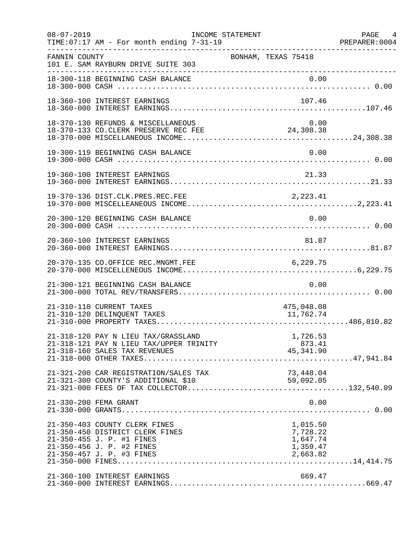| $08 - 07 - 2019$ | TIME: 07:17 AM - For month ending 7-31-19                                                                                                               | INCOME STATEMENT |                                                          | PAGE 4 |
|------------------|---------------------------------------------------------------------------------------------------------------------------------------------------------|------------------|----------------------------------------------------------|--------|
| FANNIN COUNTY    | 101 E. SAM RAYBURN DRIVE SUITE 303                                                                                                                      |                  | BONHAM, TEXAS 75418                                      |        |
|                  | 18-300-118 BEGINNING CASH BALANCE                                                                                                                       |                  |                                                          |        |
|                  | 18-360-100 INTEREST EARNINGS                                                                                                                            |                  | 107.46                                                   |        |
|                  | 18-370-130 REFUNDS & MISCELLANEOUS<br>18-370-133 CO.CLERK PRESERVE REC FEE 24,308.38                                                                    |                  | 0.00                                                     |        |
|                  | 19-300-119 BEGINNING CASH BALANCE                                                                                                                       |                  | 0.00                                                     |        |
|                  | 19-360-100 INTEREST EARNINGS                                                                                                                            |                  | 21.33                                                    |        |
|                  |                                                                                                                                                         |                  |                                                          |        |
|                  | 20-300-120 BEGINNING CASH BALANCE                                                                                                                       |                  | 0.00                                                     |        |
|                  | 20-360-100 INTEREST EARNINGS                                                                                                                            |                  | 81.87                                                    |        |
|                  | 20-370-135 CO.OFFICE REC.MNGMT.FEE                                                                                                                      |                  | 6, 229.75                                                |        |
|                  | 21-300-121 BEGINNING CASH BALANCE                                                                                                                       |                  | 0.00                                                     |        |
|                  | 21-310-110 CURRENT TAXES<br>21-310-120 DELINQUENT TAXES                                                                                                 |                  | 475,048.08<br>11,762.74                                  |        |
|                  | 21-318-120 PAY N LIEU TAX/GRASSLAND<br>21-318-121 PAY N LIEU TAX/UPPER TRINITY<br>21-318-160 SALES TAX REVENUES                                         |                  | 1,726.53<br>873.41<br>$873.41$<br>45,341.90              |        |
|                  | 21-321-200 CAR REGISTRATION/SALES TAX                                                                                                                   |                  | 73,448.04                                                |        |
|                  | 21-330-200 FEMA GRANT                                                                                                                                   |                  | 0.00                                                     |        |
|                  | 21-350-403 COUNTY CLERK FINES<br>21-350-450 DISTRICT CLERK FINES<br>21-350-455 J. P. #1 FINES<br>21-350-456 J. P. #2 FINES<br>21-350-457 J. P. #3 FINES |                  | 1,015.50<br>7,728.22<br>1,647.74<br>1,359.47<br>2,663.82 |        |
|                  | 21-360-100 INTEREST EARNINGS                                                                                                                            |                  | 669.47                                                   |        |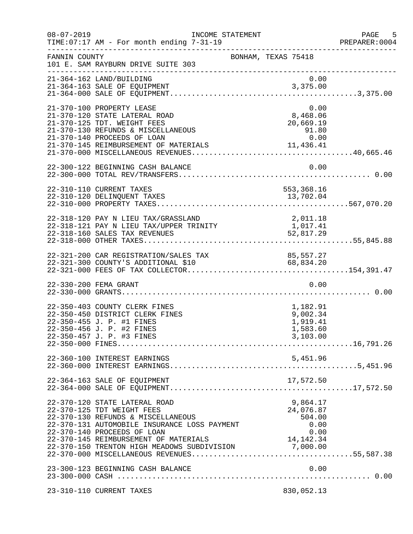| $08 - 07 - 2019$ | INCOME STATEMENT<br>TIME: 07:17 AM - For month ending 7-31-19                                                                                                                                                                                                                               |                                                                          | PAGE 5<br>PREPARER:0004 |
|------------------|---------------------------------------------------------------------------------------------------------------------------------------------------------------------------------------------------------------------------------------------------------------------------------------------|--------------------------------------------------------------------------|-------------------------|
| FANNIN COUNTY    | 101 E. SAM RAYBURN DRIVE SUITE 303<br>______________________                                                                                                                                                                                                                                | BONHAM, TEXAS 75418                                                      |                         |
|                  | 21-364-162 LAND/BUILDING                                                                                                                                                                                                                                                                    | 0.00                                                                     |                         |
|                  | 21-370-100 PROPERTY LEASE<br>21-370-120 STATE LATERAL ROAD<br>21-370-125 TDT. WEIGHT FEES<br>21-370-130 REFUNDS & MISCELLANEOUS<br>21-370-140 PROCEEDS OF LOAN<br>21-370-145 REIMBURSEMENT OF MATERIALS                                                                                     | 0.00<br>8,468.06<br>20,669.15<br>91.80<br>0.00<br>13.426.41<br>11,436.41 |                         |
|                  |                                                                                                                                                                                                                                                                                             |                                                                          |                         |
|                  | 22-310-110 CURRENT TAXES<br>22-310-120 DELINQUENT TAXES                                                                                                                                                                                                                                     | 553,368.16<br>13,702.04                                                  |                         |
|                  | 22-318-120 PAY N LIEU TAX/GRASSLAND<br>22-318-121 PAY N LIEU TAX/UPPER TRINITY                                                                                                                                                                                                              | 2,011.18<br>1,017.41<br>52,817.29                                        |                         |
|                  | 22-321-200 CAR REGISTRATION/SALES TAX 85,557.27<br>22-321-300 COUNTY'S ADDITIONAL \$10 68,834.20                                                                                                                                                                                            |                                                                          |                         |
|                  | 22-330-200 FEMA GRANT                                                                                                                                                                                                                                                                       | 0.00                                                                     |                         |
|                  | 22-350-403 COUNTY CLERK FINES<br>22-350-450 DISTRICT CLERK FINES<br>22-350-455 J. P. #1 FINES<br>22-350-456 J. P. #2 FINES<br>22-350-457 J. P. #3 FINES                                                                                                                                     | 1,182.91<br>9,002.34<br>1,919.41<br>1,583.60<br>3,103.00                 |                         |
|                  | 22-360-100 INTEREST EARNINGS                                                                                                                                                                                                                                                                | 5,451.96                                                                 |                         |
|                  | 22-364-163 SALE OF EQUIPMENT                                                                                                                                                                                                                                                                | 17,572.50                                                                |                         |
|                  | 22-370-120 STATE LATERAL ROAD<br>22-370-125 TDT WEIGHT FEES<br>22-370-130 REFUNDS & MISCELLANEOUS<br>22-370-131 AUTOMOBILE INSURANCE LOSS PAYMENT<br>22-370-140 PROCEEDS OF LOAN<br>22-370-145 REIMBURSEMENT OF MATERIALS 14,142.34<br>22-370-150 TRENTON HIGH MEADOWS SUBDIVISION 7,000.00 | 9,864.17<br>24,076.87<br>504.00<br>0.00<br>$0.00$<br>$14, 142.34$        |                         |
|                  | 23-300-123 BEGINNING CASH BALANCE                                                                                                                                                                                                                                                           | 0.00                                                                     |                         |
|                  | 23-310-110 CURRENT TAXES                                                                                                                                                                                                                                                                    | 830,052.13                                                               |                         |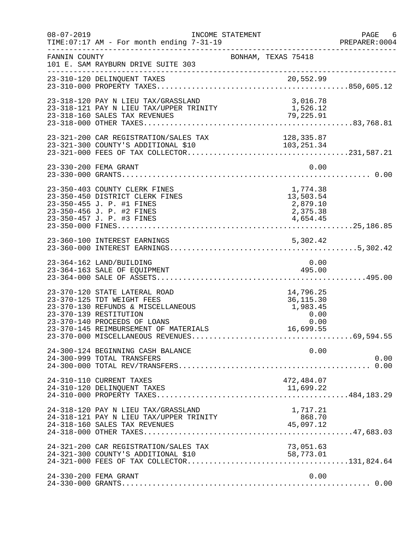| $08 - 07 - 2019$ | TIME: 07:17 AM - For month ending 7-31-19                                                                                                                                                            | INCOME STATEMENT                                                | PAGE 6<br>PREPARER: 0004 |
|------------------|------------------------------------------------------------------------------------------------------------------------------------------------------------------------------------------------------|-----------------------------------------------------------------|--------------------------|
| FANNIN COUNTY    | 101 E. SAM RAYBURN DRIVE SUITE 303                                                                                                                                                                   | BONHAM, TEXAS 75418                                             |                          |
|                  | 23-310-120 DELINQUENT TAXES                                                                                                                                                                          |                                                                 |                          |
|                  | 23-318-120 PAY N LIEU TAX/GRASSLAND<br>23-318-121 PAY N LIEU TAX/UPPER TRINITY                                                                                                                       | 3,016.78<br>1,526.12<br>$\overline{79}$ , 225.91                |                          |
|                  | 23-321-200 CAR REGISTRATION/SALES TAX                                                                                                                                                                | 128, 335.87                                                     |                          |
|                  | 23-330-200 FEMA GRANT                                                                                                                                                                                | 0.00                                                            |                          |
|                  | 23-350-403 COUNTY CLERK FINES<br>23-350-450 DISTRICT CLERK FINES<br>23-350-455 J. P. #1 FINES<br>23-350-456 J. P. #2 FINES<br>23-350-457 J. P. #3 FINES                                              | 1,774.38<br>13,503.54<br>2,879.10<br>2,375.38<br>4,654.45       |                          |
|                  |                                                                                                                                                                                                      |                                                                 |                          |
|                  | 23-364-162 LAND/BUILDING<br>23-364-163 SALE OF EQUIPMENT                                                                                                                                             | 0.00<br>495.00                                                  |                          |
|                  | 23-370-120 STATE LATERAL ROAD<br>23-370-125 TDT WEIGHT FEES<br>23-370-130 REFUNDS & MISCELLANEOUS<br>23-370-139 RESTITUTION<br>23-370-140 PROCEEDS OF LOANS<br>23-370-145 REIMBURSEMENT OF MATERIALS | 14,796.25<br>36, 115.30<br>1,983.45<br>$0.00$ $0.00$ $16.699$ F |                          |
|                  | 24-300-124 BEGINNING CASH BALANCE<br>24-300-999 TOTAL TRANSFERS                                                                                                                                      | 0.00                                                            | 0.00                     |
|                  | 24-310-110 CURRENT TAXES<br>24-310-120 DELINQUENT TAXES                                                                                                                                              | 472,484.07<br>11,699.22                                         |                          |
|                  | 24-318-120 PAY N LIEU TAX/GRASSLAND                                                                                                                                                                  | 1,717.21                                                        |                          |
|                  | 24-321-200 CAR REGISTRATION/SALES TAX                                                                                                                                                                | 73,051.63<br>58,773.01                                          |                          |
|                  | 24-330-200 FEMA GRANT                                                                                                                                                                                | 0.00                                                            |                          |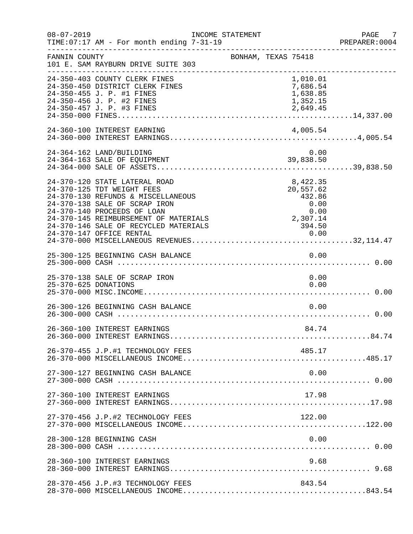| $08 - 07 - 2019$ | TIME: 07:17 AM - For month ending 7-31-19                                                                                                                                                                                                                                       | INCOME STATEMENT    |          |                                                           |      | PAGE 7<br>PREPARER:0004 |
|------------------|---------------------------------------------------------------------------------------------------------------------------------------------------------------------------------------------------------------------------------------------------------------------------------|---------------------|----------|-----------------------------------------------------------|------|-------------------------|
| FANNIN COUNTY    | 101 E. SAM RAYBURN DRIVE SUITE 303                                                                                                                                                                                                                                              | BONHAM, TEXAS 75418 |          |                                                           |      |                         |
|                  | 24-350-403 COUNTY CLERK FINES<br>24-350-450 DISTRICT CLERK FINES<br>24-350-455 J. P. #1 FINES<br>24-350-456 J. P. #2 FINES<br>24-350-457 J. P. #3 FINES                                                                                                                         |                     | 2,649.45 | 1,010.01<br>7,686.54<br>1,638.85<br>1,352.15              |      |                         |
|                  | 24-360-100 INTEREST EARNING                                                                                                                                                                                                                                                     |                     |          | 4,005.54                                                  |      |                         |
|                  | 24-364-162 LAND/BUILDING<br>24-364-163 SALE OF EQUIPMENT                                                                                                                                                                                                                        |                     |          | 0.00<br>39,838.50                                         |      |                         |
|                  | 24-370-120 STATE LATERAL ROAD<br>24-370-125 TDT WEIGHT FEES<br>24-370-130 REFUNDS & MISCELLANEOUS<br>24-370-138 SALE OF SCRAP IRON<br>24-370-140 PROCEEDS OF LOAN<br>24-370-145 REIMBURSEMENT OF MATERIALS<br>24-370-146 SALE OF RECYCLED MATERIALS<br>24-370-147 OFFICE RENTAL |                     | 2,307.14 | 8,422.35<br>20,557.62<br>432.86<br>0.00<br>394.50<br>0.00 | 0.00 |                         |
|                  | 25-300-125 BEGINNING CASH BALANCE                                                                                                                                                                                                                                               |                     |          | 0.00                                                      |      |                         |
|                  | 25-370-138 SALE OF SCRAP IRON                                                                                                                                                                                                                                                   |                     |          |                                                           | 0.00 |                         |
|                  | 26-300-126 BEGINNING CASH BALANCE                                                                                                                                                                                                                                               |                     |          |                                                           | 0.00 |                         |
|                  | 26-360-100 INTEREST EARNINGS                                                                                                                                                                                                                                                    |                     |          | 84.74                                                     |      |                         |
|                  | 26-370-455 J.P.#1 TECHNOLOGY FEES                                                                                                                                                                                                                                               |                     |          | 485.17                                                    |      |                         |
|                  | 27-300-127 BEGINNING CASH BALANCE                                                                                                                                                                                                                                               |                     |          |                                                           | 0.00 |                         |
|                  | 27-360-100 INTEREST EARNINGS                                                                                                                                                                                                                                                    |                     |          | 17.98                                                     |      |                         |
|                  | 27-370-456 J.P.#2 TECHNOLOGY FEES                                                                                                                                                                                                                                               |                     |          | 122.00                                                    |      |                         |
|                  | 28-300-128 BEGINNING CASH                                                                                                                                                                                                                                                       |                     |          |                                                           | 0.00 |                         |
|                  | 28-360-100 INTEREST EARNINGS                                                                                                                                                                                                                                                    |                     |          |                                                           | 9.68 |                         |
|                  | 28-370-456 J.P.#3 TECHNOLOGY FEES                                                                                                                                                                                                                                               |                     |          | 843.54                                                    |      |                         |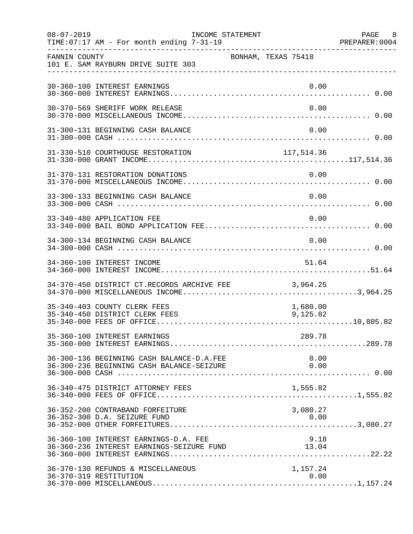| $08 - 07 - 2019$ | TIME: 07:17 AM - For month ending 7-31-19                                          | INCOME STATEMENT |                     |                      | PAGE 8 |
|------------------|------------------------------------------------------------------------------------|------------------|---------------------|----------------------|--------|
| FANNIN COUNTY    | 101 E. SAM RAYBURN DRIVE SUITE 303                                                 |                  | BONHAM, TEXAS 75418 |                      |        |
|                  | 30-360-100 INTEREST EARNINGS                                                       |                  |                     | 0.00                 |        |
|                  | 30-370-569 SHERIFF WORK RELEASE                                                    |                  |                     | 0.00                 |        |
|                  | 31-300-131 BEGINNING CASH BALANCE                                                  |                  |                     | 0.00                 |        |
|                  |                                                                                    |                  |                     |                      |        |
|                  | 31-370-131 RESTORATION DONATIONS                                                   |                  |                     | 0.00                 |        |
|                  | 33-300-133 BEGINNING CASH BALANCE                                                  |                  |                     | 0.00                 |        |
|                  | 33-340-480 APPLICATION FEE                                                         |                  |                     | 0.00                 |        |
|                  | 34-300-134 BEGINNING CASH BALANCE                                                  |                  |                     | 0.00                 |        |
|                  | 34-360-100 INTEREST INCOME                                                         |                  |                     | 51.64                |        |
|                  | 34-370-450 DISTRICT CT.RECORDS ARCHIVE FEE 3,964.25                                |                  |                     |                      |        |
|                  | 35-340-403 COUNTY CLERK FEES<br>35-340-450 DISTRICT CLERK FEES                     |                  |                     | 1,680.00<br>9,125.82 |        |
|                  | 35-360-100 INTEREST EARNINGS                                                       |                  |                     | 289.78               |        |
|                  | 36-300-136 BEGINNING CASH BALANCE-D.A.FEE                                          |                  |                     | 0.00                 |        |
|                  | 36-340-475 DISTRICT ATTORNEY FEES                                                  |                  |                     | 1,555.82             |        |
|                  | 36-352-200 CONTRABAND FORFEITURE<br>36-352-300 D.A. SEIZURE FUND                   |                  |                     | 3,080.27<br>0.00     |        |
|                  | 36-360-100 INTEREST EARNINGS-D.A. FEE<br>36-360-236 INTEREST EARNINGS-SEIZURE FUND |                  | $13.04$             |                      |        |
|                  | 36-370-130 REFUNDS & MISCELLANEOUS<br>36-370-319 RESTITUTION                       |                  |                     | 1,157.24<br>0.00     |        |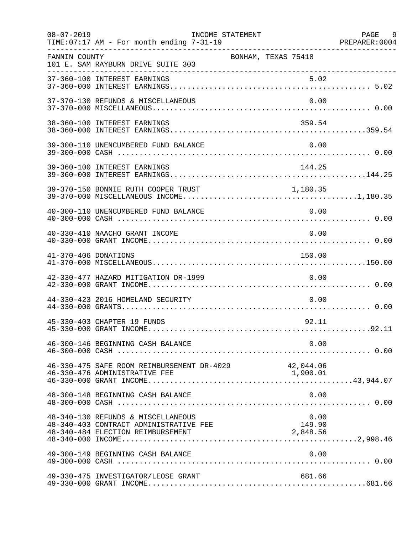| $08 - 07 - 2019$     | TIME: 07:17 AM - For month ending 7-31-19                                                                         | INCOME STATEMENT           | PAGE 9 |
|----------------------|-------------------------------------------------------------------------------------------------------------------|----------------------------|--------|
| FANNIN COUNTY        | 101 E. SAM RAYBURN DRIVE SUITE 303                                                                                | BONHAM, TEXAS 75418        |        |
|                      |                                                                                                                   |                            |        |
|                      | 37-370-130 REFUNDS & MISCELLANEOUS                                                                                | 0.00                       |        |
|                      | 38-360-100 INTEREST EARNINGS                                                                                      | 359.54                     |        |
|                      | 39-300-110 UNENCUMBERED FUND BALANCE                                                                              | 0.00                       |        |
|                      | 39-360-100 INTEREST EARNINGS                                                                                      | 144.25                     |        |
|                      | 39-370-150 BONNIE RUTH COOPER TRUST                                                                               | 1,180.35                   |        |
|                      | 40-300-110 UNENCUMBERED FUND BALANCE                                                                              | 0.00                       |        |
|                      | 40-330-410 NAACHO GRANT INCOME                                                                                    | 0.00                       |        |
| 41-370-406 DONATIONS |                                                                                                                   | 150.00                     |        |
|                      | 42-330-477 HAZARD MITIGATION DR-1999                                                                              | 0.00                       |        |
|                      | 44-330-423 2016 HOMELAND SECURITY                                                                                 | 0.00                       |        |
|                      | 45-330-403 CHAPTER 19 FUNDS                                                                                       | 92.11                      |        |
|                      |                                                                                                                   | 0.00                       |        |
|                      | 46-330-475 SAFE ROOM REIMBURSEMENT DR-4029 42,044.06                                                              |                            |        |
|                      | 48-300-148 BEGINNING CASH BALANCE                                                                                 | 0.00                       |        |
|                      | 48-340-130 REFUNDS & MISCELLANEOUS<br>48-340-403 CONTRACT ADMINISTRATIVE FEE<br>48-340-484 ELECTION REIMBURSEMENT | 0.00<br>149.90<br>2,848.56 |        |
|                      | 49-300-149 BEGINNING CASH BALANCE                                                                                 | 0.00                       |        |
|                      | 49-330-475 INVESTIGATOR/LEOSE GRANT                                                                               | 681.66                     |        |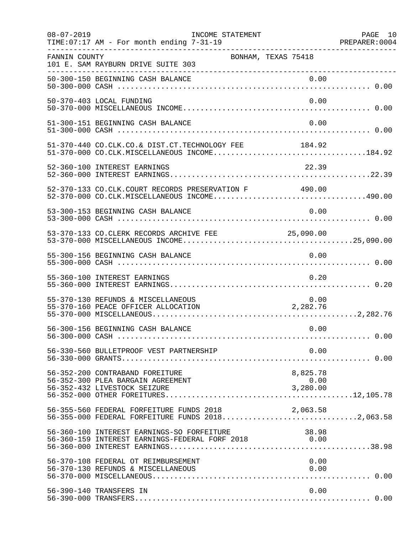| $08 - 07 - 2019$ | INCOME STATEMENT<br>TIME: 07:17 AM - For month ending 7-31-19                                        |                              | PAGE 10<br>PREPARER: 0004 |
|------------------|------------------------------------------------------------------------------------------------------|------------------------------|---------------------------|
| FANNIN COUNTY    | 101 E. SAM RAYBURN DRIVE SUITE 303                                                                   | BONHAM, TEXAS 75418          |                           |
|                  | 50-300-150 BEGINNING CASH BALANCE                                                                    |                              |                           |
|                  | 50-370-403 LOCAL FUNDING                                                                             | 0.00                         |                           |
|                  | 51-300-151 BEGINNING CASH BALANCE                                                                    | 0.00                         |                           |
|                  | 51-370-440 CO.CLK.CO.& DIST.CT.TECHNOLOGY FEE 184.92                                                 |                              |                           |
|                  | 52-360-100 INTEREST EARNINGS                                                                         | 22.39                        |                           |
|                  | 52-370-133 CO.CLK.COURT RECORDS PRESERVATION F 490.00                                                |                              |                           |
|                  | 53-300-153 BEGINNING CASH BALANCE                                                                    | 0.00                         |                           |
|                  | 53-370-133 CO.CLERK RECORDS ARCHIVE FEE 25,090.00                                                    |                              |                           |
|                  | 55-300-156 BEGINNING CASH BALANCE                                                                    | 0.00                         |                           |
|                  | 55-360-100 INTEREST EARNINGS                                                                         | 0.20                         |                           |
|                  | 55-370-130 REFUNDS & MISCELLANEOUS<br>55-370-160 PEACE OFFICER ALLOCATION                            | 0.00<br>2, 282.76            |                           |
|                  | 56-300-156 BEGINNING CASH BALANCE                                                                    | 0.00                         |                           |
|                  | 56-330-560 BULLETPROOF VEST PARTNERSHIP                                                              | 0.00                         |                           |
|                  | 56-352-200 CONTRABAND FOREITURE<br>56-352-300 PLEA BARGAIN AGREEMENT<br>56-352-432 LIVESTOCK SEIZURE | 8,825.78<br>0.00<br>3,280.00 |                           |
|                  | 56-355-560 FEDERAL FORFEITURE FUNDS 2018<br>56-355-000 FEDERAL FORFEITURE FUNDS 20182,063.58         | 2,063.58                     |                           |
|                  | 56-360-100 INTEREST EARNINGS-SO FORFEITURE<br>56-360-159 INTEREST EARNINGS-FEDERAL FORF 2018 0.00    | 38.98                        |                           |
|                  | 56-370-108 FEDERAL OT REIMBURSEMENT<br>56-370-130 REFUNDS & MISCELLANEOUS                            | 0.00<br>0.00                 |                           |
|                  | 56-390-140 TRANSFERS IN                                                                              | 0.00                         |                           |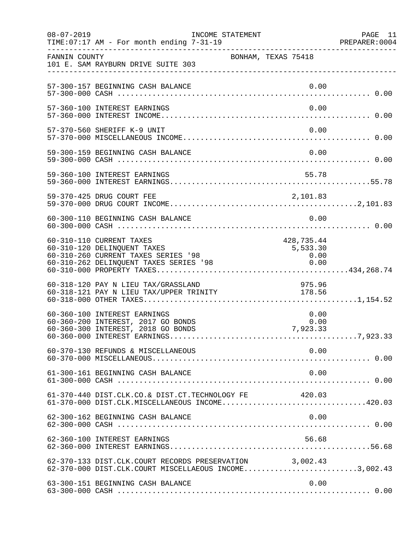| $08 - 07 - 2019$ | INCOME STATEMENT<br>TIME: 07:17 AM - For month ending 7-31-19                                                                            |                                        | PAGE 11 |
|------------------|------------------------------------------------------------------------------------------------------------------------------------------|----------------------------------------|---------|
| FANNIN COUNTY    | 101 E. SAM RAYBURN DRIVE SUITE 303                                                                                                       | BONHAM, TEXAS 75418                    |         |
|                  | 57-300-157 BEGINNING CASH BALANCE                                                                                                        | 0.00                                   |         |
|                  | 57-360-100 INTEREST EARNINGS                                                                                                             | 0.00                                   |         |
|                  | 57-370-560 SHERIFF K-9 UNIT                                                                                                              | 0.00                                   |         |
|                  | 59-300-159 BEGINNING CASH BALANCE                                                                                                        | 0.00                                   |         |
|                  |                                                                                                                                          |                                        |         |
|                  | 59-370-425 DRUG COURT FEE                                                                                                                |                                        |         |
|                  | 60-300-110 BEGINNING CASH BALANCE                                                                                                        | 0.00                                   |         |
|                  | 60-310-110 CURRENT TAXES<br>60-310-120 DELINQUENT TAXES<br>60-310-260 CURRENT TAXES SERIES '98<br>60-310-262 DELINQUENT TAXES SERIES '98 | 428,735.44<br>5,533.30<br>0.00<br>0.00 |         |
|                  | 60-318-120 PAY N LIEU TAX/GRASSLAND<br>00-310-120 PAI N LIEU TAX/GRASSLAND<br>60-318-121 PAY N LIEU TAX/UPPER TRINITY                    | 975.96<br>178.56                       |         |
|                  | 60-360-100 INTEREST EARNINGS<br>60-360-200 INTEREST, 2017 GO BONDS<br>60-360-300 INTEREST, 2018 GO BONDS                                 | 0.00<br>0.00<br>7,923.33               |         |
|                  | 60-370-130 REFUNDS & MISCELLANEOUS                                                                                                       | 0.00                                   |         |
|                  | 61-300-161 BEGINNING CASH BALANCE                                                                                                        | 0.00                                   |         |
|                  | 61-370-440 DIST.CLK.CO.& DIST.CT.TECHNOLOGY FE<br>61-370-000 DIST.CLK.MISCELLANEOUS INCOME420.03                                         | 420.03                                 |         |
|                  | 62-300-162 BEGINNING CASH BALANCE                                                                                                        | 0.00                                   |         |
|                  | 62-360-100 INTEREST EARNINGS                                                                                                             | 56.68                                  |         |
|                  | 62-370-133 DIST.CLK.COURT RECORDS PRESERVATION 3,002.43<br>62-370-000 DIST.CLK.COURT MISCELLAEOUS INCOME3,002.43                         |                                        |         |
|                  | 63-300-151 BEGINNING CASH BALANCE                                                                                                        | 0.00                                   |         |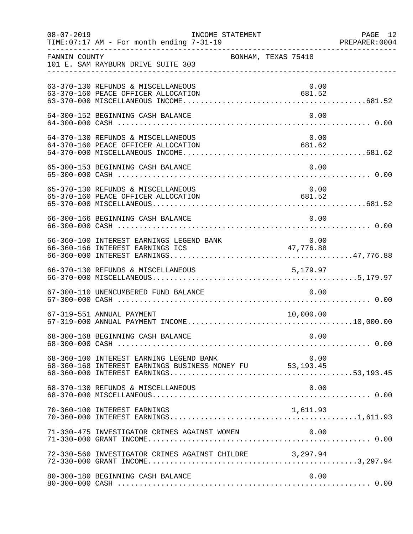| $08 - 07 - 2019$ | TIME:07:17 AM - For month ending 7-31-19<br>PREPARER:0004 PREPARER:0004<br>TIME: 07:17 AM - For month ending 7-31-19 | INCOME STATEMENT    |                                                       | PAGE 12 |
|------------------|----------------------------------------------------------------------------------------------------------------------|---------------------|-------------------------------------------------------|---------|
| FANNIN COUNTY    | 101 E. SAM RAYBURN DRIVE SUITE 303                                                                                   | BONHAM, TEXAS 75418 |                                                       |         |
|                  | 63-370-130 REFUNDS & MISCELLANEOUS<br>63-370-160 PEACE OFFICER ALLOCATION                                            |                     | 0.00<br>681.52                                        |         |
|                  | 64-300-152 BEGINNING CASH BALANCE                                                                                    |                     | 0.00                                                  |         |
|                  | 64-370-130 REFUNDS & MISCELLANEOUS<br>64-370-160 PEACE OFFICER ALLOCATION                                            |                     | 0.00<br>681.62                                        |         |
|                  | 65-300-153 BEGINNING CASH BALANCE                                                                                    |                     | 0.00                                                  |         |
|                  | 65-370-130 REFUNDS & MISCELLANEOUS<br>65-370-160 PEACE OFFICER ALLOCATION                                            |                     | 0.00<br>$\begin{array}{c} 0.00 \\ 681.52 \end{array}$ |         |
|                  | 66-300-166 BEGINNING CASH BALANCE                                                                                    |                     | 0.00                                                  |         |
|                  |                                                                                                                      |                     |                                                       |         |
|                  | 66-370-130 REFUNDS & MISCELLANEOUS                                                                                   |                     |                                                       |         |
|                  | 67-300-110 UNENCUMBERED FUND BALANCE                                                                                 |                     | 0.00                                                  |         |
|                  | 67-319-551 ANNUAL PAYMENT                                                                                            |                     | 10,000.00                                             |         |
|                  | 68-300-168 BEGINNING CASH BALANCE                                                                                    |                     | 0.00                                                  |         |
|                  | 68-360-100 INTEREST EARNING LEGEND BANK<br>68-360-168 INTEREST EARNINGS BUSINESS MONEY FU 53,193.45                  |                     | 0.00                                                  |         |
|                  | 68-370-130 REFUNDS & MISCELLANEOUS                                                                                   |                     | 0.00                                                  |         |
|                  | 70-360-100 INTEREST EARNINGS                                                                                         |                     | 1,611.93                                              |         |
|                  | 71-330-475 INVESTIGATOR CRIMES AGAINST WOMEN                                                                         |                     | 0.00                                                  |         |
|                  | 72-330-560 INVESTIGATOR CRIMES AGAINST CHILDRE 3,297.94                                                              |                     |                                                       |         |
|                  | 80-300-180 BEGINNING CASH BALANCE                                                                                    |                     | 0.00                                                  |         |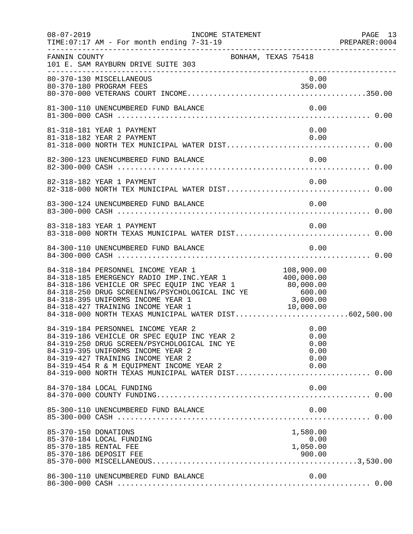| $08 - 07 - 2019$     | INCOME STATEMENT<br>TIME: 07:17 AM - For month ending 7-31-19                                                                                                                                                                                                                                                                                               |                                              | PAGE 13 |
|----------------------|-------------------------------------------------------------------------------------------------------------------------------------------------------------------------------------------------------------------------------------------------------------------------------------------------------------------------------------------------------------|----------------------------------------------|---------|
| FANNIN COUNTY        | BONHAM, TEXAS 75418<br>101 E. SAM RAYBURN DRIVE SUITE 303                                                                                                                                                                                                                                                                                                   |                                              |         |
|                      | 80-370-130 MISCELLANEOUS<br>80-370-180 PROGRAM FEES                                                                                                                                                                                                                                                                                                         | 0.00<br>350.00                               |         |
|                      | 81-300-110 UNENCUMBERED FUND BALANCE                                                                                                                                                                                                                                                                                                                        | 0.00                                         |         |
|                      | 81-318-181 YEAR 1 PAYMENT<br>81-318-182 YEAR 2 PAYMENT                                                                                                                                                                                                                                                                                                      | 0.00<br>0.00                                 |         |
|                      | 82-300-123 UNENCUMBERED FUND BALANCE                                                                                                                                                                                                                                                                                                                        | 0.00                                         |         |
|                      | 82-318-182 YEAR 1 PAYMENT                                                                                                                                                                                                                                                                                                                                   | 0.00                                         |         |
|                      | 83-300-124 UNENCUMBERED FUND BALANCE                                                                                                                                                                                                                                                                                                                        | 0.00                                         |         |
|                      | 83-318-183 YEAR 1 PAYMENT<br>83-318-000 NORTH TEXAS MUNICIPAL WATER DIST 0.00                                                                                                                                                                                                                                                                               | 0.00                                         |         |
|                      | 84-300-110 UNENCUMBERED FUND BALANCE                                                                                                                                                                                                                                                                                                                        | 0.00                                         |         |
|                      | 84-318-184 PERSONNEL INCOME YEAR 1 108,900.00<br>84-318-185 EMERGENCY RADIO IMP.INC.YEAR 1 400,000.00<br>84-318-186 VEHICLE OR SPEC EQUIP INC YEAR 1 80,000.00<br>84-318-250 DRUG SCREENING/PSYCHOLOGICAL INC YE 600.00<br>84-318-395 UNIFORMS INCOME YEAR 1<br>84-318-427 TRAINING INCOME YEAR 1<br>84-318-000 NORTH TEXAS MUNICIPAL WATER DIST602,500.00  | 3,000.00<br>10,000.00                        |         |
|                      | 84-319-184 PERSONNEL INCOME YEAR 2<br>84-319-186 VEHICLE OR SPEC EQUIP INC YEAR 2<br>84-319-250 DRUG SCREEN/PSYCHOLOGICAL INC YE<br>84-319-395 UNIFORMS INCOME YEAR 2<br>84-319-427 TRAINING INCOME YEAR 2<br>84-319-454 R & M EQUIPMENT INCOME YEAR 2<br>84-319-454 R & M EQUIPMENT INCOME YEAR 2 0.00<br>84-319-000 NORTH TEXAS MUNICIPAL WATER DIST 0.00 | 0.00<br>0.00<br>0.00<br>0.00<br>0.00<br>0.00 |         |
|                      | 84-370-184 LOCAL FUNDING                                                                                                                                                                                                                                                                                                                                    | 0.00                                         |         |
|                      | 85-300-110 UNENCUMBERED FUND BALANCE                                                                                                                                                                                                                                                                                                                        | 0.00                                         |         |
| 85-370-150 DONATIONS | 85-370-184 LOCAL FUNDING<br>85-370-185 RENTAL FEE                                                                                                                                                                                                                                                                                                           | 1,580.00<br>0.00<br>1,050.00                 |         |
|                      | 86-300-110 UNENCUMBERED FUND BALANCE                                                                                                                                                                                                                                                                                                                        | 0.00                                         |         |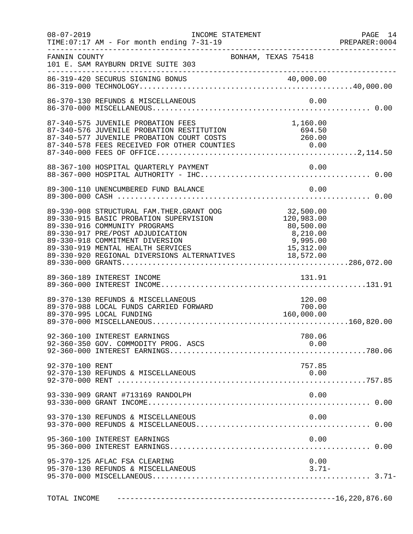| $08 - 07 - 2019$ | INCOME STATEMENT<br>TIME:07:17 AM - For month ending 7-31-19                                                                                                                                                                                                                                                                                               |                                                | PAGE 14 |
|------------------|------------------------------------------------------------------------------------------------------------------------------------------------------------------------------------------------------------------------------------------------------------------------------------------------------------------------------------------------------------|------------------------------------------------|---------|
| FANNIN COUNTY    | 101 E. SAM RAYBURN DRIVE SUITE 303                                                                                                                                                                                                                                                                                                                         | BONHAM, TEXAS 75418                            |         |
|                  |                                                                                                                                                                                                                                                                                                                                                            |                                                |         |
|                  | 86-370-130 REFUNDS & MISCELLANEOUS                                                                                                                                                                                                                                                                                                                         | 0.00                                           |         |
|                  | $\begin{array}{lllllllllllllllllll} 87-340-575 & \text{JUVENILE PROBATION FEES} & & & 1,160.00 \\ 87-340-576 & \text{JUVENILE PROBATION RESTITUTION} & & & 694.50 \\ 87-340-577 & \text{JUVENILE PROBATION COURT COSTS} & & & 260.00 \\ 87-340-578 FEES RECEIVED FOR OTHER COUNTIES & & & 0.00 \\ 87-340-000 FEES OF OFFICE.\& & & & 0.00 \\ \end{array}$  |                                                |         |
|                  |                                                                                                                                                                                                                                                                                                                                                            |                                                |         |
|                  |                                                                                                                                                                                                                                                                                                                                                            |                                                |         |
|                  | 89-330-908 STRUCTURAL FAM.THER.GRANT OOG 32,500.00<br>89-330-915 BASIC PROBATION SUPERVISION 120,983.00<br>89-330-916 COMMUNITY PROGRAMS<br>89-330-917 PRE/POST ADJUDICATION<br>89-330-918 COMMITMENT DIVERSION<br>89-330-918 COMMITMENT DIVERSION<br>89-330-919 MENTAL HEALTH SERVICES 15,312.00<br>89-330-920 REGIONAL DIVERSIONS ALTERNATIVES 18,572.00 | 80,500.00<br>8,210.00<br>9,995.00<br>15,312.00 |         |
|                  | 89-360-189 INTEREST INCOME                                                                                                                                                                                                                                                                                                                                 | 131.91                                         |         |
|                  | 89-370-130 REFUNDS & MISCELLANEOUS<br>89-370-988 LOCAL FUNDS CARRIED FORWARD<br>89-370-995 LOCAL FUNDING                                                                                                                                                                                                                                                   | 120.00<br>700.00<br>160,000.00                 |         |
|                  | 92-360-100 INTEREST EARNINGS<br>92-360-350 GOV. COMMODITY PROG. ASCS                                                                                                                                                                                                                                                                                       | 780.06<br>0.00                                 |         |
| 92-370-100 RENT  | 92-370-130 REFUNDS & MISCELLANEOUS                                                                                                                                                                                                                                                                                                                         | 757.85<br>0.00                                 |         |
|                  | 93-330-909 GRANT #713169 RANDOLPH                                                                                                                                                                                                                                                                                                                          | 0.00                                           |         |
|                  | 93-370-130 REFUNDS & MISCELLANEOUS                                                                                                                                                                                                                                                                                                                         | 0.00                                           |         |
|                  | 95-360-100 INTEREST EARNINGS                                                                                                                                                                                                                                                                                                                               | 0.00                                           |         |
|                  | 95-370-125 AFLAC FSA CLEARING<br>95-370-130 REFUNDS & MISCELLANEOUS                                                                                                                                                                                                                                                                                        | 0.00<br>$3.71-$                                |         |
|                  |                                                                                                                                                                                                                                                                                                                                                            |                                                |         |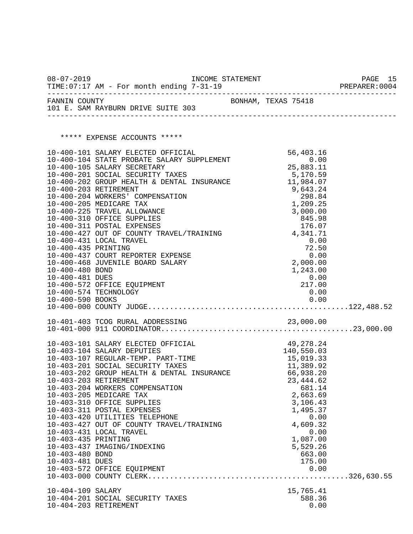| $08 - 07 - 2019$                   | TIME: 07:17 AM - For month ending 7-31-19                                                                                                                                                                                                    |  |                                              | PAGE 15<br>PREPARER: 0004 |
|------------------------------------|----------------------------------------------------------------------------------------------------------------------------------------------------------------------------------------------------------------------------------------------|--|----------------------------------------------|---------------------------|
|                                    | FANNIN COUNTY<br>101 E. SAM RAYBURN DRIVE SUITE 303                                                                                                                                                                                          |  | BONHAM, TEXAS 75418                          |                           |
|                                    | ***** EXPENSE ACCOUNTS *****                                                                                                                                                                                                                 |  |                                              |                           |
|                                    |                                                                                                                                                                                                                                              |  |                                              |                           |
|                                    | 10-400-101 SALARY ELECTED OFFICIAL 56,403.16<br>10-400-104 STATE PROBATE SALARY SUPPLEMENT 6.00<br>25,883.11 25,983.11                                                                                                                       |  |                                              |                           |
|                                    |                                                                                                                                                                                                                                              |  |                                              |                           |
|                                    | 10-400-105 SALARY SECRETARY<br>10-400-201 SOCIAL SECURITY TAXES 5,170.59<br>10-400-202 GROUP HEALTH & DENTAL INSURANCE 11,984.07                                                                                                             |  |                                              |                           |
|                                    |                                                                                                                                                                                                                                              |  |                                              |                           |
|                                    |                                                                                                                                                                                                                                              |  |                                              |                           |
|                                    |                                                                                                                                                                                                                                              |  |                                              |                           |
|                                    |                                                                                                                                                                                                                                              |  |                                              |                           |
|                                    |                                                                                                                                                                                                                                              |  |                                              |                           |
|                                    |                                                                                                                                                                                                                                              |  |                                              |                           |
|                                    | 10-400-203 RETIREMENT<br>10-400-203 RETIREMENT<br>10-400-204 WORKERS' COMPENSATION<br>10-400-205 MEDICARE TAX<br>10-400-210 OFFICE SUPPLIES<br>10-400-311 POSTAL EXPENSES<br>10-400-311 POSTAL EXPENSES<br>10-400-427 OUT OF COUNTY TRAVEL/T |  |                                              |                           |
| 10-400-435 PRINTING                |                                                                                                                                                                                                                                              |  | $72.50$<br>0.00<br>2,000.00                  |                           |
|                                    | 10-400-437 COURT REPORTER EXPENSE<br>10-400-468 JUVENILE BOARD SALARY                                                                                                                                                                        |  |                                              |                           |
| 10-400-480 BOND                    |                                                                                                                                                                                                                                              |  | 1,243.00                                     |                           |
| 10-400-481 DUES                    |                                                                                                                                                                                                                                              |  | $\begin{array}{c} 0.00 \ 217.00 \end{array}$ |                           |
|                                    | 10-400-572 OFFICE EQUIPMENT<br>10-400-574 TECHNOLOGY                                                                                                                                                                                         |  | 0.00                                         |                           |
|                                    |                                                                                                                                                                                                                                              |  |                                              |                           |
|                                    |                                                                                                                                                                                                                                              |  |                                              |                           |
|                                    |                                                                                                                                                                                                                                              |  |                                              |                           |
|                                    |                                                                                                                                                                                                                                              |  |                                              |                           |
|                                    | 10-403-101 SALARY ELECTED OFFICIAL 49, 278.24<br>10-403-104 SALARY DEPUTIES 140, 550.03<br>10-403-107 REGULAR-TEMP. PART-TIME 15, 019.33<br>10-403-201 SOCIAL SECURITY TAXES 11, 389.92<br>10-403-202 GROUP HEALTH & DENTAL INSURANCE        |  |                                              |                           |
|                                    |                                                                                                                                                                                                                                              |  |                                              |                           |
|                                    |                                                                                                                                                                                                                                              |  |                                              |                           |
|                                    |                                                                                                                                                                                                                                              |  |                                              |                           |
| 10-403-203 RETIREMENT              |                                                                                                                                                                                                                                              |  | 23, 444.62                                   |                           |
|                                    | 10-403-204 WORKERS COMPENSATION<br>10-403-205 MEDICARE TAX                                                                                                                                                                                   |  | 681.14<br>2,663.69                           |                           |
|                                    | 10-403-310 OFFICE SUPPLIES                                                                                                                                                                                                                   |  | 3,106.43                                     |                           |
|                                    | 10-403-311 POSTAL EXPENSES                                                                                                                                                                                                                   |  | 1,495.37                                     |                           |
|                                    | 10-403-420 UTILITIES TELEPHONE<br>10-403-427 OUT OF COUNTY TRAVEL/TRAINING                                                                                                                                                                   |  |                                              | 0.00                      |
|                                    | 10-403-431 LOCAL TRAVEL                                                                                                                                                                                                                      |  | 4,609.32                                     | 0.00                      |
| 10-403-435 PRINTING                |                                                                                                                                                                                                                                              |  | 1,087.00                                     |                           |
|                                    | 10-403-437 IMAGING/INDEXING                                                                                                                                                                                                                  |  | 5,529.26                                     |                           |
| 10-403-480 BOND<br>10-403-481 DUES |                                                                                                                                                                                                                                              |  | 663.00<br>175.00                             |                           |
|                                    | 10-403-572 OFFICE EQUIPMENT                                                                                                                                                                                                                  |  |                                              | 0.00                      |
|                                    |                                                                                                                                                                                                                                              |  |                                              |                           |
| 10-404-109 SALARY                  |                                                                                                                                                                                                                                              |  | 15,765.41                                    |                           |
|                                    | 10-404-201 SOCIAL SECURITY TAXES                                                                                                                                                                                                             |  | 588.36                                       |                           |
| 10-404-203 RETIREMENT              |                                                                                                                                                                                                                                              |  |                                              | 0.00                      |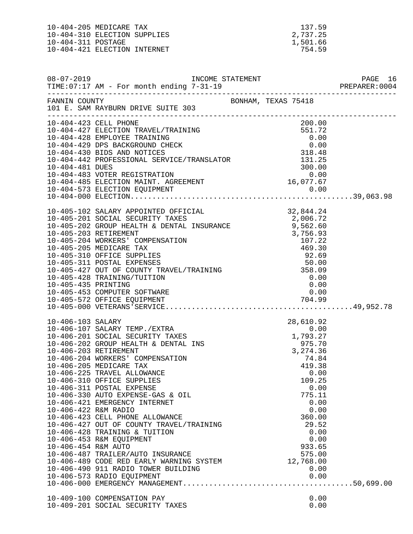10-404-205 MEDICARE TAX 10-404-310 ELECTION SUPPLIES 10-404-311 POSTAGE 10-404-421 ELECTION INTERNET 754.59

| 137.59   |  |
|----------|--|
| 2,737.25 |  |
| 1,501.66 |  |
| 754.59   |  |

|                                             | 101 E. SAM RAYBURN DRIVE SUITE 303                                                                                                                                                                                                                                                                                                                                                                                                                                                                                                                                                                                                                                                                                                                               |  |                                                                                               |  |
|---------------------------------------------|------------------------------------------------------------------------------------------------------------------------------------------------------------------------------------------------------------------------------------------------------------------------------------------------------------------------------------------------------------------------------------------------------------------------------------------------------------------------------------------------------------------------------------------------------------------------------------------------------------------------------------------------------------------------------------------------------------------------------------------------------------------|--|-----------------------------------------------------------------------------------------------|--|
|                                             |                                                                                                                                                                                                                                                                                                                                                                                                                                                                                                                                                                                                                                                                                                                                                                  |  |                                                                                               |  |
| 10-405-435 PRINTING                         | 10-405-428 TRAINING/TUITION<br>10-405-453 COMPUTER SOFTWARE                                                                                                                                                                                                                                                                                                                                                                                                                                                                                                                                                                                                                                                                                                      |  | 0.00<br>0.00<br>0.00                                                                          |  |
| 10-406-422 R&M RADIO<br>10-406-454 R&M AUTO | $\begin{tabular}{lllllllllllll} \texttt{{\sc i}}-406-107&\texttt{SALARY} & \texttt{FEMP} \texttt{.}/\texttt{EXTRA} & & & & & 28,610.92\\ 10-406-201&\texttt{SOCIAL} & \texttt{SECURITY} & \texttt{TAXES} & & & & 0.00\\ 10-406-202&\texttt{GROUP} & \texttt{HEALITH} & \texttt{DENTAL} & \texttt{INS} & & & & 1,793.27\\ 10-406-203&\texttt{RETIREMENT} & & & & 3,274.36\\ 10$<br>10-406-330 AUTO EXPENSE-GAS & OIL<br>10-406-421 EMERGENCY INTERNET<br>10-406-423 CELL PHONE ALLOWANCE<br>10-406-427 OUT OF COUNTY TRAVEL/TRAINING<br>10-406-428 TRAINING & TUITION<br>10-406-453 R&M EQUIPMENT<br>10-406-487 TRAILER/AUTO INSURANCE<br>10-406-489 CODE RED EARLY WARNING SYSTEM 12,768.00<br>10-406-490 911 RADIO TOWER BUILDING<br>10-406-573 RADIO EQUIPMENT |  | 775.11<br>0.00<br>0.00<br>360.00<br>29.52<br>0.00<br>0.00<br>933.65<br>575.00<br>0.00<br>0.00 |  |
|                                             | 10-409-100 COMPENSATION PAY<br>10-409-201 SOCIAL SECURITY TAXES                                                                                                                                                                                                                                                                                                                                                                                                                                                                                                                                                                                                                                                                                                  |  | 0.00<br>0.00                                                                                  |  |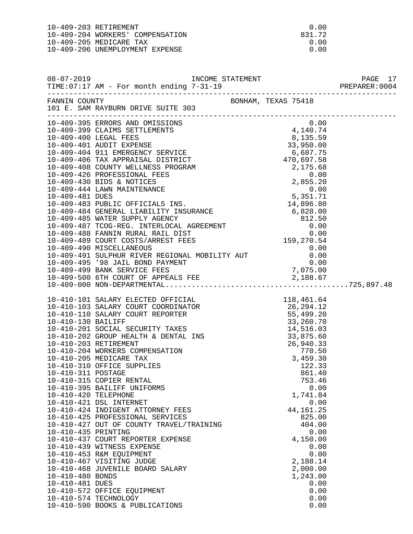| $10-409-203$ RETIREMENT          | 0.00     |
|----------------------------------|----------|
| 10-409-204 WORKERS' COMPENSATION | 831.72   |
| 10-409-205 MEDICARE TAX          | 0.00     |
| 10-409-206 UNEMPLOYMENT EXPENSE  | . N. O.N |
|                                  |          |

| $08 - 07 - 2019$                                                                                         |                                                                                                                                                                                                                                                                                                                                                                                                                                                                    |                                                                                                                                                                                         | PAGE 17<br>PREPARER: 0004 |
|----------------------------------------------------------------------------------------------------------|--------------------------------------------------------------------------------------------------------------------------------------------------------------------------------------------------------------------------------------------------------------------------------------------------------------------------------------------------------------------------------------------------------------------------------------------------------------------|-----------------------------------------------------------------------------------------------------------------------------------------------------------------------------------------|---------------------------|
|                                                                                                          | FANNIN COUNTY<br>101 E. SAM RAYBURN DRIVE SUITE 303                                                                                                                                                                                                                                                                                                                                                                                                                |                                                                                                                                                                                         |                           |
|                                                                                                          | 10-409-395 ERRORS AND OMISSIONS                                                                                                                                                                                                                                                                                                                                                                                                                                    | 0.00                                                                                                                                                                                    |                           |
| 10-410-311 POSTAGE<br>10-410-420 TELEPHONE<br>10-410-435 PRINTING<br>10-410-480 BONDS<br>10-410-481 DUES | 10-410-315 COPIER RENTAL<br>10-410-395 BAILIFF UNIFORMS<br>10-410-421 DSL INTERNET<br>10-410-424 INDIGENT ATTORNEY FEES<br>10-410-425 PROFESSIONAL SERVICES<br>10-410-427 OUT OF COUNTY TRAVEL/TRAINING<br>10-410-437 COURT REPORTER EXPENSE<br>10-410-439 WITNESS EXPENSE<br>10-410-453 R&M EQUIPMENT<br>10-410-467 VISITING JUDGE<br>10-410-468 JUVENILE BOARD SALARY<br>10-410-572 OFFICE EQUIPMENT<br>10-410-574 TECHNOLOGY<br>10-410-590 BOOKS & PUBLICATIONS | 861.40<br>753.46<br>0.00<br>1,741.84<br>0.00<br>44, 161. 25<br>825.00<br>404.00<br>0.00<br>4,150.00<br>0.00<br>0.00<br>2,188.14<br>2,000.00<br>1,243.00<br>0.00<br>0.00<br>0.00<br>0.00 |                           |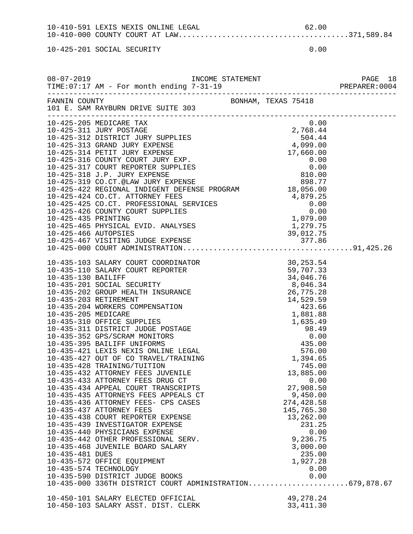10-410-591 LEXIS NEXIS ONLINE LEGAL 62.00 10-410-000 COUNTY COURT AT LAW.......................................371,589.84

10-425-201 SOCIAL SECURITY 0.00

|                       | 101 E. SAM RAYBURN DRIVE SUITE 303                                                                                                                                                                                                         |  |                         |  |
|-----------------------|--------------------------------------------------------------------------------------------------------------------------------------------------------------------------------------------------------------------------------------------|--|-------------------------|--|
|                       | 10-425-205 MEDICARE TAX                                                                                                                                                                                                                    |  | 0.00                    |  |
|                       |                                                                                                                                                                                                                                            |  |                         |  |
|                       |                                                                                                                                                                                                                                            |  |                         |  |
|                       |                                                                                                                                                                                                                                            |  |                         |  |
|                       |                                                                                                                                                                                                                                            |  |                         |  |
|                       |                                                                                                                                                                                                                                            |  |                         |  |
|                       |                                                                                                                                                                                                                                            |  |                         |  |
|                       |                                                                                                                                                                                                                                            |  |                         |  |
|                       |                                                                                                                                                                                                                                            |  |                         |  |
|                       |                                                                                                                                                                                                                                            |  |                         |  |
|                       |                                                                                                                                                                                                                                            |  |                         |  |
|                       |                                                                                                                                                                                                                                            |  |                         |  |
|                       |                                                                                                                                                                                                                                            |  |                         |  |
|                       |                                                                                                                                                                                                                                            |  |                         |  |
|                       |                                                                                                                                                                                                                                            |  |                         |  |
|                       |                                                                                                                                                                                                                                            |  |                         |  |
|                       | 10-425-422 REGIONAL INDIGENT DEFENSE PROGRAM<br>10-425-422 REGIONAL INDIGENT PEES<br>10-425-425 CO.CT. PROFESSIONAL SERVICES<br>10-425-426 COUNTY COURT SUPPLIES<br>10-425-435 PRINTING<br>10-425-465 PHYSICAL EVID. ANALYSES<br>10-425-46 |  |                         |  |
|                       |                                                                                                                                                                                                                                            |  |                         |  |
|                       |                                                                                                                                                                                                                                            |  |                         |  |
|                       |                                                                                                                                                                                                                                            |  |                         |  |
|                       |                                                                                                                                                                                                                                            |  |                         |  |
|                       |                                                                                                                                                                                                                                            |  |                         |  |
|                       |                                                                                                                                                                                                                                            |  |                         |  |
|                       |                                                                                                                                                                                                                                            |  |                         |  |
|                       |                                                                                                                                                                                                                                            |  |                         |  |
|                       |                                                                                                                                                                                                                                            |  |                         |  |
|                       |                                                                                                                                                                                                                                            |  |                         |  |
|                       |                                                                                                                                                                                                                                            |  |                         |  |
|                       |                                                                                                                                                                                                                                            |  |                         |  |
|                       |                                                                                                                                                                                                                                            |  |                         |  |
|                       |                                                                                                                                                                                                                                            |  |                         |  |
|                       |                                                                                                                                                                                                                                            |  |                         |  |
|                       |                                                                                                                                                                                                                                            |  |                         |  |
|                       | 10-435-433 ATTORNEY FEES DRUG CT                                                                                                                                                                                                           |  | 0.00                    |  |
|                       | 10-435-434 APPEAL COURT TRANSCRIPTS                                                                                                                                                                                                        |  | 27,908.50               |  |
|                       | 10-435-435 ATTORNEYS FEES APPEALS CT                                                                                                                                                                                                       |  | 9,450.00                |  |
|                       | 10-435-436 ATTORNEY FEES- CPS CASES                                                                                                                                                                                                        |  | 274,428.58              |  |
|                       | 10-435-437 ATTORNEY FEES                                                                                                                                                                                                                   |  | 145,765.30              |  |
|                       | 10-435-438 COURT REPORTER EXPENSE                                                                                                                                                                                                          |  | 13,262.00               |  |
|                       | 10-435-439 INVESTIGATOR EXPENSE                                                                                                                                                                                                            |  | 231.25                  |  |
|                       | 10-435-440 PHYSICIANS EXPENSE<br>10-435-442 OTHER PROFESSIONAL SERV.                                                                                                                                                                       |  | 0.00<br>9,236.75        |  |
|                       | 10-435-468 JUVENILE BOARD SALARY                                                                                                                                                                                                           |  | 3,000.00                |  |
| 10-435-481 DUES       |                                                                                                                                                                                                                                            |  | 235.00                  |  |
|                       | 10-435-572 OFFICE EQUIPMENT                                                                                                                                                                                                                |  | 1,927.28                |  |
| 10-435-574 TECHNOLOGY |                                                                                                                                                                                                                                            |  | 0.00                    |  |
|                       | 10-435-590 DISTRICT JUDGE BOOKS                                                                                                                                                                                                            |  | 0.00                    |  |
|                       | 10-435-000 336TH DISTRICT COURT ADMINISTRATION679,878.67                                                                                                                                                                                   |  |                         |  |
|                       |                                                                                                                                                                                                                                            |  |                         |  |
|                       | 10-450-101 SALARY ELECTED OFFICIAL<br>10-450-103 SALARY ASST. DIST. CLERK                                                                                                                                                                  |  | 49,278.24<br>33, 411.30 |  |
|                       |                                                                                                                                                                                                                                            |  |                         |  |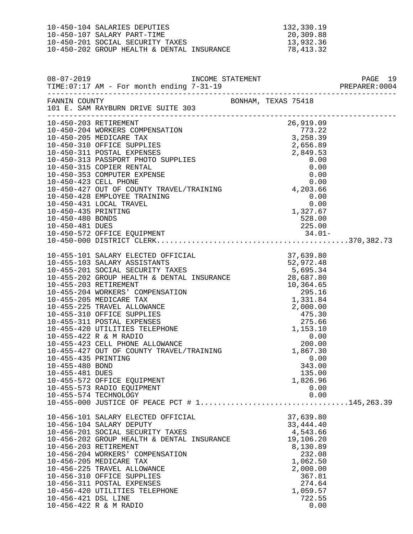| 10-450-104 SALARIES DEPUTIES               | 132,330.19 |
|--------------------------------------------|------------|
| 10-450-107 SALARY PART-TIME                | 20,309.88  |
| 10-450-201 SOCIAL SECURITY TAXES           | 13,932.36  |
| 10-450-202 GROUP HEALTH & DENTAL INSURANCE | 78,413.32  |

|                                                           | FANNIN COUNTY<br>101 E. SAM RAYBURN DRIVE SUITE 303                                                                                                                                                                                                                                                                                                                                                                                                                                                                                                                                                                                                                                                                                                |                                                                                                                                                   |  |
|-----------------------------------------------------------|----------------------------------------------------------------------------------------------------------------------------------------------------------------------------------------------------------------------------------------------------------------------------------------------------------------------------------------------------------------------------------------------------------------------------------------------------------------------------------------------------------------------------------------------------------------------------------------------------------------------------------------------------------------------------------------------------------------------------------------------------|---------------------------------------------------------------------------------------------------------------------------------------------------|--|
|                                                           | 10-450-203 RETIREMENT<br>10-450-204 WORKERS COMPENSATION                                                                                                                                                                                                                                                                                                                                                                                                                                                                                                                                                                                                                                                                                           | $26,919.09$<br>$773.22$<br>$3,258.39$<br>$2,656$                                                                                                  |  |
| 10-455-435 PRINTING<br>10-455-480 BOND<br>10-455-481 DUES | $\begin{tabular}{lllllllllllllllllllllllllllllllllllll} 10-455-101\; \text{SALARY ELECTED OFFICIAL} & 37,639.80 \\ 10-455-103\; \text{SALARY ASSISTANTS} & 52,972.48 \\ 10-455-201\; \text{SOCIAL SECURITY TAXES} & 5,695.34 \\ 10-455-202\; \text{GROUP HEALTH & \text{DENTAL INSURANCE} & 28,687.80 \\ 10-455-203\; \text{RETIREMENT} & 10,364.65 \\ 10-45$<br>10-455-310 OFFICE SUPPLIES<br>10-455-311 POSTAL EXPENSES<br>10-455-420 UTILITIES TELEPHONE<br>10-455-422 R & M RADIO<br>10-455-423 CELL PHONE ALLOWANCE<br>10-455-427 OUT OF COUNTY TRAVEL/TRAINING<br>10-455-427 OUT OF COUNTY TRAVEL/TRA<br>10-455-572 OFFICE EQUIPMENT<br>10-455-573 RADIO EQUIPMENT<br>10-455-574 TECHNOLOGY<br>10-455-000 JUSTICE OF PEACE PCT # 1145,263.39 | 0.00<br>343.00<br>135.00<br>1,826.96<br>0.00<br>0.00                                                                                              |  |
| 10-456-421 DSL LINE                                       | 10-456-101 SALARY ELECTED OFFICIAL<br>10-456-104 SALARY DEPUTY<br>10-456-201 SOCIAL SECURITY TAXES<br>10-456-202 GROUP HEALTH & DENTAL INSURANCE<br>10-456-203 RETIREMENT<br>10-456-204 WORKERS' COMPENSATION<br>10-456-205 MEDICARE TAX<br>10-456-225 TRAVEL ALLOWANCE<br>10-456-310 OFFICE SUPPLIES<br>10-456-311 POSTAL EXPENSES<br>10-456-420 UTILITIES TELEPHONE<br>10-456-422 R & M RADIO                                                                                                                                                                                                                                                                                                                                                    | 37,639.80<br>33, 444. 40<br>4,543.66<br>19,106.20<br>8,130.89<br>232.08<br>1,062.50<br>2,000.00<br>367.81<br>274.64<br>1,059.57<br>722.55<br>0.00 |  |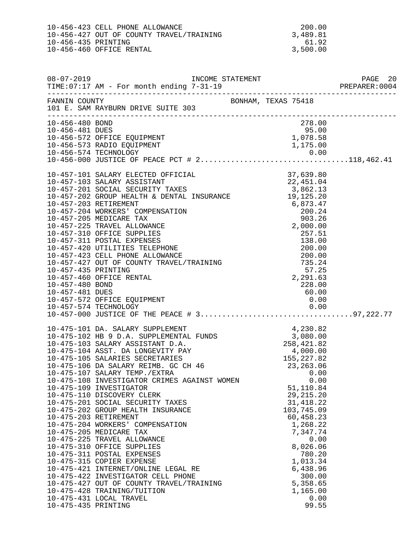|                     | 10-456-423 CELL PHONE ALLOWANCE          | 200.00   |
|---------------------|------------------------------------------|----------|
|                     | 10-456-427 OUT OF COUNTY TRAVEL/TRAINING | 3,489.81 |
| 10-456-435 PRINTING |                                          | 6192     |
|                     | 10-456-460 OFFICE RENTAL                 | 3,500.00 |

| $08 - 07 - 2019$                   | INCOME STATEMENT<br>TIME: 07:17 AM - For month ending 7-31-19                                                                                                                                                                                                                                                                                                                                                                                                                                                                                                                     |                                                                                                                                                                                                            |  |
|------------------------------------|-----------------------------------------------------------------------------------------------------------------------------------------------------------------------------------------------------------------------------------------------------------------------------------------------------------------------------------------------------------------------------------------------------------------------------------------------------------------------------------------------------------------------------------------------------------------------------------|------------------------------------------------------------------------------------------------------------------------------------------------------------------------------------------------------------|--|
| FANNIN COUNTY                      | -----------------------------------<br>NIN COUNTY<br>101 E. SAM RAYBURN DRIVE SUITE 303                                                                                                                                                                                                                                                                                                                                                                                                                                                                                           | BONHAM, TEXAS 75418                                                                                                                                                                                        |  |
| 10-456-480 BOND<br>10-456-481 DUES | 10-456-572 OFFICE EQUIPMENT<br>10-456-573 RADIO EQUIPMENT                                                                                                                                                                                                                                                                                                                                                                                                                                                                                                                         | 278.00<br>ںں. כצ<br>1,078.58<br>1,175.00                                                                                                                                                                   |  |
| 10-457-480 BOND<br>10-457-481 DUES | 10-457-572 OFFICE EQUIPMENT                                                                                                                                                                                                                                                                                                                                                                                                                                                                                                                                                       | 228.00<br>60.00<br>0.00                                                                                                                                                                                    |  |
| 10-475-435 PRINTING                | 10-475-108 INVESTIGATOR CRIMES AGAINST WOMEN<br>10-475-109 INVESTIGATOR<br>10-475-110 DISCOVERY CLERK<br>10-475-201 SOCIAL SECURITY TAXES<br>10-475-202 GROUP HEALTH INSURANCE<br>10-475-203 RETIREMENT<br>10-475-204 WORKERS' COMPENSATION<br>10-475-205 MEDICARE TAX<br>10-475-225 TRAVEL ALLOWANCE<br>10-475-310 OFFICE SUPPLIES<br>10-475-311 POSTAL EXPENSES<br>10-475-315 COPIER EXPENSE<br>10-475-421 INTERNET/ONLINE LEGAL RE<br>10-475-422 INVESTIGATOR CELL PHONE<br>10-475-427 OUT OF COUNTY TRAVEL/TRAINING<br>10-475-428 TRAINING/TUITION<br>10-475-431 LOCAL TRAVEL | 0.00<br>51,110.84<br>29, 215. 20<br>31, 418.22<br>103,745.09<br>60,458.23<br>1,268.22<br>7,347.74<br>0.00<br>8,026.06<br>780.20<br>1,013.34<br>6,438.96<br>300.00<br>5,358.65<br>1,165.00<br>0.00<br>99.55 |  |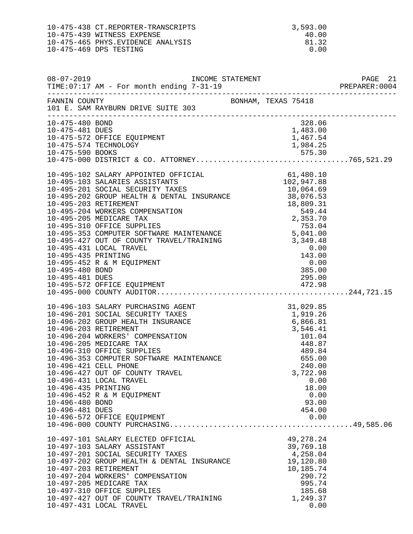10-475-438 CT.REPORTER-TRANSCRIPTS 3,593.00<br>10-475-439 WITNESS EXPENSE 30.00 10-475-439 WITNESS EXPENSE 40.00<br>10-475-465 PHYS.EVIDENCE ANALYSIS 40.00 10-475-465 PHYS.EVIDENCE ANALYSIS 81.32<br>10-475-469 DPS TESTING 81.32 10-475-469 DPS TESTING 0.00

| $08 - 07 - 2019$      | TIME: 07:17 AM - For month ending 7-31-19  |                                                                                                                                |      |
|-----------------------|--------------------------------------------|--------------------------------------------------------------------------------------------------------------------------------|------|
| FANNIN COUNTY         | 101 E. SAM RAYBURN DRIVE SUITE 303         | BONHAM, TEXAS 75418                                                                                                            |      |
| 10-475-480 BOND       |                                            | $\begin{array}{r} 328.06 \\ 328.06 \\ 1,483.00 \\ 1,467 \end{array}$                                                           |      |
| 10-475-481 DUES       |                                            |                                                                                                                                |      |
|                       | 10-475-572 OFFICE EQUIPMENT                |                                                                                                                                |      |
|                       | 10-475-574 TECHNOLOGY                      |                                                                                                                                |      |
|                       |                                            |                                                                                                                                |      |
|                       |                                            |                                                                                                                                |      |
|                       |                                            |                                                                                                                                |      |
|                       |                                            |                                                                                                                                |      |
|                       |                                            |                                                                                                                                |      |
|                       |                                            |                                                                                                                                |      |
|                       |                                            |                                                                                                                                |      |
|                       |                                            |                                                                                                                                |      |
|                       |                                            |                                                                                                                                |      |
|                       |                                            |                                                                                                                                |      |
|                       |                                            |                                                                                                                                |      |
|                       |                                            |                                                                                                                                |      |
|                       |                                            |                                                                                                                                |      |
|                       |                                            |                                                                                                                                |      |
|                       |                                            |                                                                                                                                |      |
|                       |                                            |                                                                                                                                |      |
|                       |                                            |                                                                                                                                |      |
|                       |                                            |                                                                                                                                |      |
|                       | 10-496-103 SALARY PURCHASING AGENT         | AGENT<br>ES 1,029.85<br>LES 1,919.26<br>ANCE 6,866.81<br>3,546.41<br>101.04<br>448.87<br>489.84<br>AINTENANCE 655.00<br>240.00 |      |
|                       | 10-496-201 SOCIAL SECURITY TAXES           |                                                                                                                                |      |
|                       | 10-496-202 GROUP HEALTH INSURANCE          |                                                                                                                                |      |
|                       | 10-496-203 RETIREMENT                      |                                                                                                                                |      |
|                       | 10-496-204 WORKERS' COMPENSATION           |                                                                                                                                |      |
|                       | 10-496-205 MEDICARE TAX                    |                                                                                                                                |      |
|                       | 10-496-310 OFFICE SUPPLIES                 |                                                                                                                                |      |
|                       | 10-496-353 COMPUTER SOFTWARE MAINTENANCE   |                                                                                                                                |      |
| 10-496-421 CELL PHONE |                                            | 240.00                                                                                                                         |      |
|                       | 10-496-427 OUT OF COUNTY TRAVEL            | 3,722.98                                                                                                                       |      |
| 10-496-435 PRINTING   | 10-496-431 LOCAL TRAVEL                    | 18.00                                                                                                                          | 0.00 |
|                       | 10-496-452 R & M EQUIPMENT                 |                                                                                                                                | 0.00 |
| 10-496-480 BOND       |                                            | 93.00                                                                                                                          |      |
| 10-496-481 DUES       |                                            | 454.00                                                                                                                         |      |
|                       | 10-496-572 OFFICE EQUIPMENT                |                                                                                                                                | 0.00 |
|                       |                                            |                                                                                                                                |      |
|                       | 10-497-101 SALARY ELECTED OFFICIAL         | 49, 278. 24                                                                                                                    |      |
|                       | 10-497-103 SALARY ASSISTANT                | 39,769.18                                                                                                                      |      |
|                       | 10-497-201 SOCIAL SECURITY TAXES           | 4,258.04                                                                                                                       |      |
|                       | 10-497-202 GROUP HEALTH & DENTAL INSURANCE | 19,120.80                                                                                                                      |      |
| 10-497-203 RETIREMENT |                                            | 10,185.74                                                                                                                      |      |
|                       | 10-497-204 WORKERS' COMPENSATION           | 290.72                                                                                                                         |      |
|                       | 10-497-205 MEDICARE TAX                    | 995.74                                                                                                                         |      |
|                       | 10-497-310 OFFICE SUPPLIES                 | 185.68                                                                                                                         |      |
|                       | 10-497-427 OUT OF COUNTY TRAVEL/TRAINING   | 1,249.37                                                                                                                       |      |
|                       | 10-497-431 LOCAL TRAVEL                    |                                                                                                                                | 0.00 |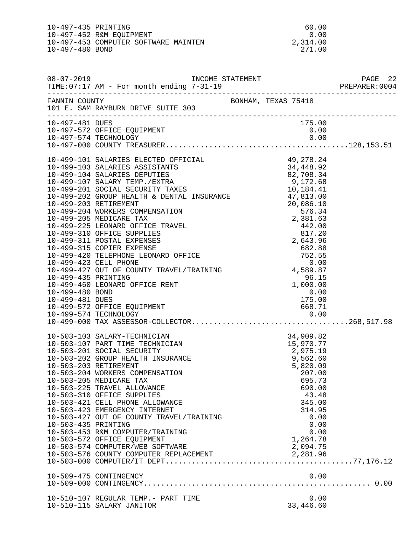10-497-435 PRINTING 60.00<br>10-497-452 R&M EQUIPMENT 60.00 10-497-452 R&M EQUIPMENT 0.00<br>10-497-453 COMPUTER SOFTWARE MAINTEN 2,314.00 10-497-453 COMPUTER SOFTWARE MAINTEN 2,314.00<br>10-497-480 BOND 271.00 10-497-480 BOND

| FANNIN COUNTY<br>101 E. SAM RAYBURN DRIVE SUITE 303<br>10-497-481 DUES<br>175.00<br>10-497-572 OFFICE EQUIPMENT<br>0.00<br>10-497-574 TECHNOLOGY<br>10-499-423 CELL PHONE 0.00<br>10-499-427 OUT OF COUNTY TRAVEL/TRAINING 4,589.87<br>10-499-435 PRINTING<br>96.15<br>$1,000.00$<br>0.00<br>10-499-460 LEONARD OFFICE RENT<br>10-499-480 BOND<br>0.00<br>10-499-481 DUES<br>175.00<br>10-503-103 SALARY-TECHNICIAN 34,909.82<br>10-503-107 PART TIME TECHNICIAN 15,970.77<br>10-503-201 SOCIAL SECURITY 2,975.19<br>10-503-202 GROUP HEALTH INSURANCE 9,562.60<br>10-503-203 RETIREMENT 5,820.09<br>10-503-204 WORKERS COMPENS<br>695.73<br>10-503-205 MEDICARE TAX<br>10-503-225 TRAVEL ALLOWANCE<br>690.00<br>10-503-310 OFFICE SUPPLIES<br>43.48<br>10-503-421 CELL PHONE ALLOWANCE<br>345.00<br>10-503-423 EMERGENCY INTERNET<br>314.95<br>10-503-427 OUT OF COUNTY TRAVEL/TRAINING<br>0.00<br>0.00<br>10-503-435 PRINTING<br>0.00<br>10-503-453 R&M COMPUTER/TRAINING<br>1,264.78<br>10-503-572 OFFICE EQUIPMENT<br>10-503-574 COMPUTER/WEB SOFTWARE<br>2,094.75<br>2,281.96<br>10-503-576 COUNTY COMPUTER REPLACEMENT<br>10-509-475 CONTINGENCY<br>0.00<br>10-510-107 REGULAR TEMP.- PART TIME<br>0.00<br>33,446.60<br>10-510-115 SALARY JANITOR |  |  |  |  |
|---------------------------------------------------------------------------------------------------------------------------------------------------------------------------------------------------------------------------------------------------------------------------------------------------------------------------------------------------------------------------------------------------------------------------------------------------------------------------------------------------------------------------------------------------------------------------------------------------------------------------------------------------------------------------------------------------------------------------------------------------------------------------------------------------------------------------------------------------------------------------------------------------------------------------------------------------------------------------------------------------------------------------------------------------------------------------------------------------------------------------------------------------------------------------------------------------------------------------------------------------------|--|--|--|--|
|                                                                                                                                                                                                                                                                                                                                                                                                                                                                                                                                                                                                                                                                                                                                                                                                                                                                                                                                                                                                                                                                                                                                                                                                                                                         |  |  |  |  |
|                                                                                                                                                                                                                                                                                                                                                                                                                                                                                                                                                                                                                                                                                                                                                                                                                                                                                                                                                                                                                                                                                                                                                                                                                                                         |  |  |  |  |
|                                                                                                                                                                                                                                                                                                                                                                                                                                                                                                                                                                                                                                                                                                                                                                                                                                                                                                                                                                                                                                                                                                                                                                                                                                                         |  |  |  |  |
|                                                                                                                                                                                                                                                                                                                                                                                                                                                                                                                                                                                                                                                                                                                                                                                                                                                                                                                                                                                                                                                                                                                                                                                                                                                         |  |  |  |  |
|                                                                                                                                                                                                                                                                                                                                                                                                                                                                                                                                                                                                                                                                                                                                                                                                                                                                                                                                                                                                                                                                                                                                                                                                                                                         |  |  |  |  |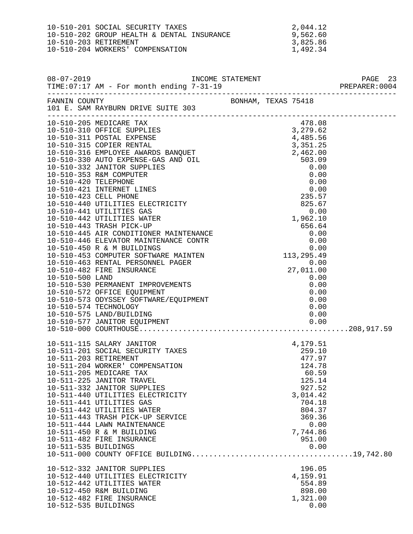| 10-510-201 SOCIAL SECURITY TAXES           | 2,044.12 |
|--------------------------------------------|----------|
| 10-510-202 GROUP HEALTH & DENTAL INSURANCE | 9,562.60 |
| 10-510-203 RETIREMENT                      | 3,825.86 |
| 10-510-204 WORKERS' COMPENSATION           | 1,492.34 |

|                      |                                                                                                                                                                                                                                                                                                                                                                                                                                                                                  |                                                                                                                                                                                                                                                                                                             | PAGE 23 |
|----------------------|----------------------------------------------------------------------------------------------------------------------------------------------------------------------------------------------------------------------------------------------------------------------------------------------------------------------------------------------------------------------------------------------------------------------------------------------------------------------------------|-------------------------------------------------------------------------------------------------------------------------------------------------------------------------------------------------------------------------------------------------------------------------------------------------------------|---------|
|                      | FANNIN COUNTY<br>101 E. SAM RAYBURN DRIVE SUITE 303                                                                                                                                                                                                                                                                                                                                                                                                                              | BONHAM, TEXAS 75418                                                                                                                                                                                                                                                                                         |         |
|                      |                                                                                                                                                                                                                                                                                                                                                                                                                                                                                  | $\begin{tabular}{l c c c} \hline 11 & 12.5AB KATBUMB DST020 & 0.00 \\ 10-510-205 MBDICARE TAX\\ 10-510-311. POSTB. EDFBNS & 3, 279.62 \\ 10-510-311. POSTB. EDFBNS & 4, 485.56 \\ 10-510-311. POSTB. EDFBNS & 4, 485.56 \\ 10-510-315. COPTLE. RERTAL & 4, 485.56 \\ 10-510-316. CMPD. RFERBNNL & 2, 462.0$ |         |
|                      |                                                                                                                                                                                                                                                                                                                                                                                                                                                                                  |                                                                                                                                                                                                                                                                                                             |         |
| 10-511-535 BUILDINGS | 10-511-115 SALARY JANITOR<br>10-511-201 SOCIAL SECURITY TAXES<br>10-511-203 RETIREMENT<br>10-511-204 WORKER' COMPENSATION<br>10-511-204 WORKER' COMPENSATION<br>124.78<br>124.78<br>60.59<br>10-511-225 JANITOR TRAVEL<br>10-511-332 JANITOR SUPPLIES<br>10-511-440 UTILITIES ELECTRICITY<br>10-511-441 UTILITIES GAS<br>10-511-442 UTILITIES WATER<br>10-511-443 TRASH PICK-UP SERVICE<br>10-511-444 LAWN MAINTENANCE<br>10-511-450 R & M BUILDING<br>10-511-482 FIRE INSURANCE | 125.14<br>927.52<br>3,014.42<br>704.18<br>804.37<br>369.36<br>0.00<br>7,744.86<br>951.00<br>0.00                                                                                                                                                                                                            |         |
| 10-512-535 BUILDINGS | 10-512-332 JANITOR SUPPLIES<br>10-512-440 UTILITIES ELECTRICITY<br>10-512-442 UTILITIES WATER<br>10-512-450 R&M BUILDING<br>10-512-482 FIRE INSURANCE                                                                                                                                                                                                                                                                                                                            | 196.05<br>4,159.91<br>554.89<br>898.00<br>1,321.00<br>0.00                                                                                                                                                                                                                                                  |         |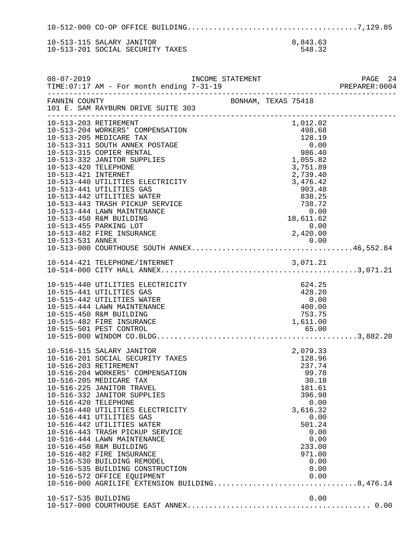10-512-000 CO-OP OFFICE BUILDING.......................................7,129.85 10-513-115 SALARY JANITOR 8,843.63<br>10-513-201 SOCIAL SECURITY TAXES 548.32 10-513-201 SOCIAL SECURITY TAXES

| $08 - 07 - 2019$                                                     | TIME: 07:17 AM - For month ending 7-31-19                                                                                                                                                                                                                                                                                                                                                                                                                                                                                                                            | INCOME STATEMENT     |                                                                                                                                                                      |                          |
|----------------------------------------------------------------------|----------------------------------------------------------------------------------------------------------------------------------------------------------------------------------------------------------------------------------------------------------------------------------------------------------------------------------------------------------------------------------------------------------------------------------------------------------------------------------------------------------------------------------------------------------------------|----------------------|----------------------------------------------------------------------------------------------------------------------------------------------------------------------|--------------------------|
| FANNIN COUNTY                                                        | 101 E. SAM RAYBURN DRIVE SUITE 303                                                                                                                                                                                                                                                                                                                                                                                                                                                                                                                                   | BONHAM, TEXAS 75418  |                                                                                                                                                                      | ________________________ |
| 10-513-203 RETIREMENT<br>10-513-420 TELEPHONE<br>10-513-421 INTERNET | 10-513-204 WORKERS' COMPENSATION<br>10-513-205 MEDICARE TAX<br>10-513-311 SOUTH ANNEX POSTAGE<br>10-513-315 COPIER RENTAL<br>10-513-332 JANITOR SUPPLIES<br>10-513-440 UTILITIES ELECTRICITY<br>10-513-441 UTILITIES GAS<br>10-513-442 UTILITIES WATER                                                                                                                                                                                                                                                                                                               | $3,476.42$<br>903.48 | 1,012.02<br>498.68<br>$\begin{array}{r} 498.68 \\ 128.19 \\ 0.00 \\ 986.40 \\ 1,055.82 \end{array}$<br>3,751.89<br>838.25                                            |                          |
|                                                                      | 10-513-443 TRASH PICKUP SERVICE<br>10-513-444 LAWN MAINTENANCE<br>10-513-450 R&M BUILDING<br>10-513-455 PARKING LOT<br>10-513-482 FIRE INSURANCE                                                                                                                                                                                                                                                                                                                                                                                                                     | $\frac{18}{10}$      | 738.72<br>0.00<br>18,611.62<br>0.00<br>2,420.00                                                                                                                      |                          |
|                                                                      |                                                                                                                                                                                                                                                                                                                                                                                                                                                                                                                                                                      |                      |                                                                                                                                                                      |                          |
|                                                                      | 10-515-440 UTILITIES ELECTRICITY<br>10-515-441 UTILITIES GAS<br>10-515-442 UTILITIES WATER<br>10-515-444 LAWN MAINTENANCE<br>10-515-450 R&M BUILDING<br>10-515-482 FIRE INSURANCE                                                                                                                                                                                                                                                                                                                                                                                    |                      | 624.25<br>428.20<br>0.00<br>$0.00$<br>$400.00$<br>753.75<br>1,611.00                                                                                                 |                          |
| 10-516-203 RETIREMENT<br>10-516-420 TELEPHONE                        | 10-516-115 SALARY JANITOR<br>10-516-201 SOCIAL SECURITY TAXES<br>10-516-204 WORKERS' COMPENSATION<br>10-516-205 MEDICARE TAX<br>10-516-225 JANITOR TRAVEL<br>10-516-332 JANITOR SUPPLIES<br>10-516-440 UTILITIES ELECTRICITY<br>10-516-441 UTILITIES GAS<br>10-516-442 UTILITIES WATER<br>10-516-443 TRASH PICKUP SERVICE<br>10-516-444 LAWN MAINTENANCE<br>10-516-450 R&M BUILDING<br>10-516-482 FIRE INSURANCE<br>10-516-530 BUILDING REMODEL<br>10-516-535 BUILDING CONSTRUCTION<br>10-516-572 OFFICE EQUIPMENT<br>10-516-000 AGRILIFE EXTENSION BUILDING8,476.14 |                      | 2,079.33<br>128.96<br>237.74<br>99.78<br>30.18<br>181.61<br>396.98<br>0.00<br>3,616.32<br>0.00<br>501.24<br>0.00<br>0.00<br>233.00<br>971.00<br>0.00<br>0.00<br>0.00 |                          |
| 10-517-535 BUILDING                                                  |                                                                                                                                                                                                                                                                                                                                                                                                                                                                                                                                                                      |                      | 0.00                                                                                                                                                                 |                          |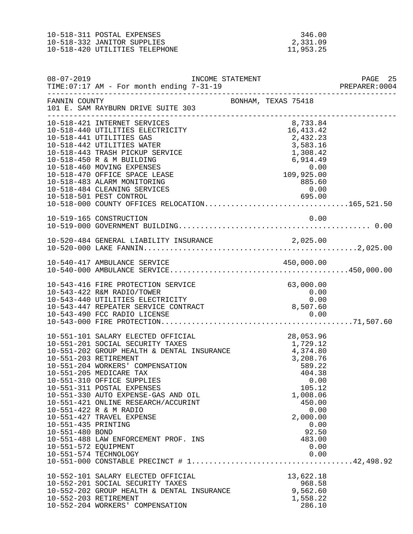10-518-311 POSTAL EXPENSES 346.00<br>10-518-332 JANITOR SUPPLIES 2,331.09 10-518-332 JANITOR SUPPLIES<br>10-518-420 UTILITIES TELEPHONE 11,953.25 10-518-420 UTILITIES TELEPHONE

| $08 - 07 - 2019$                                                                        | TIME: 07:17 AM - For month ending 7-31-19                                                                                                                                                                                                                                                                                                                                                                                                                                                                                                                                  | INCOME STATEMENT |                                                                                                                                                  | PAGE 25<br>PREPARER: 0004 |
|-----------------------------------------------------------------------------------------|----------------------------------------------------------------------------------------------------------------------------------------------------------------------------------------------------------------------------------------------------------------------------------------------------------------------------------------------------------------------------------------------------------------------------------------------------------------------------------------------------------------------------------------------------------------------------|------------------|--------------------------------------------------------------------------------------------------------------------------------------------------|---------------------------|
| FANNIN COUNTY                                                                           | 101 E. SAM RAYBURN DRIVE SUITE 303                                                                                                                                                                                                                                                                                                                                                                                                                                                                                                                                         |                  | BONHAM, TEXAS 75418                                                                                                                              |                           |
|                                                                                         | 10-518-421 INTERNET SERVICES<br>10-518-440 UTILITIES ELECTRICITY<br>10-518-441 UTILITIES GAS<br>10-518-442 UTILITIES WATER<br>10-518-443 TRASH PICKUP SERVICE<br>10-518-450 R & M BUILDING<br>10-518-460 MOVING EXPENSES<br>10-518-470 OFFICE SPACE LEASE<br>10-518-483 ALARM MONITORING<br>10-518-484 CLEANING SERVICES<br>10-518-501 PEST CONTROL<br>10-518-000 COUNTY OFFICES RELOCATION165,521.50                                                                                                                                                                      |                  | 8,733.84<br>16, 413. 42<br>2,432.23<br>3,583.16<br>1,308.42<br>6,914.49<br>0.00<br>$109,925.00$<br>885.60<br>0.00<br>0.00<br>695.00              |                           |
|                                                                                         |                                                                                                                                                                                                                                                                                                                                                                                                                                                                                                                                                                            |                  |                                                                                                                                                  |                           |
|                                                                                         |                                                                                                                                                                                                                                                                                                                                                                                                                                                                                                                                                                            |                  |                                                                                                                                                  |                           |
|                                                                                         | 10-540-417 AMBULANCE SERVICE                                                                                                                                                                                                                                                                                                                                                                                                                                                                                                                                               |                  | 450,000.00                                                                                                                                       |                           |
|                                                                                         | 10-543-416 FIRE PROTECTION SERVICE<br>10-543-422 R&M RADIO/TOWER<br>10-543-440 UTILITIES ELECTRICITY<br>10-543-440 UTILITIES ELECTRICITY<br>10-543-447 REPEATER SERVICE CONTRACT                                                                                                                                                                                                                                                                                                                                                                                           |                  | 63,000.00<br>$\begin{array}{c} 0\,.\,00 \ 0\,. \ 00 \end{array}$<br>8,507.60                                                                     |                           |
| 10-551-203 RETIREMENT<br>10-551-435 PRINTING<br>10-551-480 BOND<br>10-551-572 EQUIPMENT | 10-551-101 SALARY ELECTED OFFICIAL<br>10-551-101 SALARY ELECTED OFFICIAL 28,053.96<br>10-551-201 SOCIAL SECURITY TAXES 1,729.12<br>10-551-202 GROUP HEALTH & DENTAL INSURANCE 4,374.80<br>10-551-204 WORKERS' COMPENSATION<br>10-551-205 MEDICARE TAX<br>10-551-310 OFFICE SUPPLIES<br>10-551-311 POSTAL EXPENSES<br>10-551-330 AUTO EXPENSE-GAS AND OIL<br>10-551-421 ONLINE RESEARCH/ACCURINT<br>10-551-422 R & M RADIO<br>10-551-427 TRAVEL EXPENSE<br>10-551-488 LAW ENFORCEMENT PROF. INS<br>10-551-574 TECHNOLOGY<br>$10-551-000$ CONSTABLE PRECINCT # $1$ 42,498.92 |                  | 28,053.96<br>3,208.76<br>589.22<br>404.38<br>0.00<br>105.12<br>1,008.06<br>450.00<br>0.00<br>2,000.00<br>0.00<br>92.50<br>483.00<br>0.00<br>0.00 |                           |
|                                                                                         | 10-552-101 SALARY ELECTED OFFICIAL<br>10-552-201 SOCIAL SECURITY TAXES<br>10-552-202 GROUP HEALTH & DENTAL INSURANCE<br>10-552-203 RETIREMENT<br>10-552-204 WORKERS' COMPENSATION                                                                                                                                                                                                                                                                                                                                                                                          |                  | 13,622.18<br>968.58<br>9,562.60<br>1,558.22<br>286.10                                                                                            |                           |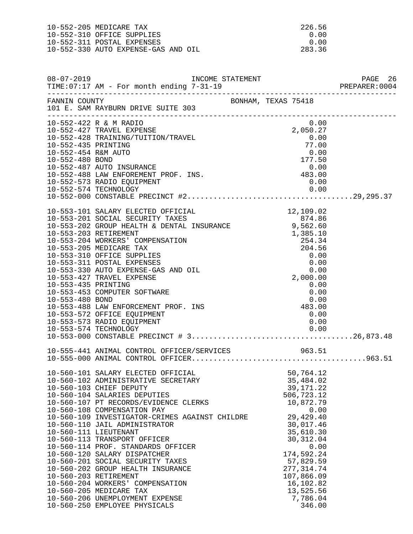10-552-205 MEDICARE TAX 226.56<br>10-552-310 OFFICE SUPPLIES 200 10-552-310 OFFICE SUPPLIES 0.00 10-552-311 POSTAL EXPENSES 0.00<br>10-552-330 AUTO EXPENSE-GAS AND OIL 283.36 10-552-330 AUTO EXPENSE-GAS AND OIL

| $08 - 07 - 2019$                           | TIME: 07:17 AM - For month ending 7-31-19                                                                                                                                                                    | INCOME STATEMENT |                                                                                |                                                                          | PAGE 26<br>PREPARER: 0004 |
|--------------------------------------------|--------------------------------------------------------------------------------------------------------------------------------------------------------------------------------------------------------------|------------------|--------------------------------------------------------------------------------|--------------------------------------------------------------------------|---------------------------|
|                                            | FANNIN COUNTY<br>101 E. SAM RAYBURN DRIVE SUITE 303                                                                                                                                                          |                  |                                                                                |                                                                          |                           |
| 10-552-435 PRINTING<br>10-552-454 R&M AUTO | 10-552-422 R & M RADIO<br>10-552-427 TRAVEL EXPENSE<br>10-552-428 TRAINING/TUITION/TRAVEL                                                                                                                    |                  |                                                                                | 0.00<br>2,050.27<br>0.00<br>77.00<br>0.00                                |                           |
| 10-552-480 BOND                            | 10-552-487 AUTO INSURANCE<br>10-552-488 LAW ENFOREMENT PROF. INS.<br>10-552-573 RADIO EQUIPMENT                                                                                                              |                  |                                                                                | 177.50<br>$0.00$<br>$483.00$<br>0.00                                     |                           |
|                                            |                                                                                                                                                                                                              |                  |                                                                                |                                                                          |                           |
|                                            | 10-553-101 SALARY ELECTED OFFICIAL<br>2002 2012 SOCIAL SECURITY TAXES<br>10-553-202 GROUP HEALTH & DENTAL INSURANCE<br>10-553-203 RETIREMENT<br>10-553-204 WORKERS' COMPENSATION<br>10-553-205 MEDICARE TAX  |                  |                                                                                | 12,109.02                                                                |                           |
| 10-553-435 PRINTING                        | 10-553-310 OFFICE SUPPLIES<br>10-553-311 POSTAL EXPENSES<br>10-553-330 AUTO EXPENSE-GAS AND OIL<br>10-553-427 TRAVEL EXPENSE<br>10-553-453 COMPUTER SOFTWARE                                                 |                  | $1,385.10$<br>$254.34$<br>$204.56$<br>$0.00$<br>$0.00$<br>$0.00$<br>$2,000.00$ | 0.00<br>0.00                                                             |                           |
| 10-553-480 BOND                            | 10-553-488 LAW ENFORCEMENT PROF. INS<br>10-553-572 OFFICE EQUIPMENT<br>10-553-573 RADIO EQUIPMENT                                                                                                            |                  |                                                                                | 0.00<br>$0.00$<br>$483.00$<br>0.00<br>0.00                               |                           |
|                                            |                                                                                                                                                                                                              |                  |                                                                                |                                                                          |                           |
|                                            |                                                                                                                                                                                                              |                  |                                                                                |                                                                          |                           |
|                                            | 10-560-101 SALARY ELECTED OFFICIAL<br>10-560-102 ADMINISTRATIVE SECRETARY<br>10-560-103 CHIEF DEPUTY<br>10-560-104 SALARIES DEPUTIES<br>10-560-107 PT RECORDS/EVIDENCE CLERKS<br>10-560-108 COMPENSATION PAY |                  |                                                                                | 50,764.12<br>35,484.02<br>39, 171. 22<br>506,723.12<br>10,872.79<br>0.00 |                           |
|                                            | 10-560-109 INVESTIGATOR-CRIMES AGAINST CHILDRE<br>10-560-110 JAIL ADMINISTRATOR<br>10-560-111 LIEUTENANT<br>10-560-113 TRANSPORT OFFICER<br>10-560-114 PROF. STANDARDS OFFICER                               |                  |                                                                                | 29,429.40<br>30,017.46<br>35,610.30<br>30, 312.04<br>0.00                |                           |
|                                            | 10-560-120 SALARY DISPATCHER<br>10-560-201 SOCIAL SECURITY TAXES<br>10-560-202 GROUP HEALTH INSURANCE<br>10-560-203 RETIREMENT<br>10-560-204 WORKERS' COMPENSATION                                           |                  |                                                                                | 174,592.24<br>57,829.59<br>277, 314.74<br>107,866.09<br>16,102.82        |                           |
|                                            | 10-560-205 MEDICARE TAX<br>10-560-206 UNEMPLOYMENT EXPENSE<br>10-560-250 EMPLOYEE PHYSICALS                                                                                                                  |                  |                                                                                | 13,525.56<br>7,786.04<br>346.00                                          |                           |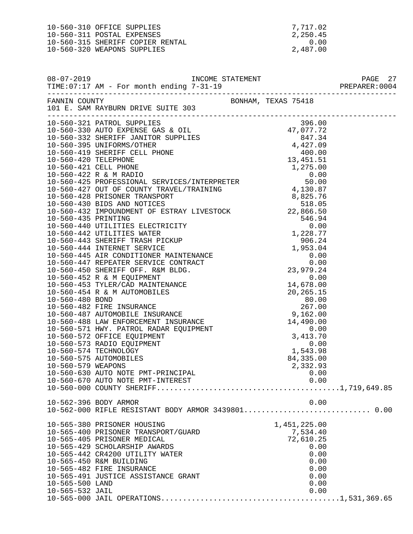10-560-310 OFFICE SUPPLIES 7,717.02<br>10-560-311 POSTAL EXPENSES 2,250.45 10-560-311 POSTAL EXPENSES 2,250.45<br>10-560-315 SHERIFF COPIER RENTAL 2,250.45 10-560-315 SHERIFF COPIER RENTAL 0.00<br>10-560-320 WEAPONS SUPPLIES 2,487.00 10-560-320 WEAPONS SUPPLIES

| $08 - 07 - 2019$                   | TIME: 07:17 AM - For month ending 7-31-19                                                                                                                                                                                                                            |  |                                                                                               | PAGE 27<br>PREPARER: 0004 |
|------------------------------------|----------------------------------------------------------------------------------------------------------------------------------------------------------------------------------------------------------------------------------------------------------------------|--|-----------------------------------------------------------------------------------------------|---------------------------|
|                                    | FANNIN COUNTY<br>101 E. SAM RAYBURN DRIVE SUITE 303                                                                                                                                                                                                                  |  |                                                                                               |                           |
|                                    |                                                                                                                                                                                                                                                                      |  | 0.00                                                                                          |                           |
|                                    | 10-562-396 BODY ARMOR                                                                                                                                                                                                                                                |  | 0.00                                                                                          |                           |
| 10-565-500 LAND<br>10-565-532 JAIL | 10-565-380 PRISONER HOUSING<br>10-565-400 PRISONER TRANSPORT/GUARD<br>10-565-405 PRISONER MEDICAL<br>10-565-429 SCHOLARSHIP AWARDS<br>10-565-442 CR4200 UTILITY WATER<br>10-565-450 R&M BUILDING<br>10-565-482 FIRE INSURANCE<br>10-565-491 JUSTICE ASSISTANCE GRANT |  | 1,451,225.00<br>7,534.40<br>72,610.25<br>0.00<br>0.00<br>0.00<br>0.00<br>0.00<br>0.00<br>0.00 |                           |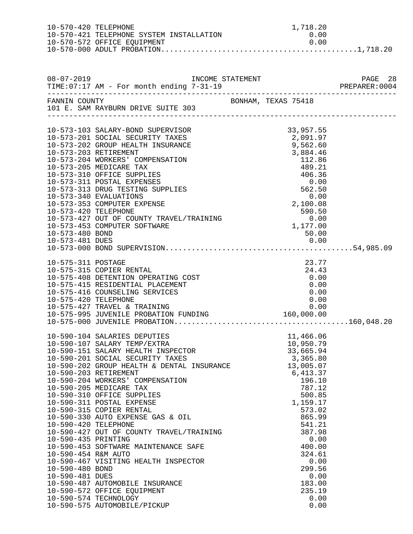| 10-570-420 TELEPHONE                                                                                     | 10-570-421 TELEPHONE SYSTEM INSTALLATION                                                                                                                                                                                                                                                                                                                                                                                                                                                                                                                                                                                                                        | 1,718.20<br>0.00                                                                                                                                                                                                                                     |                          |
|----------------------------------------------------------------------------------------------------------|-----------------------------------------------------------------------------------------------------------------------------------------------------------------------------------------------------------------------------------------------------------------------------------------------------------------------------------------------------------------------------------------------------------------------------------------------------------------------------------------------------------------------------------------------------------------------------------------------------------------------------------------------------------------|------------------------------------------------------------------------------------------------------------------------------------------------------------------------------------------------------------------------------------------------------|--------------------------|
|                                                                                                          |                                                                                                                                                                                                                                                                                                                                                                                                                                                                                                                                                                                                                                                                 |                                                                                                                                                                                                                                                      |                          |
|                                                                                                          |                                                                                                                                                                                                                                                                                                                                                                                                                                                                                                                                                                                                                                                                 |                                                                                                                                                                                                                                                      |                          |
|                                                                                                          | BONHAM, TEXAS 75418<br>101 E. SAM RAYBURN DRIVE SUITE 303<br>------------                                                                                                                                                                                                                                                                                                                                                                                                                                                                                                                                                                                       |                                                                                                                                                                                                                                                      | ________________________ |
| 10-573-420 TELEPHONE<br>10-573-480 BOND<br>10-573-481 DUES                                               | 10-573-103 SALARY-BOND SUPERVISOR<br>10-573-201 SOCIAL SECURITY TAXES<br>10-573-202 GROUP HEALTH INSURANCE<br>10-573-203 RETIREMENT<br>10-573-204 WORKERS' COMPENSATION<br>10-573-205 MEDICARE TAX<br>10-573-310 OFFICE SUPPLIES<br>10-573-311 POSTAL EXPENSES<br>10-573-313 DRUG TESTING SUPPLIES<br>10-573-340 EVALUATIONS<br>10-573-353 COMPUTER EXPENSE<br>10-573-427 OUT OF COUNTY TRAVEL/TRAINING<br>10-573-453 COMPUTER SOFTWARE                                                                                                                                                                                                                         | 33,957.55<br>2,091.97<br>9,562.60<br>3,884.46<br>112.86<br>489.21<br>406.36<br>0.00<br>562.50<br>0.00<br>2,100.08<br>590.50<br>0.00<br>1,177.00<br>50.00                                                                                             |                          |
| 10-575-311 POSTAGE<br>10-575-420 TELEPHONE                                                               | 10-575-315 COPIER RENTAL<br>10-575-408 DETENTION OPERATING COST<br>10-575-415 RESIDENTIAL PLACEMENT<br>10-575-416 COUNSELING SERVICES<br>10-575-427 TRAVEL & TRAINING<br>10-575-995 JUVENILE PROBATION FUNDING 160,000.00                                                                                                                                                                                                                                                                                                                                                                                                                                       | 23.77<br>24.43<br>0.00<br>0.00<br>0.00<br>0.00<br>0.00                                                                                                                                                                                               |                          |
| 10-590-420 TELEPHONE<br>10-590-435 PRINTING<br>10-590-454 R&M AUTO<br>10-590-480 BOND<br>10-590-481 DUES | 10-590-104 SALARIES DEPUTIES<br>10-590-107 SALARY TEMP/EXTRA<br>10-590-151 SALARY HEALTH INSPECTOR<br>10-590-201 SOCIAL SECURITY TAXES<br>10-590-202 GROUP HEALTH & DENTAL INSURANCE<br>10-590-203 RETIREMENT<br>10-590-204 WORKERS' COMPENSATION<br>10-590-205 MEDICARE TAX<br>10-590-310 OFFICE SUPPLIES<br>10-590-311 POSTAL EXPENSE<br>10-590-315 COPIER RENTAL<br>10-590-330 AUTO EXPENSE GAS & OIL<br>10-590-427 OUT OF COUNTY TRAVEL/TRAINING<br>10-590-453 SOFTWARE MAINTENANCE SAFE<br>10-590-467 VISITING HEALTH INSPECTOR<br>10-590-487 AUTOMOBILE INSURANCE<br>10-590-572 OFFICE EQUIPMENT<br>10-590-574 TECHNOLOGY<br>10-590-575 AUTOMOBILE/PICKUP | 11,466.06<br>10,950.79<br>33,665.94<br>3,365.80<br>13,005.07<br>6,413.37<br>196.10<br>787.12<br>500.85<br>1,159.17<br>573.02<br>865.99<br>541.21<br>387.98<br>0.00<br>400.00<br>324.61<br>0.00<br>299.56<br>0.00<br>183.00<br>235.19<br>0.00<br>0.00 |                          |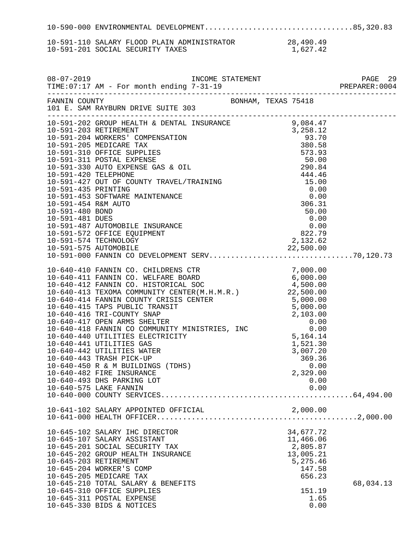10-590-000 ENVIRONMENTAL DEVELOPMENT..................................85,320.83 10-591-110 SALARY FLOOD PLAIN ADMINISTRATOR 28,490.49<br>10-591-201 SOCIAL SECURITY TAXES 1,627.42 10-591-201 SOCIAL SECURITY TAXES 08-07-2019 INCOME STATEMENT PAGE 29

| FANNIN COUNTY BONHAM, TEXAS 75418<br>101 E. SAM RAYBURN DRIVE SUITE 303                                                                                                                                                                                                                  |                                                                                           |           |
|------------------------------------------------------------------------------------------------------------------------------------------------------------------------------------------------------------------------------------------------------------------------------------------|-------------------------------------------------------------------------------------------|-----------|
|                                                                                                                                                                                                                                                                                          |                                                                                           |           |
|                                                                                                                                                                                                                                                                                          |                                                                                           |           |
| 10-640-575 LAKE FANNIN                                                                                                                                                                                                                                                                   | 0.00                                                                                      |           |
|                                                                                                                                                                                                                                                                                          |                                                                                           |           |
| 10-645-102 SALARY IHC DIRECTOR<br>10-645-107 SALARY ASSISTANT<br>10-645-201 SOCIAL SECURITY TAX<br>10-645-202 GROUP HEALTH INSURANCE<br>10-645-203 RETIREMENT<br>10-645-204 WORKER'S COMP<br>10-645-205 MEDICARE TAX<br>10-645-210 TOTAL SALARY & BENEFITS<br>10-645-310 OFFICE SUPPLIES | 34,677.72<br>11,466.06<br>2,805.87<br>13,005.21<br>5,275.46<br>147.58<br>656.23<br>151.19 | 68,034.13 |
| 10-645-311 POSTAL EXPENSE<br>10-645-330 BIDS & NOTICES                                                                                                                                                                                                                                   | 1.65<br>0.00                                                                              |           |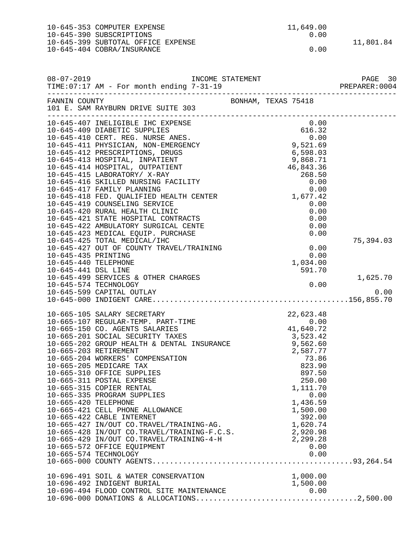|                      | 10-645-353 COMPUTER EXPENSE                                                                                                                                                                                                                | 11,649.00           |           |
|----------------------|--------------------------------------------------------------------------------------------------------------------------------------------------------------------------------------------------------------------------------------------|---------------------|-----------|
|                      | 10-645-390 SUBSCRIPTIONS                                                                                                                                                                                                                   | 0.00                |           |
|                      | 10-645-399 SUBTOTAL OFFICE EXPENSE                                                                                                                                                                                                         |                     | 11,801.84 |
|                      | 10-645-404 COBRA/INSURANCE                                                                                                                                                                                                                 | 0.00                |           |
|                      |                                                                                                                                                                                                                                            |                     |           |
|                      |                                                                                                                                                                                                                                            |                     |           |
| $08 - 07 - 2019$     | INCOME STATEMENT                                                                                                                                                                                                                           |                     | PAGE 30   |
|                      | TIME: 07:17 AM - For month ending 7-31-19                                                                                                                                                                                                  |                     |           |
|                      |                                                                                                                                                                                                                                            |                     |           |
| FANNIN COUNTY        |                                                                                                                                                                                                                                            | BONHAM, TEXAS 75418 |           |
|                      | 101 E. SAM RAYBURN DRIVE SUITE 303                                                                                                                                                                                                         |                     |           |
|                      | 10-645-407 INELIGIBLE IHC EXPENSE                                                                                                                                                                                                          | 0.00                |           |
|                      | 10-645-409 DIABETIC SUPPLIES                                                                                                                                                                                                               | 616.32              |           |
|                      | 10-645-410 CERT. REG. NURSE ANES.                                                                                                                                                                                                          |                     |           |
|                      | 10-645-411 PHYSICIAN, NON-EMERGENCY                                                                                                                                                                                                        | 0.00<br>9,521.69    |           |
|                      | 10-645-412 PRESCRIPTIONS, DRUGS                                                                                                                                                                                                            | 6,598.03            |           |
|                      | 10-645-413 HOSPITAL, INPATIENT                                                                                                                                                                                                             | 9,868.71            |           |
|                      | 10-645-414 HOSPITAL, OUTPATIENT                                                                                                                                                                                                            | 46,843.36           |           |
|                      | 10-645-415 LABORATORY/ X-RAY                                                                                                                                                                                                               | 268.50              |           |
|                      | 10-645-416 SKILLED NURSING FACILITY                                                                                                                                                                                                        | 0.00                |           |
|                      | 10-645-417 FAMILY PLANNING                                                                                                                                                                                                                 | 0.00                |           |
|                      | 10-645-418 FED. QUALIFIED HEALTH CENTER                                                                                                                                                                                                    | 1,677.42            |           |
|                      | 10-645-419 COUNSELING SERVICE                                                                                                                                                                                                              | 0.00                |           |
|                      | 10-645-420 RURAL HEALTH CLINIC                                                                                                                                                                                                             | 0.00                |           |
|                      | 10-645-421 STATE HOSPITAL CONTRACTS                                                                                                                                                                                                        | 0.00                |           |
|                      | 10-645-422 AMBULATORY SURGICAL CENTE                                                                                                                                                                                                       | 0.00                |           |
|                      | 10-645-423 MEDICAL EQUIP. PURCHASE                                                                                                                                                                                                         | 0.00                |           |
|                      | 10-645-425 TOTAL MEDICAL/IHC                                                                                                                                                                                                               |                     | 75,394.03 |
|                      | 10-645-427 OUT OF COUNTY TRAVEL/TRAINING                                                                                                                                                                                                   | 0.00                |           |
| 10-645-435 PRINTING  |                                                                                                                                                                                                                                            | 0.00                |           |
| 10-645-440 TELEPHONE |                                                                                                                                                                                                                                            | 1,034.00            |           |
| 10-645-441 DSL LINE  |                                                                                                                                                                                                                                            | 591.70              |           |
|                      | 10-645-499 SERVICES & OTHER CHARGES                                                                                                                                                                                                        |                     | 1,625.70  |
|                      | 10-645-574 TECHNOLOGY<br>10-645-599 CAPITAL OUTLAY                                                                                                                                                                                         | 0.00                | 0.00      |
|                      |                                                                                                                                                                                                                                            |                     |           |
|                      |                                                                                                                                                                                                                                            |                     |           |
|                      | 10-665-105 SALARY SECRETARY                                                                                                                                                                                                                | 22,623.48           |           |
|                      | 10-665-107 REGULAR-TEMP. PART-TIME                                                                                                                                                                                                         | 0.00                |           |
|                      | 10-665-150 CO. AGENTS SALARIES                                                                                                                                                                                                             | 41,640.72           |           |
|                      | 10-665-201 SOCIAL SECURITY TAXES                                                                                                                                                                                                           | 3,523.42            |           |
|                      | 10-665-201 SOCIAL SECURITY TAXES<br>10-665-202 GROUP HEALTH & DENTAL INSURANCE                     9,562.60                                                                                                                                |                     |           |
|                      | 10-665-203 RETIREMENT                                                                                                                                                                                                                      | 2,587.77            |           |
|                      | 10-665-204 WORKERS' COMPENSATION                                                                                                                                                                                                           | 73.86               |           |
|                      | 10-665-205 MEDICARE TAX                                                                                                                                                                                                                    | 823.90              |           |
|                      | 10-665-310 OFFICE SUPPLIES                                                                                                                                                                                                                 | 897.50              |           |
|                      | 10-665-311 POSTAL EXPENSE                                                                                                                                                                                                                  | 250.00              |           |
|                      | 10-665-315 COPIER RENTAL                                                                                                                                                                                                                   | 1,111.70            |           |
|                      | 10-665-335 PROGRAM SUPPLIES                                                                                                                                                                                                                | 0.00                |           |
|                      |                                                                                                                                                                                                                                            |                     |           |
|                      |                                                                                                                                                                                                                                            |                     |           |
|                      |                                                                                                                                                                                                                                            |                     |           |
|                      |                                                                                                                                                                                                                                            |                     |           |
|                      | 10-665-420 TELEPHONE<br>10-665-420 TELEPHONE<br>10-665-421 CELL PHONE ALLOWANCE<br>10-665-422 CABLE INTERNET<br>10-665-427 IN/OUT CO.TRAVEL/TRAINING-AG.<br>10-665-428 IN/OUT CO.TRAVEL/TRAINING-F.C.S.<br>10-665-429 IN/OUT CO.TRAVEL/TRA |                     |           |
|                      | 10-665-572 OFFICE EQUIPMENT                                                                                                                                                                                                                | 0.00                |           |
|                      |                                                                                                                                                                                                                                            |                     |           |
|                      |                                                                                                                                                                                                                                            |                     |           |
|                      |                                                                                                                                                                                                                                            |                     |           |
|                      | 10-696-491 SOIL & WATER CONSERVATION                                                                                                                                                                                                       | 1,000.00            |           |
|                      |                                                                                                                                                                                                                                            |                     |           |
|                      |                                                                                                                                                                                                                                            |                     |           |
|                      |                                                                                                                                                                                                                                            |                     |           |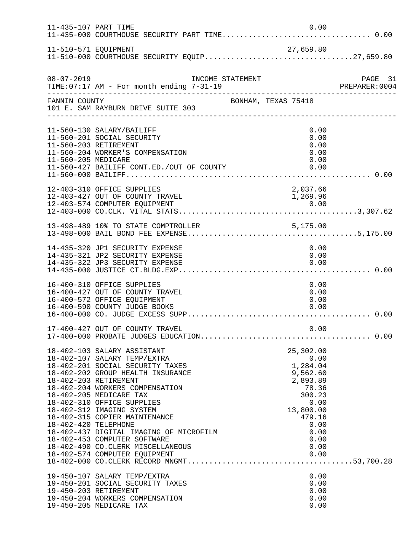| 11-435-107 PART TIME |                                                                                                                                                                                                                                                                                                                                                                                                                                                                          | 0.00                                                                                                                                            |         |
|----------------------|--------------------------------------------------------------------------------------------------------------------------------------------------------------------------------------------------------------------------------------------------------------------------------------------------------------------------------------------------------------------------------------------------------------------------------------------------------------------------|-------------------------------------------------------------------------------------------------------------------------------------------------|---------|
| 11-510-571 EQUIPMENT |                                                                                                                                                                                                                                                                                                                                                                                                                                                                          | 27,659.80                                                                                                                                       |         |
| $08 - 07 - 2019$     | INCOME STATEMENT                                                                                                                                                                                                                                                                                                                                                                                                                                                         |                                                                                                                                                 | PAGE 31 |
| FANNIN COUNTY        | 101 E. SAM RAYBURN DRIVE SUITE 303                                                                                                                                                                                                                                                                                                                                                                                                                                       | BONHAM, TEXAS 75418                                                                                                                             |         |
| 11-560-205 MEDICARE  | 11-560-130 SALARY/BAILIFF<br>11-560-201 SOCIAL SECURITY<br>11-560-203 RETIREMENT<br>11-560-204 WORKER'S COMPENSATION<br>11-560-427 BAILIFF CONT.ED./OUT OF COUNTY                                                                                                                                                                                                                                                                                                        | 0.00<br>0.00<br>0.00<br>0.00<br>0.00<br>0.00                                                                                                    |         |
|                      | 12-403-310 OFFICE SUPPLIES                                                                                                                                                                                                                                                                                                                                                                                                                                               | 2,037.66                                                                                                                                        |         |
|                      |                                                                                                                                                                                                                                                                                                                                                                                                                                                                          |                                                                                                                                                 |         |
|                      | 14-435-320 JP1 SECURITY EXPENSE<br>14-435-321 JP2 SECURITY EXPENSE<br>14-435-322 JP3 SECURITY EXPENSE                                                                                                                                                                                                                                                                                                                                                                    | 0.00<br>0.00<br>0.00                                                                                                                            |         |
|                      | 16-400-310 OFFICE SUPPLIES<br>16-400-427 OUT OF COUNTY TRAVEL<br>16-400-572 OFFICE EQUIPMENT<br>16-400-590 COUNTY JUDGE BOOKS                                                                                                                                                                                                                                                                                                                                            | 0.00<br>0.00<br>0.00<br>0.00                                                                                                                    |         |
|                      |                                                                                                                                                                                                                                                                                                                                                                                                                                                                          |                                                                                                                                                 |         |
| 18-402-420 TELEPHONE | 18-402-103 SALARY ASSISTANT<br>18-402-107 SALARY TEMP/EXTRA<br>18-402-201 SOCIAL SECURITY TAXES<br>18-402-202 GROUP HEALTH INSURANCE<br>18-402-203 RETIREMENT<br>18-402-204 WORKERS COMPENSATION<br>18-402-205 MEDICARE TAX<br>18-402-310 OFFICE SUPPLIES<br>18-402-312 IMAGING SYSTEM<br>18-402-315 COPIER MAINTENANCE<br>18-402-437 DIGITAL IMAGING OF MICROFILM<br>18-402-453 COMPUTER SOFTWARE<br>18-402-490 CO.CLERK MISCELLANEOUS<br>18-402-574 COMPUTER EQUIPMENT | 25,302.00<br>0.00<br>1,284.04<br>9,562.60<br>2,893.89<br>78.36<br>300.23<br>0.00<br>13,800.00<br>479.16<br>0.00<br>0.00<br>0.00<br>0.00<br>0.00 |         |
|                      | 19-450-107 SALARY TEMP/EXTRA<br>19-450-201 SOCIAL SECURITY TAXES<br>19-450-203 RETIREMENT<br>19-450-204 WORKERS COMPENSATION<br>19-450-205 MEDICARE TAX                                                                                                                                                                                                                                                                                                                  | 0.00<br>0.00<br>0.00<br>0.00<br>0.00                                                                                                            |         |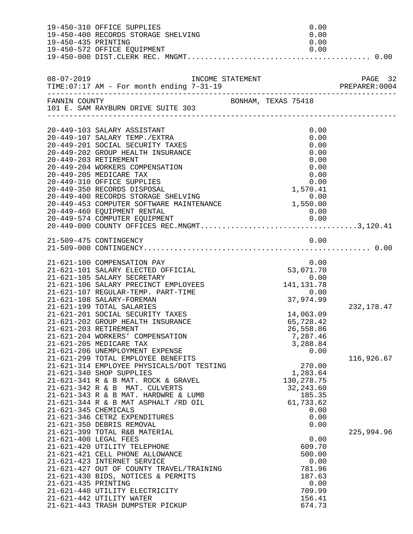| 19-450-435 PRINTING  | 19-450-310 OFFICE SUPPLIES<br>19-450-400 RECORDS STORAGE SHELVING<br>19-450-572 OFFICE EQUIPMENT | 0.00<br>0.00<br>0.00<br>0.00 |            |
|----------------------|--------------------------------------------------------------------------------------------------|------------------------------|------------|
|                      |                                                                                                  |                              |            |
|                      |                                                                                                  |                              |            |
| FANNIN COUNTY        | BONHAM, TEXAS 75418<br>101 E. SAM RAYBURN DRIVE SUITE 303                                        |                              |            |
|                      | 20-449-103 SALARY ASSISTANT                                                                      | 0.00                         |            |
|                      | 20-449-107 SALARY TEMP./EXTRA                                                                    | 0.00                         |            |
|                      | 20-449-201 SOCIAL SECURITY TAXES                                                                 | 0.00                         |            |
|                      | 20-449-202 GROUP HEALTH INSURANCE                                                                | 0.00                         |            |
|                      | 20-449-203 RETIREMENT<br>20-449-204 WORKERS COMPENSATION                                         | 0.00<br>0.00                 |            |
|                      | 20-449-205 MEDICARE TAX                                                                          | 0.00                         |            |
|                      | 20-449-310 OFFICE SUPPLIES                                                                       | 0.00                         |            |
|                      | 20-449-350 RECORDS DISPOSAL                                                                      | 1,570.41                     |            |
|                      | 20-449-400 RECORDS STORAGE SHELVING                                                              | 0.00                         |            |
|                      | 20-449-453 COMPUTER SOFTWARE MAINTENANCE 1,550.00                                                |                              |            |
|                      | 20-449-460 EQUIPMENT RENTAL<br>20-449-574 COMPUTER EQUIPMENT                                     | 0.00                         |            |
|                      |                                                                                                  |                              |            |
|                      | 21-509-475 CONTINGENCY                                                                           | 0.00                         |            |
|                      |                                                                                                  |                              |            |
|                      |                                                                                                  |                              |            |
|                      | 21-621-100 COMPENSATION PAY<br>21-621-101 SALARY ELECTED OFFICIAL                                | 0.00<br>53,071.70            |            |
|                      | 21-621-105 SALARY SECRETARY                                                                      | 0.00                         |            |
|                      | 21-621-106 SALARY PRECINCT EMPLOYEES                                                             | $141, 131.78$<br>0.00        |            |
|                      | 21-621-107 REGULAR-TEMP. PART-TIME                                                               |                              |            |
|                      | 21-621-108 SALARY-FOREMAN                                                                        | 37,974.99                    |            |
|                      | 21-621-199 TOTAL SALARIES                                                                        |                              | 232,178.47 |
|                      | 21-621-201 SOCIAL SECURITY TAXES<br>21-621-202 GROUP HEALTH INSURANCE                            | 14,063.09<br>65,728.42       |            |
|                      | 21-621-203 RETIREMENT                                                                            | 26,558.86                    |            |
|                      | 21-621-204 WORKERS' COMPENSATION                                                                 | 7,287.46                     |            |
|                      | 21-621-205 MEDICARE TAX                                                                          | 3,288.84                     |            |
|                      | 21-621-206 UNEMPLOYMENT EXPENSE                                                                  | 0.00                         |            |
|                      | 21-621-299 TOTAL EMPLOYEE BENEFITS                                                               |                              | 116,926.67 |
|                      | 21-621-314 EMPLOYEE PHYSICALS/DOT TESTING<br>21-621-340 SHOP SUPPLIES                            | 270.00<br>1,283.64           |            |
|                      | 21-621-341 R & B MAT. ROCK & GRAVEL                                                              | 130, 278. 75                 |            |
|                      | 21-621-342 R & B MAT. CULVERTS                                                                   | 32, 243.60                   |            |
|                      | 21-621-343 R & B MAT. HARDWRE & LUMB                                                             | 185.35                       |            |
|                      | $21-621-344$ R & B MAT ASPHALT /RD OIL                                                           | 61,733.62                    |            |
| 21-621-345 CHEMICALS | 21-621-346 CETRZ EXPENDITURES                                                                    | 0.00<br>0.00                 |            |
|                      | 21-621-350 DEBRIS REMOVAL                                                                        | 0.00                         |            |
|                      | 21-621-399 TOTAL R&B MATERIAL                                                                    |                              | 225,994.96 |
|                      | 21-621-400 LEGAL FEES                                                                            | 0.00                         |            |
|                      | 21-621-420 UTILITY TELEPHONE                                                                     | 609.70                       |            |
|                      | 21-621-421 CELL PHONE ALLOWANCE                                                                  | 500.00                       |            |
|                      | 21-621-423 INTERNET SERVICE<br>21-621-427 OUT OF COUNTY TRAVEL/TRAINING                          | 0.00<br>781.96               |            |
|                      | 21-621-430 BIDS, NOTICES & PERMITS                                                               | 187.63                       |            |
| 21-621-435 PRINTING  |                                                                                                  | 0.00                         |            |
|                      | 21-621-440 UTILITY ELECTRICITY                                                                   | 709.99                       |            |
|                      | 21-621-442 UTILITY WATER                                                                         | 156.41                       |            |
|                      | 21-621-443 TRASH DUMPSTER PICKUP                                                                 | 674.73                       |            |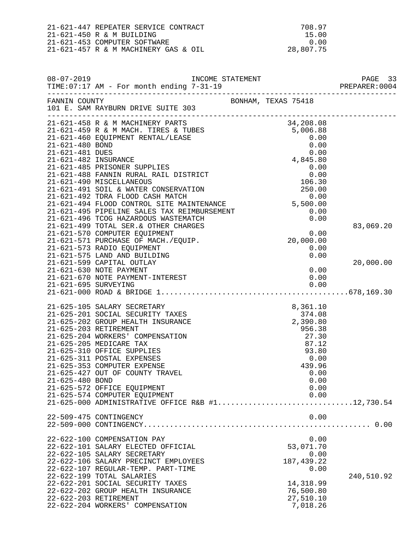| 21-621-447 REPEATER SERVICE CONTRACT | 708.97    |
|--------------------------------------|-----------|
| 21-621-450 R & M BUILDING            | 15.00     |
| 21-621-453 COMPUTER SOFTWARE         | . N. O.N  |
| 21-621-457 R & M MACHINERY GAS & OIL | 28,807.75 |

| $08 - 07 - 2019$     | TIME:07:17 AM - For month ending 7-31-19                                                                                                                                                                                                                                                                                                                                                                                                       |                                                                                                                       |            |
|----------------------|------------------------------------------------------------------------------------------------------------------------------------------------------------------------------------------------------------------------------------------------------------------------------------------------------------------------------------------------------------------------------------------------------------------------------------------------|-----------------------------------------------------------------------------------------------------------------------|------------|
| FANNIN COUNTY        | 101 E. SAM RAYBURN DRIVE SUITE 303                                                                                                                                                                                                                                                                                                                                                                                                             | BONHAM, TEXAS 75418                                                                                                   |            |
|                      | 21-621-458 R & M MACHINERY PARTS<br>21-621-459 R & M MACH. TIRES & TUBES<br>21-621-460 EQUIPMENT RENTAL/LEASE<br>21-621-480 BOND<br>21-621-481 DUES<br>21-621-482 INSURANCE<br>21-621-482 INSURANCE<br>21-621-482 INSURANCE<br>21-621-482 INSU                                                                                                                                                                                                 |                                                                                                                       |            |
|                      | 21-621-485 PRISONER SUPPLIES<br>21-621-485 PRISONER SUPPLIES<br>21-621-488 FANNIN RURAL RAIL DISTRICT<br>21-621-490 MISCELLANEOUS<br>21-621-491 SOIL & WATER CONSERVATION<br>21-621-492 TDRA FLOOD CASH MATCH<br>21-621-490 MISCELLANEOUS<br>21-621-491 SOIL & WATER CONSERVATION 250.00<br>21-621-492 TDRA FLOOD CASH MATCH 0.00<br>21-621-494 FLOOD CONTROL SITE MAINTENANCE 5,500.00                                                        | 0.00<br>0.00<br>106.30                                                                                                |            |
|                      | 21-621-494 FLOOD CONTROL SITE MAINTENANCE<br>21-621-495 PIPELINE SALES TAX REIMBURSEMENT 0.00<br>21-621-496 TCOG HAZARDOUS WASTEMATCH 0.00<br>21-621-499 TOTAL SER.& OTHER CHARGES 0.00<br>21-621-570 COMPUTER EOUIPMENT 0.00<br>21-621-571 PURCHASE OF MACH./EQUIP.<br>21-621-573 RADIO EQUIPMENT<br>21-621-575 LAND AND BUILDING                                                                                                             | 20,000.00<br>0.00<br>0.00                                                                                             | 83,069.20  |
| 21-621-695 SURVEYING | 21-621-599 CAPITAL OUTLAY<br>21-621-630 NOTE PAYMENT<br>21-621-670 NOTE PAYMENT-INTEREST                                                                                                                                                                                                                                                                                                                                                       | 0.00<br>0.00<br>0.00                                                                                                  | 20,000.00  |
| 21-625-480 BOND      | 21-625-105 SALARY SECRETARY<br>21-625-201 SOCIAL SECURITY TAXES<br>21-625-202 GROUP HEALTH INSURANCE<br>21-625-203 RETIREMENT<br>21-625-204 WORKERS' COMPENSATION<br>21-625-205 MEDICARE TAX<br>21-625-310 OFFICE SUPPLIES<br>21-625-311 POSTAL EXPENSES<br>21-625-353 COMPUTER EXPENSE<br>21-625-427 OUT OF COUNTY TRAVEL<br>21-625-572 OFFICE EQUIPMENT<br>21-625-574 COMPUTER EQUIPMENT<br>21-625-000 ADMINISTRATIVE OFFICE R&B #112,730.54 | 8,361.10<br>374.08<br>2,390.80<br>956.38<br>27.30<br>87.12<br>93.80<br>0.00<br>439.96<br>0.00<br>0.00<br>0.00<br>0.00 |            |
|                      | 22-509-475 CONTINGENCY                                                                                                                                                                                                                                                                                                                                                                                                                         | 0.00                                                                                                                  |            |
|                      | 22-622-100 COMPENSATION PAY<br>22-622-101 SALARY ELECTED OFFICIAL<br>22-622-105 SALARY SECRETARY<br>22-622-106 SALARY PRECINCT EMPLOYEES<br>22-622-107 REGULAR-TEMP. PART-TIME<br>22-622-199 TOTAL SALARIES<br>22-622-201 SOCIAL SECURITY TAXES<br>22-622-202 GROUP HEALTH INSURANCE<br>22-622-203 RETIREMENT<br>22-622-204 WORKERS' COMPENSATION                                                                                              | 0.00<br>53,071.70<br>0.00<br>187, 439.22<br>0.00<br>14,318.99<br>76,500.80<br>27,510.10<br>7,018.26                   | 240,510.92 |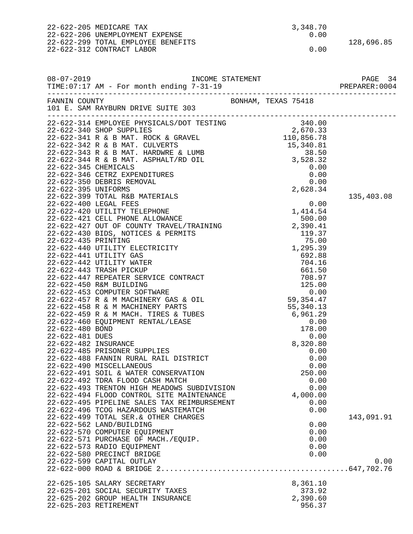22-622-205 MEDICARE TAX 3,348.70 22-622-206 UNEMPLOYMENT EXPENSE 22-622-299 TOTAL EMPLOYEE BENEFITS 128,696.85 22-622-312 CONTRACT LABOR 0.00 08-07-2019 INCOME STATEMENT PAGE 34 TIME:07:17 AM - For month ending 7-31-19 PREPARER:0004 -------------------------------------------------------------------------------- BONHAM, TEXAS 75418 101 E. SAM RAYBURN DRIVE SUITE 303 -------------------------------------------------------------------------------- 22-622-314 EMPLOYEE PHYSICALS/DOT TESTING 340.00<br>22-622-340 SHOP SUPPLIES 2.670.33 22-622-340 SHOP SUPPLIES 2,670.33 22-622-341 R & B MAT. ROCK & GRAVEL 22-622-342 R & B MAT. CULVERTS 15,340.81 22-622-343 R & B MAT. HARDWRE & LUMB 38.50<br>22-622-344 R & B MAT. ASPHALT/RD OIL 3,528.32 22-622-344 R & B MAT. ASPHALT/RD OIL 3,528.32<br>22-622-345 CHEMICALS 30.00 22-622-345 CHEMICALS 0.00 22-622-346 CETRZ EXPENDITURES 0.00 22-622-350 DEBRIS REMOVAL 0.00 22-622-395 UNIFORMS 22-622-399 TOTAL R&B MATERIALS 135,403.08<br>22-622-400 LEGAL FEES 0.00 22-622-400 LEGAL FEES 0.00 22-622-420 UTILITY TELEPHONE 1,414.54 22-622-421 CELL PHONE ALLOWANCE 500.00 22-622-427 OUT OF COUNTY TRAVEL/TRAINING  $22-622-430$  BIDS, NOTICES & PERMITS  $119.37$ 22-622-430 BIDS, NOTICES & PERMITS 119.37 22-622-435 PRINTING 75.00<br>22-622-440 UTILITY ELECTRICITY 75.00 22-622-440 UTILITY ELECTRICITY 1,295.39<br>22-622-441 UTILITY GAS 692.88 22-622-441 UTILITY GAS 692.88 22-622-442 UTILITY WATER 704.16 22-622-443 TRASH PICKUP 661.50 22-622-447 REPEATER SERVICE CONTRACT 708.97<br>22-622-450 R&M BUILDING 708.97 22-622-450 R&M BUILDING 22-622-453 COMPUTER SOFTWARE (0.00)<br>22-622-457 R & M MACHINERY GAS & OIL (59,354.47 22-622-457 R & M MACHINERY GAS & OIL 59,354.47<br>22-622-458 R & M MACHINERY PARTS 55,340.13 22-622-458 R & M MACHINERY PARTS 55,340.13<br>22-622-459 R & M MACH. TIRES & TUBES 6,961.29 22-622-459 R & M MACH. TIRES & TUBES 6,961.29 22-622-460 EQUIPMENT RENTAL/LEASE 0.00 22-622-480 BOND 178.00 22-622-481 DUES 0.00 22-622-482 INSURANCE 8,320.80 22-622-485 PRISONER SUPPLIES 0.00 22-622-488 FANNIN RURAL RAIL DISTRICT 0.00 22-622-490 MISCELLANEOUS 0.00 22-622-491 SOIL & WATER CONSERVATION 250.00<br>
22-622-492 TDRA FLOOD CASH MATCH 0.00<br>
22-622-493 TRENTON HIGH MEADOWS SUBDIVISION 0.00<br>
22-622-494 FLOOD CONTROL SITE MAINTENANCE 4,000.00<br>
22-622-495 PIPELINE SALES TAY PEIMPH 22-622-492 TDRA FLOOD CASH MATCH 0.00 22-622-493 TRENTON HIGH MEADOWS SUBDIVISION 0.00 22-622-494 FLOOD CONTROL SITE MAINTENANCE 22-622-495 PIPELINE SALES TAX REIMBURSEMENT 0.00 22-622-496 TCOG HAZARDOUS WASTEMATCH 0.00 22-622-499 TOTAL SER.& OTHER CHARGES 143,091.91<br>22-622-562 LAND/BUILDING 22-622-562 143,091.91 22-622-562 LAND/BUILDING 0.00 22-622-570 COMPUTER EQUIPMENT 22-622-571 PURCHASE OF MACH./EQUIP. 0.00 22-622-573 RADIO EOUIPMENT 22-622-580 PRECINCT BRIDGE 0.00 22-622-599 CAPITAL OUTLAY 0.00 22-622-000 ROAD & BRIDGE 2...........................................647,702.76 22-625-105 SALARY SECRETARY 8,361.10 22-625-201 SOCIAL SECURITY TAXES 373.92 22-625-202 GROUP HEALTH INSURANCE 2,390.60 22-625-203 RETIREMENT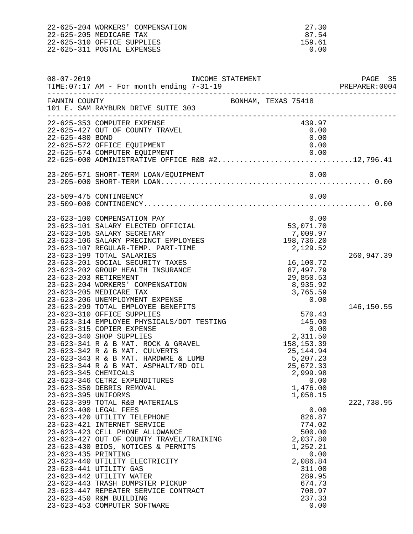| 22-625-204 WORKERS' COMPENSATION | -27.30 |
|----------------------------------|--------|
| 22-625-205 MEDICARE TAX          | 87.54  |
| 22-625-310 OFFICE SUPPLIES       | 159.61 |
| 22-625-311 POSTAL EXPENSES       | 0.00   |
|                                  |        |

| $08 - 07 - 2019$                           | INCOME STATEMENT<br>TIME: 07:17 AM - For month ending 7-31-19                                                                                                                                                                                                                                                                                                                                                                                                                                           |                         |                                                                                                                                                                  | PAGE 35<br>PREPARER: 0004 |
|--------------------------------------------|---------------------------------------------------------------------------------------------------------------------------------------------------------------------------------------------------------------------------------------------------------------------------------------------------------------------------------------------------------------------------------------------------------------------------------------------------------------------------------------------------------|-------------------------|------------------------------------------------------------------------------------------------------------------------------------------------------------------|---------------------------|
| FANNIN COUNTY                              | 101 E. SAM RAYBURN DRIVE SUITE 303                                                                                                                                                                                                                                                                                                                                                                                                                                                                      | BONHAM, TEXAS 75418     |                                                                                                                                                                  |                           |
| 22-625-480 BOND                            | 22-625-353 COMPUTER EXPENSE<br>22-625-427 OUT OF COUNTY TRAVEL<br>22-625-572 OFFICE EQUIPMENT                                                                                                                                                                                                                                                                                                                                                                                                           |                         | 439.97<br>0.00<br>0.00<br>0.00                                                                                                                                   |                           |
|                                            | 22-625-574 COMPUTER EQUIPMENT 0.00<br>22-625-000 ADMINISTRATIVE OFFICE R&B #212,796.41                                                                                                                                                                                                                                                                                                                                                                                                                  |                         |                                                                                                                                                                  |                           |
|                                            |                                                                                                                                                                                                                                                                                                                                                                                                                                                                                                         |                         |                                                                                                                                                                  |                           |
|                                            | 23-509-475 CONTINGENCY                                                                                                                                                                                                                                                                                                                                                                                                                                                                                  |                         | 0.00                                                                                                                                                             |                           |
|                                            | 23-623-100 COMPENSATION PAY<br>23-623-101 SALARY ELECTED OFFICIAL<br>23-623-105 SALARY SECRETARY<br>23-623-106 SALARY PRECINCT EMPLOYEES<br>23-623-107 REGULAR-TEMP. PART-TIME<br>23-623-199 TOTAL SALARIES                                                                                                                                                                                                                                                                                             | 53,071.70<br>198,736.20 | 0.00<br>7,009.97<br>2,129.52                                                                                                                                     | 260,947.39                |
|                                            | 23-623-201 SOCIAL SECURITY TAXES<br>23-623-202 GROUP HEALTH INSURANCE<br>23-623-203 RETIREMENT<br>23-623-204 WORKERS' COMPENSATION<br>23-623-205 MEDICARE TAX<br>23-623-206 UNEMPLOYMENT EXPENSE                                                                                                                                                                                                                                                                                                        |                         | 16,100.72<br>87,497.79<br>29,850.53<br>8,935.92<br>3,765.59<br>0.00                                                                                              |                           |
| 23-623-345 CHEMICALS                       | 23-623-299 TOTAL EMPLOYEE BENEFITS<br>23-623-310 OFFICE SUPPLIES<br>23-623-314 EMPLOYEE PHYSICALS/DOT TESTING<br>23-623-315 COPIER EXPENSE<br>23-623-340 SHOP SUPPLIES<br>23-623-341 R & B MAT. ROCK & GRAVEL<br>23-623-342 R & B MAT. CULVERTS<br>23-623-343 R & B MAT. HARDWRE & LUMB<br>23-623-344 R & B MAT. ASPHALT/RD OIL<br>23-623-346 CETRZ EXPENDITURES                                                                                                                                        | 5,207.23                | 570.43<br>145.00<br>0.00<br>2,311.50<br>158, 153.39<br>25,144.94<br>25,672.33<br>2,999.98<br>0.00                                                                | 146, 150.55               |
| 23-623-395 UNIFORMS<br>23-623-435 PRINTING | 23-623-350 DEBRIS REMOVAL<br>23-623-399 TOTAL R&B MATERIALS<br>23-623-400 LEGAL FEES<br>23-623-420 UTILITY TELEPHONE<br>23-623-421 INTERNET SERVICE<br>23-623-423 CELL PHONE ALLOWANCE<br>23-623-427 OUT OF COUNTY TRAVEL/TRAINING<br>23-623-430 BIDS, NOTICES & PERMITS<br>23-623-440 UTILITY ELECTRICITY<br>23-623-441 UTILITY GAS<br>23-623-442 UTILITY WATER<br>23-623-443 TRASH DUMPSTER PICKUP<br>23-623-447 REPEATER SERVICE CONTRACT<br>23-623-450 R&M BUILDING<br>23-623-453 COMPUTER SOFTWARE |                         | 1,476.00<br>1,058.15<br>0.00<br>826.87<br>774.02<br>500.00<br>2,037.80<br>1,252.21<br>0.00<br>2,086.84<br>311.00<br>289.95<br>674.73<br>708.97<br>237.33<br>0.00 | 222,738.95                |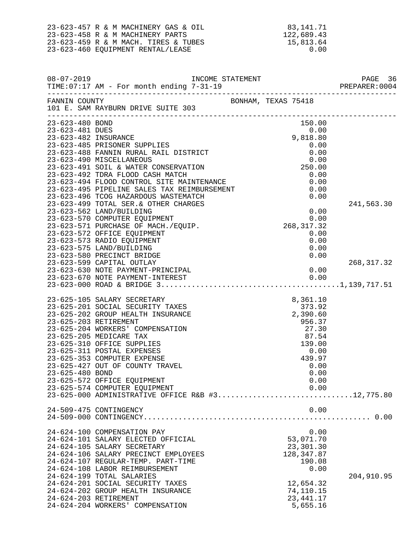|                                                            | 23-623-457 R & M MACHINERY GAS & OIL<br>23-623-458 R & M MACHINERY PARTS<br>23-623-459 R & M MACH. TIRES & TUBES<br>23-623-460 EQUIPMENT RENTAL/LEASE                                                                                                                                                                                                                                                                                          | 83,141.71<br>122,689.43<br>15,813.64<br>0.00                                                                           |                           |
|------------------------------------------------------------|------------------------------------------------------------------------------------------------------------------------------------------------------------------------------------------------------------------------------------------------------------------------------------------------------------------------------------------------------------------------------------------------------------------------------------------------|------------------------------------------------------------------------------------------------------------------------|---------------------------|
| $08 - 07 - 2019$                                           | TIME: 07:17 AM - For month ending 7-31-19                                                                                                                                                                                                                                                                                                                                                                                                      | INCOME STATEMENT<br>7-31-19<br>-----------------------------------                                                     | PAGE 36<br>PREPARER: 0004 |
| FANNIN COUNTY                                              | 101 E. SAM RAYBURN DRIVE SUITE 303                                                                                                                                                                                                                                                                                                                                                                                                             | BONHAM, TEXAS 75418                                                                                                    |                           |
| 23-623-480 BOND<br>23-623-481 DUES<br>23-623-482 INSURANCE | 23-623-485 PRISONER SUPPLIES<br>23-623-488 FANNIN RURAL RAIL DISTRICT<br>23-623-490 MISCELLANEOUS<br>23-623-491 SOIL & WATER CONSERVATION<br>23-623-492 TDRA FLOOD CASH MATCH<br>23-623-494 FLOOD CONTROL SITE MAINTENANCE                                                                                                                                                                                                                     | 150.00<br>0.00<br>9,818.80<br>0.00<br>0.00<br>0.00<br>250.00<br>0.00<br>0.00                                           |                           |
|                                                            | 23-623-495 PIPELINE SALES TAX REIMBURSEMENT<br>23-623-496 TCOG HAZARDOUS WASTEMATCH<br>23-623-499 TOTAL SER. & OTHER CHARGES<br>23-623-562 LAND/BUILDING<br>23-623-570 COMPUTER EQUIPMENT<br>23-623-571 PURCHASE OF MACH./EQUIP.<br>23-623-572 OFFICE EQUIPMENT<br>23-623-573 RADIO EQUIPMENT<br>23-623-575 LAND/BUILDING<br>23-623-580 PRECINCT BRIDGE                                                                                        | 0.00<br>0.00<br>0.00<br>0.00<br>268, 317.32<br>0.00<br>0.00<br>0.00<br>0.00                                            | 241,563.30                |
|                                                            | 23-623-599 CAPITAL OUTLAY<br>23-623-630 NOTE PAYMENT-PRINCIPAL<br>23-623-670 NOTE PAYMENT-INTEREST                                                                                                                                                                                                                                                                                                                                             | 0.00<br>0.00                                                                                                           | 268, 317.32               |
| 23-625-480 BOND                                            | 23-625-105 SALARY SECRETARY<br>23-625-201 SOCIAL SECURITY TAXES<br>23-625-202 GROUP HEALTH INSURANCE<br>23-625-203 RETIREMENT<br>23-625-204 WORKERS' COMPENSATION<br>23-625-205 MEDICARE TAX<br>23-625-310 OFFICE SUPPLIES<br>23-625-311 POSTAL EXPENSES<br>23-625-353 COMPUTER EXPENSE<br>23-625-427 OUT OF COUNTY TRAVEL<br>23-625-572 OFFICE EQUIPMENT<br>23-625-574 COMPUTER EQUIPMENT<br>23-625-000 ADMINISTRATIVE OFFICE R&B #312,775.80 | 8,361.10<br>373.92<br>2,390.60<br>956.37<br>27.30<br>87.54<br>139.00<br>0.00<br>439.97<br>0.00<br>0.00<br>0.00<br>0.00 |                           |
|                                                            | 24-509-475 CONTINGENCY                                                                                                                                                                                                                                                                                                                                                                                                                         | 0.00                                                                                                                   |                           |
|                                                            | 24-624-100 COMPENSATION PAY<br>24-624-101 SALARY ELECTED OFFICIAL<br>24-624-105 SALARY SECRETARY<br>24-624-106 SALARY PRECINCT EMPLOYEES<br>24-624-107 REGULAR-TEMP. PART-TIME<br>24-624-108 LABOR REIMBURSEMENT<br>24-624-199 TOTAL SALARIES<br>24-624-201 SOCIAL SECURITY TAXES<br>24-624-202 GROUP HEALTH INSURANCE<br>24-624-203 RETIREMENT<br>24-624-204 WORKERS' COMPENSATION                                                            | 0.00<br>53,071.70<br>23,301.30<br>128, 347.87<br>190.08<br>0.00<br>12,654.32<br>74,110.15<br>23, 441.17<br>5,655.16    | 204,910.95                |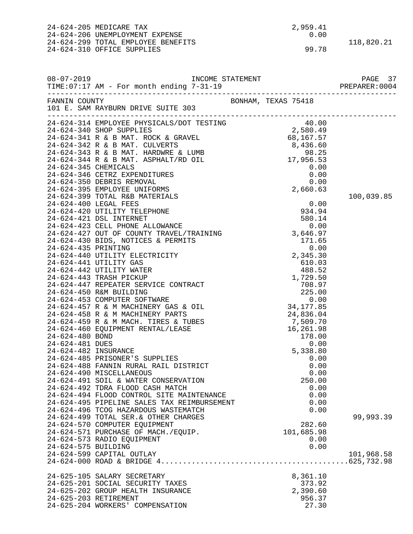|                                         | 24-624-205 MEDICARE TAX<br>24-624-206 UNEMPLOYMENT EXPENSE<br>24-624-299 TOTAL EMPLOYEE BENEFITS<br>24-624-310 OFFICE SUPPLIES                                                                                                                             | 2,959.41<br>0.00<br>99.78                         | 118,820.21 |
|-----------------------------------------|------------------------------------------------------------------------------------------------------------------------------------------------------------------------------------------------------------------------------------------------------------|---------------------------------------------------|------------|
| $08 - 07 - 2019$                        |                                                                                                                                                                                                                                                            |                                                   |            |
| FANNIN COUNTY                           | 101 E. SAM RAYBURN DRIVE SUITE 303                                                                                                                                                                                                                         | BONHAM, TEXAS 75418                               |            |
|                                         | 24-624-314 EMPLOYEE PHYSICALS/DOT TESTING<br>24-624-314 EMPLOYEE PHYSICALS/DOT TESTING<br>24-624-340 SHOP SUPPLIES<br>24-624-341 R & B MAT. ROCK & GRAVEL<br>24-624-342 R & B MAT. CULVERTS<br>24-624-343 R & B MAT. ARRDWRE & LUMB<br>24-                 |                                                   |            |
|                                         |                                                                                                                                                                                                                                                            |                                                   |            |
|                                         | 24-624-399 TOTAL R&B MATERIALS<br>24-624-400 LEGAL FEES                                                                                                                                                                                                    | 0.00                                              | 100,039.85 |
|                                         | 24-624-420 UTILITY TELEPHONE<br>24-624-421 DSL INTERNET<br>$\begin{array}{cccc} 24-624-423 & \text{CELL PHONE ALLOWANCE} & & & 0.00 \\ 24-624-427 & \text{OUT OF COUNTY TRAVEL/TRAINING} & & & 3,646.97 \end{array}$<br>24-624-430 BIDS, NOTICES & PERMITS | 934.94<br>580.14<br>171.65                        |            |
| 24-624-435 PRINTING                     | 24-624-440 UTILITY ELECTRICITY<br>24-624-441 UTILITY GAS<br>24-624-442 UTILITY WATER<br>24-624-443 TRASH PICKUP                                                                                                                                            | 0.00<br>2,345.30<br>610.03<br>488.52<br>1,729.50  |            |
|                                         | 24-624-447 REPEATER SERVICE CONTRACT<br>24-624-450 R&M BUILDING<br>24-624-453 COMPUTER SOFTWARE<br>24-624-457 R & M MACHINERY GAS & OIL                                                                                                                    | 708.97<br>225.00<br>0.00<br>34, 177.85            |            |
| 24-624-480 BOND                         | 24-624-458 R & M MACHINERY PARTS<br>24-624-459 R & M MACH. TIRES & TUBES<br>24-624-460 EQUIPMENT RENTAL/LEASE                                                                                                                                              | 24,836.04<br>7,509.70<br>16,261.98<br>178.00      |            |
| 24-624-481 DUES<br>24-624-482 INSURANCE | 24-624-485 PRISONER'S SUPPLIES<br>24-624-488 FANNIN RURAL RAIL DISTRICT<br>24-624-490 MISCELLANEOUS                                                                                                                                                        | 0.00<br>5,338.80<br>0.00<br>0.00<br>0.00          |            |
|                                         | 24-624-491 SOIL & WATER CONSERVATION<br>24-624-492 TDRA FLOOD CASH MATCH<br>24-624-494 FLOOD CONTROL SITE MAINTENANCE<br>24-624-495 PIPELINE SALES TAX REIMBURSEMENT                                                                                       | 250.00<br>0.00<br>0.00<br>0.00                    |            |
|                                         | 24-624-496 TCOG HAZARDOUS WASTEMATCH<br>24-624-499 TOTAL SER. & OTHER CHARGES<br>24-624-570 COMPUTER EQUIPMENT<br>24-624-571 PURCHASE OF MACH./EQUIP.                                                                                                      | 0.00<br>282.60<br>101,685.98                      | 99,993.39  |
| 24-624-575 BUILDING                     | 24-624-573 RADIO EQUIPMENT<br>24-624-599 CAPITAL OUTLAY                                                                                                                                                                                                    | 0.00<br>0.00                                      | 101,968.58 |
|                                         | 24-625-105 SALARY SECRETARY<br>24-625-201 SOCIAL SECURITY TAXES<br>24-625-202 GROUP HEALTH INSURANCE<br>24-625-203 RETIREMENT<br>24-625-204 WORKERS' COMPENSATION                                                                                          | 8,361.10<br>373.92<br>2,390.60<br>956.37<br>27.30 |            |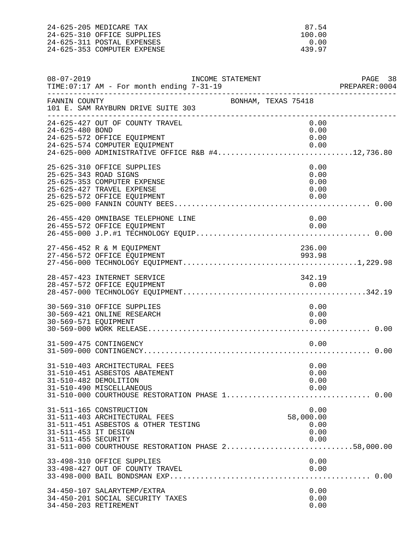24-625-205 MEDICARE TAX 87.54<br>24-625-310 OFFICE SUPPLIES 100.00 24-625-310 OFFICE SUPPLIES 100.00 24-625-311 POSTAL EXPENSES 0.00 24-625-353 COMPUTER EXPENSE

| $08 - 07 - 2019$                            | INCOME STATEMENT<br>TIME: 07:17 AM - For month ending 7-31-19                                                                                                                        |                     |                                           | PAGE 38<br>PREPARER:0004 |
|---------------------------------------------|--------------------------------------------------------------------------------------------------------------------------------------------------------------------------------------|---------------------|-------------------------------------------|--------------------------|
| FANNIN COUNTY                               | 101 E. SAM RAYBURN DRIVE SUITE 303<br>____________________________                                                                                                                   | BONHAM, TEXAS 75418 |                                           |                          |
| 24-625-480 BOND                             | 24-625-427 OUT OF COUNTY TRAVEL<br>24-625-572 OFFICE EQUIPMENT<br>24-625-574 COMPUTER EQUIPMENT<br>24-625-574 COMPUTER EQUIPMENT<br>24-625-000 ADMINISTRATIVE OFFICE R&B #412,736.80 |                     | 0.00<br>0.00<br>0.00<br>0.00              |                          |
|                                             | 25-625-310 OFFICE SUPPLIES<br>25-625-343 ROAD SIGNS<br>25-625-353 COMPUTER EXPENSE<br>25-625-427 TRAVEL EXPENSE<br>25-625-572 OFFICE EQUIPMENT                                       |                     | 0.00<br>0.00<br>0.00<br>0.00<br>0.00      |                          |
|                                             | 26-455-420 OMNIBASE TELEPHONE LINE<br>26-455-572 OFFICE EQUIPMENT                                                                                                                    |                     | 0.00<br>0.00                              |                          |
|                                             | 27-456-452 R & M EQUIPMENT<br>27-456-572 OFFICE EOUIPMENT                                                                                                                            |                     | 236.00<br>993.98                          |                          |
|                                             | 28-457-423 INTERNET SERVICE<br>28-457-572 OFFICE EQUIPMENT                                                                                                                           |                     | 342.19<br>0.00                            |                          |
| 30-569-571 EQUIPMENT                        | 30-569-310 OFFICE SUPPLIES<br>30-569-421 ONLINE RESEARCH                                                                                                                             |                     | 0.00<br>0.00<br>0.00                      |                          |
|                                             | 31-509-475 CONTINGENCY                                                                                                                                                               |                     | 0.00                                      |                          |
| 31-510-482 DEMOLITION                       | 31-510-403 ARCHITECTURAL FEES<br>31-510-451 ASBESTOS ABATEMENT<br>31-510-490 MISCELLANEOUS                                                                                           |                     | 0.00<br>0.00<br>0.00<br>0.00              |                          |
| 31-511-453 IT DESIGN<br>31-511-455 SECURITY | 31-511-165 CONSTRUCTION<br>31-511-403 ARCHITECTURAL FEES<br>31-511-451 ASBESTOS & OTHER TESTING<br>31-511-000 COURTHOUSE RESTORATION PHASE 258,000.00                                |                     | 0.00<br>58,000.00<br>0.00<br>0.00<br>0.00 |                          |
|                                             | 33-498-310 OFFICE SUPPLIES<br>33-498-427 OUT OF COUNTY TRAVEL                                                                                                                        |                     | 0.00<br>0.00                              |                          |
| 34-450-203 RETIREMENT                       | 34-450-107 SALARYTEMP/EXTRA<br>34-450-201 SOCIAL SECURITY TAXES                                                                                                                      |                     | 0.00<br>0.00<br>0.00                      |                          |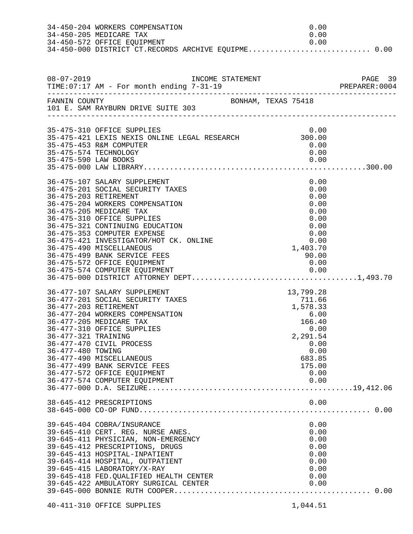|                                          | 34-450-204 WORKERS COMPENSATION<br>34-450-205 MEDICARE TAX<br>34-450-572 OFFICE EQUIPMENT<br>34-450-000 DISTRICT CT.RECORDS ARCHIVE EQUIPME 0.00                                                                                                                                                                                                                                                                              | 0.00<br>0.00<br>0.00                                                                                                      |  |
|------------------------------------------|-------------------------------------------------------------------------------------------------------------------------------------------------------------------------------------------------------------------------------------------------------------------------------------------------------------------------------------------------------------------------------------------------------------------------------|---------------------------------------------------------------------------------------------------------------------------|--|
|                                          |                                                                                                                                                                                                                                                                                                                                                                                                                               |                                                                                                                           |  |
| FANNIN COUNTY                            | BONHAM, TEXAS 75418<br>101 E. SAM RAYBURN DRIVE SUITE 303                                                                                                                                                                                                                                                                                                                                                                     |                                                                                                                           |  |
|                                          | 35-475-310 OFFICE SUPPLIES<br>35-475-421 LEXIS NEXIS ONLINE LEGAL RESEARCH 300.00<br>35-475-453 R&M COMPUTER<br>35-475-574 TECHNOLOGY                                                                                                                                                                                                                                                                                         | 0.00<br>0.00<br>0.00                                                                                                      |  |
|                                          | 36-475-107 SALARY SUPPLEMENT<br>36-475-201 SOCIAL SECURITY TAXES<br>36-475-203 RETIREMENT<br>36-475-204 WORKERS COMPENSATION<br>36-475-205 MEDICARE TAX<br>36-475-310 OFFICE SUPPLIES<br>36-475-321 CONTINUING EDUCATION<br>36-475-353 COMPUTER EXPENSE<br>36-475-421 INVESTIGATOR/HOT CK. ONLINE<br>36-475-490 MISCELLANEOUS<br>36-475-499 BANK SERVICE FEES<br>36-475-572 OFFICE EQUIPMENT<br>36-475-574 COMPUTER EQUIPMENT | 0.00<br>0.00<br>0.00<br>0.00<br>0.00<br>0.00<br>0.00<br>0.00<br>0.00<br>1,403.70<br>90.00<br>0.00                         |  |
| 36-477-321 TRAINING<br>36-477-480 TOWING | 36-477-107 SALARY SUPPLEMENT<br>36-477-201 SOCIAL SECURITY TAXES<br>36-477-203 RETIREMENT<br>36-477-204 WORKERS COMPENSATION<br>36-477-205 MEDICARE TAX<br>36-477-310 OFFICE SUPPLIES<br>36-477-470 CIVIL PROCESS<br>36-477-490 MISCELLANEOUS<br>36-477-499 BANK SERVICE FEES<br>36-477-572 OFFICE EQUIPMENT<br>36-477-574 COMPUTER EQUIPMENT                                                                                 | 13,799.28<br>711.66<br>1,578.33<br>6.00<br>166.40<br>0.00<br>2,291.54<br>0.00<br>0.00<br>683.85<br>175.00<br>0.00<br>0.00 |  |
|                                          | 38-645-412 PRESCRIPTIONS                                                                                                                                                                                                                                                                                                                                                                                                      | 0.00                                                                                                                      |  |
|                                          | 39-645-404 COBRA/INSURANCE<br>39-645-410 CERT. REG. NURSE ANES.<br>39-645-411 PHYSICIAN, NON-EMERGENCY<br>39-645-412 PRESCRIPTIONS, DRUGS<br>39-645-413 HOSPITAL-INPATIENT<br>39-645-414 HOSPITAL, OUTPATIENT<br>39-645-415 LABORATORY/X-RAY<br>39-645-418 FED.QUALIFIED HEALTH CENTER<br>39-645-422 AMBULATORY SURGICAL CENTER                                                                                               | 0.00<br>0.00<br>0.00<br>0.00<br>0.00<br>0.00<br>0.00<br>0.00<br>0.00                                                      |  |
|                                          | 40-411-310 OFFICE SUPPLIES                                                                                                                                                                                                                                                                                                                                                                                                    | 1,044.51                                                                                                                  |  |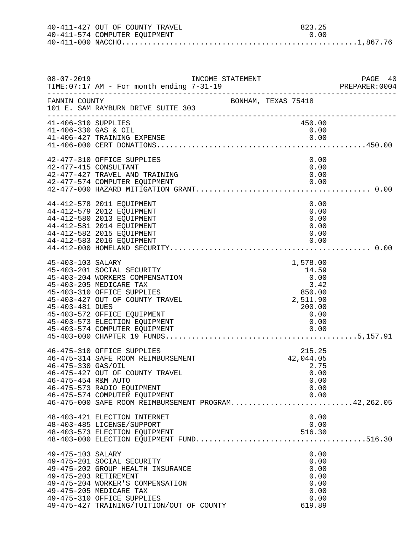| 40-411-427 OUT OF COUNTY TRAVEL |  | 823.25 |  |
|---------------------------------|--|--------|--|
| 40-411-574 COMPUTER EQUIPMENT   |  | 0. Q Q |  |
|                                 |  |        |  |

| $08 - 07 - 2019$                            | TIME: 07:17 AM - For month ending 7-31-19                                                                                                                                                                                                                  | INCOME STATEMENT    |                                                                                           |  |
|---------------------------------------------|------------------------------------------------------------------------------------------------------------------------------------------------------------------------------------------------------------------------------------------------------------|---------------------|-------------------------------------------------------------------------------------------|--|
| FANNIN COUNTY                               | 101 E. SAM RAYBURN DRIVE SUITE 303                                                                                                                                                                                                                         | BONHAM, TEXAS 75418 |                                                                                           |  |
| 41-406-310 SUPPLIES<br>41-406-330 GAS & OIL | 41-406-427 TRAINING EXPENSE                                                                                                                                                                                                                                |                     | 450.00<br>0.00<br>0.00                                                                    |  |
|                                             | 42-477-310 OFFICE SUPPLIES<br>42-477-415 CONSULTANT<br>42-477-427 TRAVEL AND TRAINING<br>42-477-574 COMPUTER EQUIPMENT                                                                                                                                     |                     | 0.00<br>0.00<br>0.00<br>0.00                                                              |  |
|                                             | 44-412-578 2011 EQUIPMENT<br>44-412-579 2012 EQUIPMENT<br>44-412-580 2013 EQUIPMENT<br>44-412-581 2014 EQUIPMENT<br>44-412-582 2015 EQUIPMENT<br>44-412-583 2016 EQUIPMENT                                                                                 |                     | 0.00<br>0.00<br>0.00<br>0.00<br>0.00<br>0.00                                              |  |
| 45-403-103 SALARY<br>45-403-481 DUES        | 45-403-201 SOCIAL SECURITY<br>45-403-204 WORKERS COMPENSATION<br>45-403-205 MEDICARE TAX<br>45-403-310 OFFICE SUPPLIES<br>45-403-427 OUT OF COUNTY TRAVEL<br>45-403-572 OFFICE EQUIPMENT<br>45-403-573 ELECTION EQUIPMENT<br>45-403-574 COMPUTER EQUIPMENT |                     | 1,578.00<br>14.59<br>0.00<br>3.42<br>850.00<br>2,511.90<br>200.00<br>0.00<br>0.00<br>0.00 |  |
| 46-475-330 GAS/OIL<br>46-475-454 R&M AUTO   | 46-475-310 OFFICE SUPPLIES<br>46-475-314 SAFE ROOM REIMBURSEMENT<br>46-475-427 OUT OF COUNTY TRAVEL<br>46-475-573 RADIO EQUIPMENT<br>46-475-574 COMPUTER EQUIPMENT<br>46-475-000 SAFE ROOM REIMBURSEMENT PROGRAM42,262.05                                  |                     | 215.25<br>42,044.05<br>2.75<br>0.00<br>0.00<br>0.00<br>0.00                               |  |
|                                             | 48-403-421 ELECTION INTERNET<br>48-403-485 LICENSE/SUPPORT<br>48-403-573 ELECTION EQUIPMENT                                                                                                                                                                |                     | 0.00<br>0.00<br>516.30                                                                    |  |
| 49-475-103 SALARY                           | 49-475-201 SOCIAL SECURITY<br>49-475-202 GROUP HEALTH INSURANCE<br>49-475-203 RETIREMENT<br>49-475-204 WORKER'S COMPENSATION<br>49-475-205 MEDICARE TAX<br>49-475-310 OFFICE SUPPLIES<br>49-475-427 TRAINING/TUITION/OUT OF COUNTY                         |                     | 0.00<br>0.00<br>0.00<br>0.00<br>0.00<br>0.00<br>0.00<br>619.89                            |  |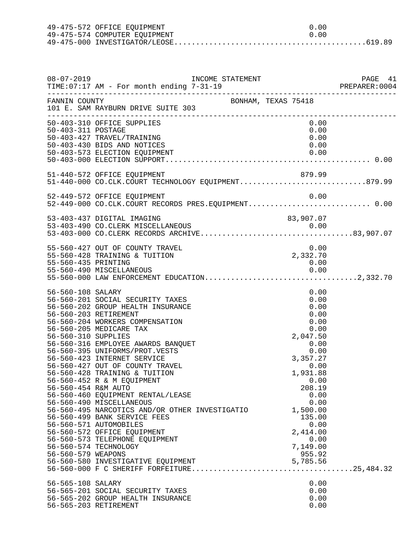| 49-475-572 OFFICE EQUIPMENT   | . N. O.N |
|-------------------------------|----------|
| 49-475-574 COMPUTER EOUIPMENT | 0. Q Q   |
|                               |          |

| $08 - 07 - 2019$                                                                      | INCOME STATEMENT<br>TIME: 07:17 AM - For month ending 7-31-19<br>-------------------------------------                                                                                                                                                                                                                                                                                                                                                                                                                                                                                                                                                                             |                                                                                                                                                                                                                                | PAGE 41 |
|---------------------------------------------------------------------------------------|------------------------------------------------------------------------------------------------------------------------------------------------------------------------------------------------------------------------------------------------------------------------------------------------------------------------------------------------------------------------------------------------------------------------------------------------------------------------------------------------------------------------------------------------------------------------------------------------------------------------------------------------------------------------------------|--------------------------------------------------------------------------------------------------------------------------------------------------------------------------------------------------------------------------------|---------|
| FANNIN COUNTY                                                                         | BONHAM, TEXAS 75418<br>101 E. SAM RAYBURN DRIVE SUITE 303                                                                                                                                                                                                                                                                                                                                                                                                                                                                                                                                                                                                                          |                                                                                                                                                                                                                                |         |
| 50-403-311 POSTAGE                                                                    | 50-403-310 OFFICE SUPPLIES<br>50-403-427 TRAVEL/TRAINING<br>50-403-430 BIDS AND NOTICES<br>50-403-573 ELECTION EQUIPMENT                                                                                                                                                                                                                                                                                                                                                                                                                                                                                                                                                           | 0.00<br>0.00<br>0.00<br>0.00<br>0.00                                                                                                                                                                                           |         |
|                                                                                       | 51-440-572 OFFICE EQUIPMENT<br>51-440-000 CO.CLK.COURT TECHNOLOGY EQUIPMENT879.99                                                                                                                                                                                                                                                                                                                                                                                                                                                                                                                                                                                                  | 879.99                                                                                                                                                                                                                         |         |
|                                                                                       | 52-449-572 OFFICE EQUIPMENT<br>52-449-000 CO.CLK.COURT RECORDS PRES.EQUIPMENT 0.00                                                                                                                                                                                                                                                                                                                                                                                                                                                                                                                                                                                                 | 0.00                                                                                                                                                                                                                           |         |
|                                                                                       | 53-403-437 DIGITAL IMAGING<br>53-403-490 CO.CLERK MISCELLANEOUS 0.00<br>53-403-000 CO.CLERK RECORDS ARCHIVE83,907.07                                                                                                                                                                                                                                                                                                                                                                                                                                                                                                                                                               | 83,907.07                                                                                                                                                                                                                      |         |
| 55-560-435 PRINTING                                                                   | 55-560-427 OUT OF COUNTY TRAVEL<br>55-560-428 TRAINING & TUITION<br>55-560-490 MISCELLANEOUS                                                                                                                                                                                                                                                                                                                                                                                                                                                                                                                                                                                       | 0.00<br>2,332.70<br>0.00<br>0.00                                                                                                                                                                                               |         |
| 56-560-108 SALARY<br>56-560-310 SUPPLIES<br>56-560-454 R&M AUTO<br>56-560-579 WEAPONS | 56-560-201 SOCIAL SECURITY TAXES<br>56-560-202 GROUP HEALTH INSURANCE<br>56-560-203 RETIREMENT<br>56-560-204 WORKERS COMPENSATION<br>56-560-205 MEDICARE TAX<br>56-560-316 EMPLOYEE AWARDS BANQUET<br>56-560-395 UNIFORMS/PROT.VESTS<br>56-560-423 INTERNET SERVICE<br>56-560-427 OUT OF COUNTY TRAVEL<br>56-560-428 TRAINING & TUITION<br>56-560-452 R & M EQUIPMENT<br>56-560-460 EQUIPMENT RENTAL/LEASE<br>56-560-490 MISCELLANEOUS<br>56-560-495 NARCOTICS AND/OR OTHER INVESTIGATIO<br>56-560-499 BANK SERVICE FEES<br>56-560-571 AUTOMOBILES<br>56-560-572 OFFICE EQUIPMENT<br>56-560-573 TELEPHONE EQUIPMENT<br>56-560-574 TECHNOLOGY<br>56-560-580 INVESTIGATIVE EQUIPMENT | 0.00<br>0.00<br>0.00<br>0.00<br>0.00<br>0.00<br>2,047.50<br>0.00<br>0.00<br>3,357.27<br>0.00<br>1,931.88<br>0.00<br>208.19<br>0.00<br>0.00<br>1,500.00<br>135.00<br>0.00<br>2,414.00<br>0.00<br>7,149.00<br>955.92<br>5,785.56 |         |
| 56-565-108 SALARY                                                                     | 56-565-201 SOCIAL SECURITY TAXES<br>56-565-202 GROUP HEALTH INSURANCE<br>56-565-203 RETIREMENT                                                                                                                                                                                                                                                                                                                                                                                                                                                                                                                                                                                     | 0.00<br>0.00<br>0.00<br>0.00                                                                                                                                                                                                   |         |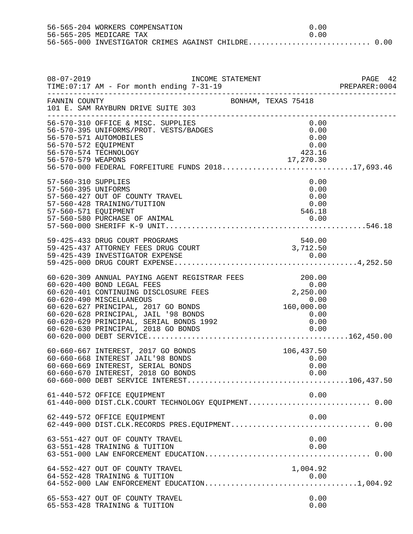56-565-204 WORKERS COMPENSATION  $0.00$ <br>56-565-205 MEDICARE TAX 56-565-205 MEDICARE TAX 0.00 56-565-000 INVESTIGATOR CRIMES AGAINST CHILDRE............................ 0.00

| $08 - 07 - 2019$                                                   | INCOME STATEMENT<br>TIME: 07:17 AM - For month ending 7-31-19                                                                                                                                                                                                                                                                 |                                        |  |
|--------------------------------------------------------------------|-------------------------------------------------------------------------------------------------------------------------------------------------------------------------------------------------------------------------------------------------------------------------------------------------------------------------------|----------------------------------------|--|
| FANNIN COUNTY                                                      | 101 E. SAM RAYBURN DRIVE SUITE 303                                                                                                                                                                                                                                                                                            | BONHAM, TEXAS 75418                    |  |
| 56-570-572 EQUIPMENT                                               | 56-570-310 OFFICE & MISC. SUPPLIES<br>56-570-395 UNIFORMS/PROT. VESTS/BADGES<br>56-570-571 AUTOMOBILES<br>56-570-574 TECHNOLOGY                                                                                                                                                                                               | 0.00<br>0.00<br>0.00<br>0.00<br>423.16 |  |
|                                                                    | 56-570-579 WEAPONS 17,270.30<br>56-570-000 FEDERAL FORFEITURE FUNDS 201817,693.46                                                                                                                                                                                                                                             |                                        |  |
| 57-560-310 SUPPLIES<br>57-560-395 UNIFORMS<br>57-560-571 EQUIPMENT | 57-560-427 OUT OF COUNTY TRAVEL<br>57-560-428 TRAINING/TUITION                                                                                                                                                                                                                                                                | 0.00<br>0.00<br>0.00<br>0.00<br>546.18 |  |
|                                                                    |                                                                                                                                                                                                                                                                                                                               |                                        |  |
|                                                                    | 59-425-433 DRUG COURT PROGRAMS<br>59-425-437 ATTORNEY FEES DRUG COURT                                                                                                                                                                                                                                                         | 540.00<br>3,712.50                     |  |
|                                                                    | 60-620-309 ANNUAL PAYING AGENT REGISTRAR FEES<br>60-620-400 BOND LEGAL FEES<br>60-620-401 CONTINUING DISCLOSURE FEES<br>60-620-490 MISCELLANEOUS<br>60-620-627 PRINCIPAL, 2017 GO BONDS<br>60-620-627 PRINCIPAL, 2017 GO BONDS<br>60-620-6<br>60-620-628 PRINCIPAL, JAIL '98 BONDS<br>60-620-629 PRINCIPAL, SERIAL BONDS 1992 | 0.00<br>0.00                           |  |
|                                                                    | 60-660-667 INTEREST, 2017 GO BONDS<br>60-660-668 INTEREST JAIL'98 BONDS<br>60-660-669 INTEREST, SERIAL BONDS<br>60-660-670 INTEREST, 2018 GO BONDS                                                                                                                                                                            | 106,437.50<br>0.00<br>0.00<br>0.00     |  |
|                                                                    |                                                                                                                                                                                                                                                                                                                               |                                        |  |
|                                                                    | 61-440-572 OFFICE EQUIPMENT<br>61-440-000 DIST.CLK.COURT TECHNOLOGY EQUIPMENT 0.00                                                                                                                                                                                                                                            | 0.00                                   |  |
|                                                                    | 62-449-572 OFFICE EQUIPMENT<br>62-449-000 DIST.CLK.RECORDS PRES.EQUIPMENT 0.00                                                                                                                                                                                                                                                | 0.00                                   |  |
|                                                                    | 63-551-427 OUT OF COUNTY TRAVEL<br>63-551-428 TRAINING & TUITION                                                                                                                                                                                                                                                              | 0.00<br>0.00                           |  |
|                                                                    | 64-552-427 OUT OF COUNTY TRAVEL<br>64-552-428 TRAINING & TUITION                                                                                                                                                                                                                                                              | 1,004.92<br>0.00                       |  |
|                                                                    | 65-553-427 OUT OF COUNTY TRAVEL<br>65-553-428 TRAINING & TUITION                                                                                                                                                                                                                                                              | 0.00<br>0.00                           |  |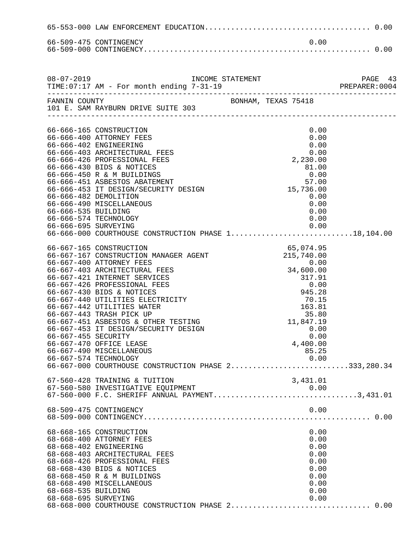|                      | 66-509-475 CONTINGENCY                                                                    | 0.00                |                           |
|----------------------|-------------------------------------------------------------------------------------------|---------------------|---------------------------|
|                      |                                                                                           |                     |                           |
| $08 - 07 - 2019$     | INCOME STATEMENT<br>TIME: 07:17 AM - For month ending 7-31-19                             |                     | PAGE 43<br>PREPARER: 0004 |
| FANNIN COUNTY        |                                                                                           | BONHAM, TEXAS 75418 |                           |
|                      | 101 E. SAM RAYBURN DRIVE SUITE 303                                                        |                     |                           |
|                      |                                                                                           |                     |                           |
|                      | 66-666-165 CONSTRUCTION                                                                   | 0.00                |                           |
|                      | 66-666-400 ATTORNEY FEES                                                                  | 0.00                |                           |
|                      | 66-666-402 ENGINEERING<br>66-666-403 ARCHITECTURAL FEES                                   | 0.00<br>0.00        |                           |
|                      | 66-666-426 PROFESSIONAL FEES                                                              | 2,230.00            |                           |
|                      | 66-666-430 BIDS & NOTICES                                                                 | 81.00               |                           |
|                      | 66-666-450 R & M BUILDINGS                                                                | 0.00                |                           |
|                      | 66-666-451 ASBESTOS ABATEMENT                                                             | 57.00               |                           |
|                      | 66-666-453 IT DESIGN/SECURITY DESIGN                                                      | 15,736.00           |                           |
|                      | 66-666-482 DEMOLITION                                                                     | 0.00                |                           |
|                      | 66-666-490 MISCELLANEOUS                                                                  | 0.00                |                           |
| 66-666-535 BUILDING  |                                                                                           | 0.00                |                           |
|                      | 66-666-574 TECHNOLOGY                                                                     | 0.00                |                           |
| 66-666-695 SURVEYING | 66-666-000 COURTHOUSE CONSTRUCTION PHASE 118,104.00                                       | 0.00                |                           |
|                      |                                                                                           |                     |                           |
|                      | 66-667-165 CONSTRUCTION                                                                   | 65,074.95           |                           |
|                      | 66-667-167 CONSTRUCTION MANAGER AGENT                                                     | 215,740.00          |                           |
|                      | 66-667-400 ATTORNEY FEES                                                                  | 0.00                |                           |
|                      | 66-667-403 ARCHITECTURAL FEES                                                             | 34,600.00           |                           |
|                      | 66-667-421 INTERNET SERVICES                                                              | 317.91              |                           |
|                      | 66-667-426 PROFESSIONAL FEES                                                              | 0.00                |                           |
|                      | 66-667-430 BIDS & NOTICES                                                                 | 945.28              |                           |
|                      | 66-667-440 UTILITIES ELECTRICITY<br>66-667-442 UTILITIES WATER                            | 70.15<br>163.81     |                           |
|                      | 66-667-443 TRASH PICK UP                                                                  | 35.80               |                           |
|                      | 66-667-451 ASBESTOS & OTHER TESTING                                                       | 11,847.19           |                           |
|                      | 66-667-453 IT DESIGN/SECURITY DESIGN                                                      | 0.00                |                           |
| 66-667-455 SECURITY  |                                                                                           | 0.00                |                           |
|                      | 66-667-470 OFFICE LEASE                                                                   | 4,400.00            |                           |
|                      | 66-667-490 MISCELLANEOUS                                                                  | 85.25               |                           |
|                      | 66-667-574 TECHNOLOGY                                                                     | 0.00                |                           |
|                      | 66-667-000 COURTHOUSE CONSTRUCTION PHASE 2333,280.34                                      |                     |                           |
|                      | 67-560-428 TRAINING & TUITION                                                             | 3,431.01            |                           |
|                      | 67-560-580 INVESTIGATIVE EQUIPMENT                                                        |                     |                           |
|                      | 67-560-580 INVESTIGATIVE EQUIPMENT 0.00<br>67-560-000 F.C. SHERIFF ANNUAL PAYMENT3,431.01 |                     |                           |
|                      |                                                                                           |                     |                           |
|                      | 68-509-475 CONTINGENCY                                                                    | 0.00                |                           |
|                      |                                                                                           |                     |                           |
|                      | 68-668-165 CONSTRUCTION                                                                   | 0.00                |                           |
|                      | 68-668-400 ATTORNEY FEES                                                                  | 0.00                |                           |
|                      | 68-668-402 ENGINEERING                                                                    | 0.00                |                           |
|                      | 68-668-403 ARCHITECTURAL FEES                                                             | 0.00                |                           |
|                      | 68-668-426 PROFESSIONAL FEES                                                              | 0.00                |                           |
|                      | 68-668-430 BIDS & NOTICES                                                                 | 0.00                |                           |
|                      | 68-668-450 R & M BUILDINGS                                                                | 0.00                |                           |
|                      | 68-668-490 MISCELLANEOUS                                                                  | 0.00                |                           |
| 68-668-535 BUILDING  |                                                                                           | 0.00                |                           |
| 68-668-695 SURVEYING |                                                                                           | 0.00                |                           |
|                      | 68-668-000 COURTHOUSE CONSTRUCTION PHASE 2 0.00                                           |                     |                           |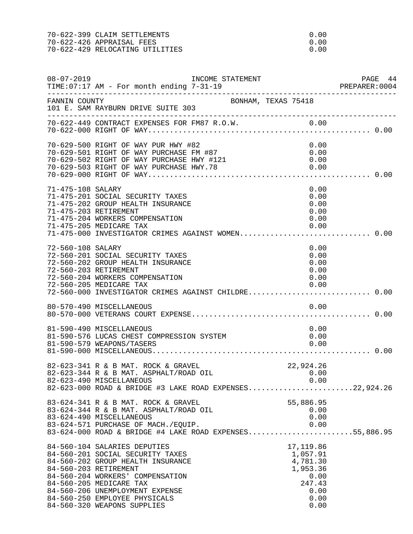| 70-622-399 CLAIM SETTLEMENTS    | 0.00 |
|---------------------------------|------|
| 70-622-426 APPRAISAL FEES       | റ ററ |
| 70-622-429 RELOCATING UTILITIES | റ ററ |

| $08 - 07 - 2019$  | TIME: 07:17 AM - For month ending 7-31-19                                                                                                                                                                                                                                                        | INCOME STATEMENT    |                                                                                         | PAGE 44 |
|-------------------|--------------------------------------------------------------------------------------------------------------------------------------------------------------------------------------------------------------------------------------------------------------------------------------------------|---------------------|-----------------------------------------------------------------------------------------|---------|
| FANNIN COUNTY     | 101 E. SAM RAYBURN DRIVE SUITE 303                                                                                                                                                                                                                                                               | BONHAM, TEXAS 75418 |                                                                                         |         |
|                   |                                                                                                                                                                                                                                                                                                  |                     |                                                                                         |         |
|                   | 70-629-500 RIGHT OF WAY PUR HWY #82<br>70-629-501 RIGHT OF WAY PURCHASE FM #87<br>70-629-502 RIGHT OF WAY PURCHASE HWY #121<br>70-629-503 RIGHT OF WAY PURCHASE HWY.78                                                                                                                           |                     | 0.00<br>0.00<br>0.00<br>0.00                                                            |         |
| 71-475-108 SALARY | 71-475-201 SOCIAL SECURITY TAXES<br>71-475-202 GROUP HEALTH INSURANCE<br>71-475-203 RETIREMENT<br>71-475-204 WORKERS COMPENSATION<br>71-475-205 MEDICARE TAX<br>71-475-000 INVESTIGATOR CRIMES AGAINST WOMEN 0.00                                                                                |                     | 0.00<br>0.00<br>0.00<br>0.00<br>0.00<br>0.00                                            |         |
| 72-560-108 SALARY | 72-560-201 SOCIAL SECURITY TAXES<br>72-560-202 GROUP HEALTH INSURANCE<br>72-560-203 RETIREMENT<br>72-560-204 WORKERS COMPENSATION<br>72-560-205 MEDICARE TAX<br>72-560-000 INVESTIGATOR CRIMES AGAINST CHILDRE 0.00                                                                              |                     | 0.00<br>0.00<br>0.00<br>0.00<br>0.00<br>0.00                                            |         |
|                   | 80-570-490 MISCELLANEOUS                                                                                                                                                                                                                                                                         |                     | 0.00                                                                                    |         |
|                   | 81-590-490 MISCELLANEOUS<br>81-590-576 LUCAS CHEST COMPRESSION SYSTEM<br>81-590-579 WEAPONS/TASERS                                                                                                                                                                                               |                     | 0.00<br>0.00<br>0.00                                                                    |         |
|                   | 82-623-341 R & B MAT. ROCK & GRAVEL<br>82-623-344 R & B MAT. ASPHALT/ROAD OIL<br>82-623-490 MISCELLANEOUS<br>82-623-000 ROAD & BRIDGE #3 LAKE ROAD EXPENSES22,924.26                                                                                                                             |                     | 22,924.26<br>22,924.26<br>0.00<br>0.00                                                  |         |
|                   | 83-624-341 R & B MAT. ROCK & GRAVEL<br>83-624-344 R & B MAT. ASPHALT/ROAD OIL<br>83-624-490 MISCELLANEOUS<br>83-624-571 PURCHASE OF MACH./EQUIP.<br>83-624-000 ROAD & BRIDGE #4 LAKE ROAD EXPENSES55,886.95                                                                                      |                     | 55,886.95<br>0.00<br>0.00<br>0.00                                                       |         |
|                   | 84-560-104 SALARIES DEPUTIES<br>84-560-201 SOCIAL SECURITY TAXES<br>84-560-202 GROUP HEALTH INSURANCE<br>84-560-203 RETIREMENT<br>84-560-204 WORKERS' COMPENSATION<br>84-560-205 MEDICARE TAX<br>84-560-206 UNEMPLOYMENT EXPENSE<br>84-560-250 EMPLOYEE PHYSICALS<br>84-560-320 WEAPONS SUPPLIES |                     | 17,119.86<br>1,057.91<br>4,781.30<br>1,953.36<br>0.00<br>247.43<br>0.00<br>0.00<br>0.00 |         |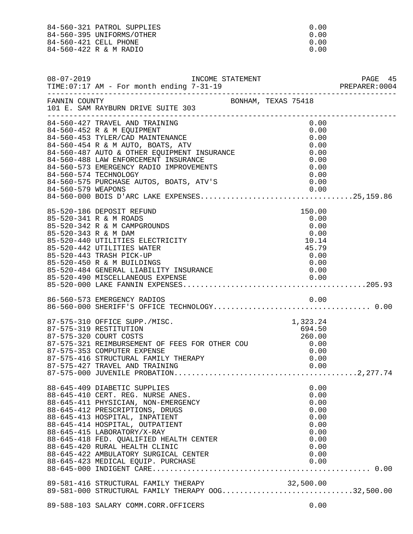84-560-321 PATROL SUPPLIES 0.00<br>84-560-395 UNIFORMS/OTHER 0.00 84-560-395 UNIFORMS/OTHER 0.00<br>84-560-421 CELL PHONE 0.00 84-560-421 CELL PHONE 0.00<br>84-560-422 R & M RADIO 0.00 84-560-422 R & M RADIO

| $08 - 07 - 2019$      |                                                                                                                                                                                                                                                                                                                                                                                                             |                     |  |                                                                                      | PAGE 45<br>PREPARER: 0004 |
|-----------------------|-------------------------------------------------------------------------------------------------------------------------------------------------------------------------------------------------------------------------------------------------------------------------------------------------------------------------------------------------------------------------------------------------------------|---------------------|--|--------------------------------------------------------------------------------------|---------------------------|
| FANNIN COUNTY         | 101 E. SAM RAYBURN DRIVE SUITE 303                                                                                                                                                                                                                                                                                                                                                                          | BONHAM, TEXAS 75418 |  |                                                                                      |                           |
| 84-560-574 TECHNOLOGY | 84-560-427 TRAVEL AND TRAINING<br>84-560-452 R & M EQUIPMENT<br>84-560-453 TYLER/CAD MAINTENANCE<br>84-560-454 R & M AUTO, BOATS, ATV<br>84-560-454 R & M AUTO, BOATS, ATV<br>84-560-487 AUTO & OTHER EQUIPMENT INSURANCE<br>84-560-488 LAW ENFORCEMENT INSURANCE<br>84-560-573 EMERGENCY RADIO IMPROVEMENTS<br>84-560-575 PURCHASE AUTOS, BOATS, ATV'S                                                     |                     |  | 0.00<br>0.00<br>0.00<br>0.00<br>0.00<br>0.00<br>0.00<br>0.00                         |                           |
| 85-520-343 R & M DAM  | 85-520-186 DEPOSIT REFUND<br>85-520-341 R & M ROADS<br>85-520-342 R & M CAMPGROUNDS<br>85-520-440 UTILITIES ELECTRICITY<br>85-520-442 UTILITIES WATER<br>85-520-443 TRASH PICK-UP<br>85-520-450 R & M BUILDINGS<br>85-520-484 GENERAL LIABILITY INSURANCE                                                                                                                                                   |                     |  | 150.00<br>0.00<br>0.00<br>0.00<br>10.14<br>45.79<br>0.00<br>0.00<br>0.00             |                           |
|                       |                                                                                                                                                                                                                                                                                                                                                                                                             |                     |  |                                                                                      |                           |
|                       | 87-575-310 OFFICE SUPP./MISC.<br>87-575-319 RESTITUTION<br>87-575-320 COURT COSTS<br>87-575-321 REIMBURSEMENT OF FEES FOR OTHER COU $0.00$<br>87-575-353 COMPUTER EXPENSE<br>87-575-353 COMPUTER EXPENSE<br>87-575-416 STRUCTURAL FAMILY THERAPY                                                                                                                                                            |                     |  | 1,323.24<br>694.50<br>260.00<br>0.00<br>0.00                                         |                           |
|                       | 88-645-409 DIABETIC SUPPLIES<br>88-645-410 CERT. REG. NURSE ANES.<br>88-645-411 PHYSICIAN, NON-EMERGENCY<br>88-645-412 PRESCRIPTIONS, DRUGS<br>88-645-413 HOSPITAL, INPATIENT<br>88-645-414 HOSPITAL, OUTPATIENT<br>88-645-415 LABORATORY/X-RAY<br>88-645-418 FED. QUALIFIED HEALTH CENTER<br>88-645-420 RURAL HEALTH CLINIC<br>88-645-422 AMBULATORY SURGICAL CENTER<br>88-645-423 MEDICAL EQUIP. PURCHASE |                     |  | 0.00<br>0.00<br>0.00<br>0.00<br>0.00<br>0.00<br>0.00<br>0.00<br>0.00<br>0.00<br>0.00 |                           |
|                       | 89-581-416 STRUCTURAL FAMILY THERAPY 00G32,500.00<br>89-581-000 STRUCTURAL FAMILY THERAPY 00G32,500.00                                                                                                                                                                                                                                                                                                      |                     |  |                                                                                      |                           |
|                       | 89-588-103 SALARY COMM.CORR.OFFICERS                                                                                                                                                                                                                                                                                                                                                                        |                     |  | 0.00                                                                                 |                           |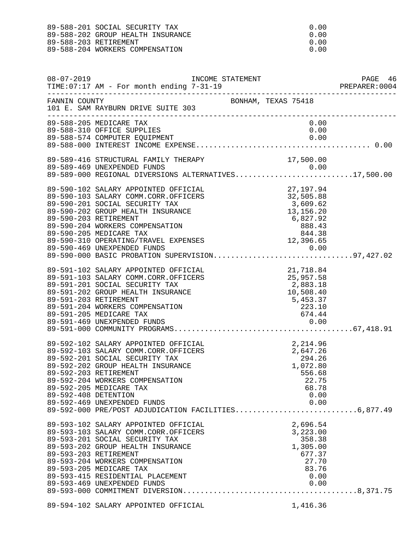| 89-588-201 SOCIAL SECURITY TAX    | . n . n n |
|-----------------------------------|-----------|
| 89-588-202 GROUP HEALTH INSURANCE | . n . n n |
| 89-588-203 RETIREMENT             | റ ററ      |
| 89-588-204 WORKERS COMPENSATION   | . n . n n |

| $08 - 07 - 2019$     | INCOME STATEMENT<br>TIME: 07:17 AM - For month ending 7-31-19                                                                                                                                                                                                                                                                                                        |                                                                                                            | PAGE 46 |
|----------------------|----------------------------------------------------------------------------------------------------------------------------------------------------------------------------------------------------------------------------------------------------------------------------------------------------------------------------------------------------------------------|------------------------------------------------------------------------------------------------------------|---------|
| FANNIN COUNTY        | 101 E. SAM RAYBURN DRIVE SUITE 303                                                                                                                                                                                                                                                                                                                                   | BONHAM, TEXAS 75418                                                                                        |         |
|                      | 89-588-205 MEDICARE TAX<br>89-588-310 OFFICE SUPPLIES                                                                                                                                                                                                                                                                                                                | 0.00<br>0.00                                                                                               |         |
|                      | 89-589-416 STRUCTURAL FAMILY THERAPY<br>89-589-469 UNEXPENDED FUNDS<br>89-589-000 REGIONAL DIVERSIONS ALTERNATIVES17,500.00                                                                                                                                                                                                                                          | 17,500.00                                                                                                  |         |
|                      | 89-590-102 SALARY APPOINTED OFFICIAL<br>89-590-103 SALARY COMM.CORR.OFFICERS<br>89-590-201 SOCIAL SECURITY TAX<br>89-590-202 GROUP HEALTH INSURANCE<br>89-590-203 RETIREMENT<br>89-590-204 WORKERS COMPENSATION<br>89-590-205 MEDICARE TAX<br>89-590-310 OPERATING/TRAVEL EXPENSES<br>89-590-469 UNEXPENDED FUNDS<br>89-590-000 BASIC PROBATION SUPERVISION97,427.02 | 27, 197.94<br>32, 505.88<br>3, 609.62<br>13, 156.20<br>6, 827.92<br>888.43<br>844.38<br>12, 396.65<br>0.00 |         |
|                      | 89-591-102 SALARY APPOINTED OFFICIAL<br>89-591-103 SALARY COMM.CORR.OFFICERS<br>89-591-201 SOCIAL SECURITY TAX<br>89-591-202 GROUP HEALTH INSURANCE<br>89-591-203 RETIREMENT<br>89-591-204 WORKERS COMPENSATION<br>89-591-205 MEDICARE TAX                                                                                                                           | TAL<br>ERS 21,718.84<br>25,957.58<br>2,883.18<br>10,508.40<br>5,453.37<br>223.10<br>674.44<br>0.00         |         |
| 89-592-408 DETENTION | 89-592-102 SALARY APPOINTED OFFICIAL<br>89-592-103 SALARY COMM.CORR.OFFICERS<br>89-592-201 SOCIAL SECURITY TAX<br>89-592-202 GROUP HEALTH INSURANCE<br>89-592-203 RETIREMENT<br>89-592-204 WORKERS COMPENSATION<br>89-592-205 MEDICARE TAX<br>89-592-469 UNEXPENDED FUNDS<br>89-592-000 PRE/POST ADJUDICATION FACILITIES6,877.49                                     | 2, 214.96<br>2, 647.26<br>294.26<br>1, 072.80<br>556.68<br>22.75<br>68.78<br>0.00<br>0.00                  |         |
|                      | 89-593-102 SALARY APPOINTED OFFICIAL<br>89-593-103 SALARY COMM.CORR.OFFICERS<br>89-593-201 SOCIAL SECURITY TAX<br>89-593-202 GROUP HEALTH INSURANCE<br>89-593-203 RETIREMENT<br>89-593-204 WORKERS COMPENSATION<br>89-593-205 MEDICARE TAX<br>89-593-415 RESIDENTIAL PLACEMENT<br>89-593-469 UNEXPENDED FUNDS                                                        | 2,696.54<br>3,223.00<br>358.38<br>1,305.00<br>677.37<br>27.70<br>83.76<br>0.00<br>0.00                     |         |
|                      | CATADILA CONTINUED OURTAINT                                                                                                                                                                                                                                                                                                                                          |                                                                                                            |         |

89-594-102 SALARY APPOINTED OFFICIAL 1,416.36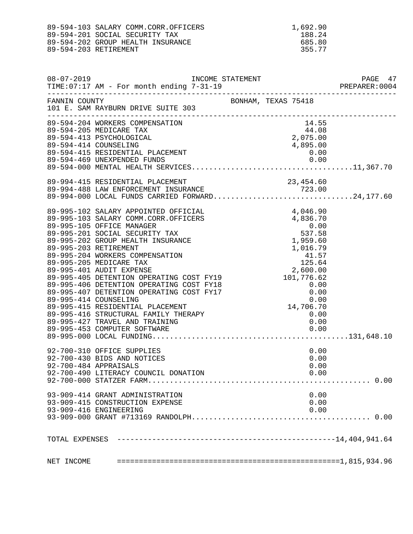| 89-594-103 SALARY COMM.CORR.OFFICERS | 1,692.90 |
|--------------------------------------|----------|
| 89-594-201 SOCIAL SECURITY TAX       | 188.24   |
| 89-594-202 GROUP HEALTH INSURANCE    | 685.80   |
| 89-594-203 RETIREMENT                | 355.77   |
|                                      |          |

| $08 - 07 - 2019$ | TIME: 07:17 AM - For month ending 7-31-19                                                                                                           |                     |                                                                               | PAGE 47<br>PREPARER:0004 |
|------------------|-----------------------------------------------------------------------------------------------------------------------------------------------------|---------------------|-------------------------------------------------------------------------------|--------------------------|
| FANNIN COUNTY    | 101 E. SAM RAYBURN DRIVE SUITE 303                                                                                                                  | BONHAM, TEXAS 75418 |                                                                               |                          |
|                  | 89-594-204 WORKERS COMPENSATION<br>89-594-205 MEDICARE TAX<br>89-594-413 PSYCHOLOGICAL<br>89-594-414 COUNSELING<br>89-594-415 RESIDENTIAL PLACEMENT |                     | $\begin{array}{r} 14.55 \\ 44.08 \\ 2,075.00 \end{array}$<br>4,895.00<br>0.00 |                          |
|                  | 89-994-415 RESIDENTIAL PLACEMENT<br>89-994-488 LAW ENFORCEMENT INSURANCE<br>89-994-000 LOCAL FUNDS CARRIED FORWARD24,177.60                         |                     |                                                                               |                          |
|                  | 89-995-427 TRAVEL AND TRAINING                                                                                                                      |                     | 0.00                                                                          |                          |
|                  | 92-700-310 OFFICE SUPPLIES<br>92-700-430 BIDS AND NOTICES<br>92-700-484 APPRAISALS<br>92-700-490 LITERACY COUNCIL DONATION                          |                     | 0.00<br>0.00<br>0.00<br>0.00                                                  |                          |
|                  | 93-909-414 GRANT ADMINISTRATION<br>93-909-415 CONSTRUCTION EXPENSE<br>93-909-416 ENGINEERING                                                        |                     | 0.00<br>0.00<br>0.00                                                          |                          |
|                  |                                                                                                                                                     |                     |                                                                               |                          |
| NET INCOME       |                                                                                                                                                     |                     |                                                                               |                          |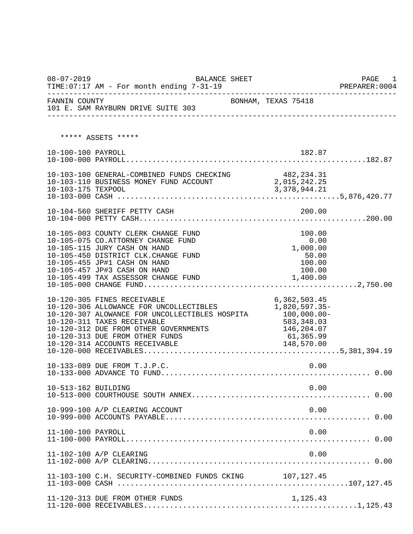08-07-2019 BALANCE SHEET PAGE 1  $TIME:07:17$  AM - For month ending  $7-31-19$ -------------------------------------------------------------------------------- FANNIN COUNTY **BONHAM, TEXAS 75418** 101 E. SAM RAYBURN DRIVE SUITE 303 -------------------------------------------------------------------------------- \*\*\*\*\* ASSETS \*\*\*\*\* 10-100-100 PAYROLL 182.87 10-100-000 PAYROLL.......................................................182.87 10-103-100 GENERAL-COMBINED FUNDS CHECKING  $482,234.31$ <br>10-103-110 BUSINESS MONEY FUND ACCOUNT  $2,015,242.25$ 10-103-110 BUSINESS MONEY FUND ACCOUNT 2,015,242.25<br>10-103-175 TEXPOOL 3,378,944.21 10-103-175 TEXPOOL 10-103-000 CASH ...................................................5,876,420.77 10-104-560 SHERIFF PETTY CASH 200.00 10-104-000 PETTY CASH....................................................200.00 10-105-003 COUNTY CLERK CHANGE FUND 100.00<br>10-105-075 CO.ATTORNEY CHANGE FUND 1000 0.00 10-105-075 CO.ATTORNEY CHANGE FUND 10-105-115 JURY CASH ON HAND 1.000.00 10-105-115 JURY CASH ON HAND 10-105-450 DISTRICT CLK.CHANGE FUND 50.00 10-105-455 JP#1 CASH ON HAND 100.00 10-105-457 JP#3 CASH ON HAND 100.00 10-105-499 TAX ASSESSOR CHANGE FUND 10-105-000 CHANGE FUND.................................................2,750.00 10-120-305 FINES RECEIVABLE 6,362,503.45 10-120-306 ALLOWANCE FOR UNCOLLECTIBLES  $1,820,597.35-10-120-307$  ALOWANCE FOR UNCOLLECTIBLES HOSPITA  $100,000.00-$ 10-120-307 ALOWANCE FOR UNCOLLECTIBLES HOSPITA 100,000.00<br>10-120-311 TAXES RECEIVABLE 583,348.03 10-120-311 TAXES RECEIVABLE<br>10-120-312 DUE FROM OTHER GOVERNMENTS 1999 146,204.07 10-120-312 DUE FROM OTHER GOVERNMENTS 10-120-313 DUE FROM OTHER FUNDS 61,365.99 10-120-313 DUE FROM OTHER FUNDS 61,365.99<br>10-120-314 ACCOUNTS RECEIVABLE 148,570.00 10-120-314 ACCOUNTS RECEIVABLE 10-120-000 RECEIVABLES.............................................5,381,394.19 10-133-089 DUE FROM T.J.P.C. 0.00 10-133-000 ADVANCE TO FUND................................................ 0.00 10-513-162 BUILDING 0.00 10-513-000 COURTHOUSE SOUTH ANNEX......................................... 0.00 10-999-100 A/P CLEARING ACCOUNT 0.00 10-999-000 ACCOUNTS PAYABLE............................................... 0.00 11-100-100 PAYROLL 0.00 11-100-000 PAYROLL........................................................ 0.00 11-102-100 A/P CLEARING 0.00 11-102-000 A/P CLEARING................................................... 0.00 11-103-100 C.H. SECURITY-COMBINED FUNDS CKING 107,127.45 11-103-000 CASH .....................................................107,127.45 11-120-313 DUE FROM OTHER FUNDS 1,125.43 11-120-000 RECEIVABLES.................................................1,125.43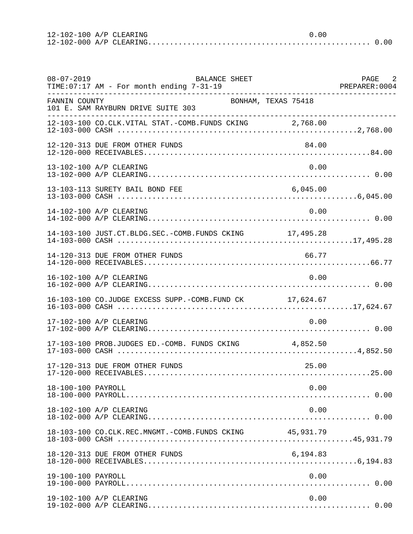12-102-100 A/P CLEARING 0.00 12-102-000 A/P CLEARING................................................... 0.00

| $08 - 07 - 2019$   | BALANCE SHEET<br>TIME: 07:17 AM - For month ending 7-31-19 |          | PAGE 2<br>PREPARER: 0004 |
|--------------------|------------------------------------------------------------|----------|--------------------------|
| FANNIN COUNTY      | BONHAM, TEXAS 75418<br>101 E. SAM RAYBURN DRIVE SUITE 303  |          |                          |
|                    | 12-103-100 CO.CLK.VITAL STAT.-COMB.FUNDS CKING 2,768.00    |          |                          |
|                    | 12-120-313 DUE FROM OTHER FUNDS                            | 84.00    |                          |
|                    | 13-102-100 A/P CLEARING                                    | 0.00     |                          |
|                    | 13-103-113 SURETY BAIL BOND FEE                            | 6,045.00 |                          |
|                    | 14-102-100 A/P CLEARING                                    | 0.00     |                          |
|                    | 14-103-100 JUST.CT.BLDG.SEC.-COMB.FUNDS CKING 17,495.28    |          |                          |
|                    | 14-120-313 DUE FROM OTHER FUNDS                            | 66.77    |                          |
|                    | 16-102-100 A/P CLEARING                                    | 0.00     |                          |
|                    | 16-103-100 CO.JUDGE EXCESS SUPP.-COMB.FUND CK 17,624.67    |          |                          |
|                    | 17-102-100 A/P CLEARING                                    | 0.00     |                          |
|                    | 17-103-100 PROB.JUDGES ED.-COMB. FUNDS CKING 4,852.50      |          |                          |
|                    | 17-120-313 DUE FROM OTHER FUNDS                            | 25.00    |                          |
| 18-100-100 PAYROLL |                                                            | 0.00     |                          |
|                    | 18-102-100 A/P CLEARING                                    | 0.00     |                          |
|                    | 18-103-100 CO.CLK.REC.MNGMT.-COMB.FUNDS CKING 45,931.79    |          |                          |
|                    | 18-120-313 DUE FROM OTHER FUNDS                            | 6,194.83 |                          |
| 19-100-100 PAYROLL |                                                            | 0.00     |                          |
|                    | 19-102-100 A/P CLEARING                                    | 0.00     |                          |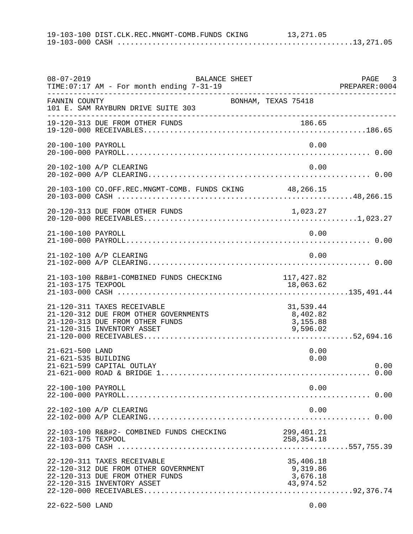19-103-100 DIST.CLK.REC.MNGMT-COMB.FUNDS CKING 13,271.05 19-103-000 CASH ......................................................13,271.05

| $08 - 07 - 2019$                       | BALANCE SHEET<br>TIME: 07:17 AM - For month ending 7-31-19                                                                            |                                                | PAGE 3 |
|----------------------------------------|---------------------------------------------------------------------------------------------------------------------------------------|------------------------------------------------|--------|
| FANNIN COUNTY                          | 101 E. SAM RAYBURN DRIVE SUITE 303                                                                                                    | BONHAM, TEXAS 75418                            |        |
|                                        | 19-120-313 DUE FROM OTHER FUNDS                                                                                                       | 186.65                                         |        |
| 20-100-100 PAYROLL                     |                                                                                                                                       | 0.00                                           |        |
|                                        | 20-102-100 A/P CLEARING                                                                                                               | 0.00                                           |        |
|                                        | 20-103-100 CO.OFF.REC.MNGMT-COMB. FUNDS CKING 48,266.15                                                                               |                                                |        |
|                                        | 20-120-313 DUE FROM OTHER FUNDS                                                                                                       | 1,023.27                                       |        |
| 21-100-100 PAYROLL                     |                                                                                                                                       | 0.00                                           |        |
|                                        | 21-102-100 A/P CLEARING                                                                                                               | 0.00                                           |        |
| 21-103-175 TEXPOOL                     | 21-103-100 R&B#1-COMBINED FUNDS CHECKING                                                                                              | 117,427.82<br>18,063.62                        |        |
|                                        | 21-120-311 TAXES RECEIVABLE<br>21-120-312 DUE FROM OTHER GOVERNMENTS<br>21-120-313 DUE FROM OTHER FUNDS<br>21-120-315 INVENTORY ASSET | 31,539.44<br>8,402.82<br>3,155.88<br>9,596.02  |        |
| 21-621-500 LAND<br>21-621-535 BUILDING | 21-621-599 CAPITAL OUTLAY                                                                                                             | 0.00<br>0.00                                   | 0.00   |
| 22-100-100 PAYROLL                     |                                                                                                                                       | 0.00                                           |        |
|                                        | 22-102-100 A/P CLEARING                                                                                                               | 0.00                                           |        |
| 22-103-175 TEXPOOL                     | 22-103-100 R&B#2- COMBINED FUNDS CHECKING                                                                                             | 299,401.21<br>258, 354. 18                     |        |
|                                        | 22-120-311 TAXES RECEIVABLE<br>22-120-312 DUE FROM OTHER GOVERNMENT<br>22-120-313 DUE FROM OTHER FUNDS<br>22-120-315 INVENTORY ASSET  | 35,406.18<br>9,319.86<br>3,676.18<br>43,974.52 |        |
| 22-622-500 LAND                        |                                                                                                                                       | 0.00                                           |        |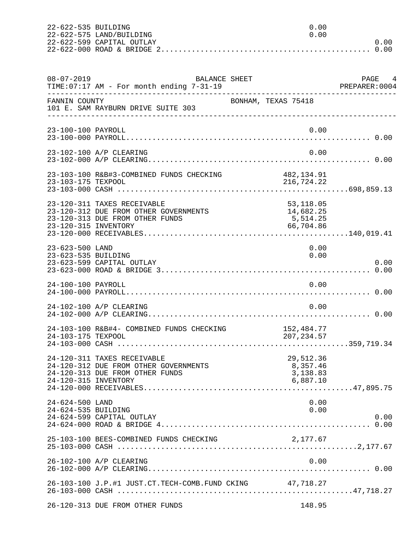| 22-622-535 BUILDING |                           |        |         |
|---------------------|---------------------------|--------|---------|
|                     | 22-622-575 LAND/BUILDING  | 0. Q Q |         |
|                     | 22-622-599 CAPITAL OUTLAY |        | 0. Q 0. |
|                     |                           |        |         |

| $08 - 07 - 2019$                       | <b>BALANCE SHEET</b><br>TIME:07:17 AM - For month ending 7-31-19                                        |                                                 | PAGE 4<br>PREPARER:0004 |
|----------------------------------------|---------------------------------------------------------------------------------------------------------|-------------------------------------------------|-------------------------|
| FANNIN COUNTY                          | 101 E. SAM RAYBURN DRIVE SUITE 303                                                                      | BONHAM, TEXAS 75418                             |                         |
| 23-100-100 PAYROLL                     |                                                                                                         | 0.00                                            |                         |
|                                        | 23-102-100 A/P CLEARING                                                                                 | 0.00                                            |                         |
| 23-103-175 TEXPOOL                     | 23-103-100 R&B#3-COMBINED FUNDS CHECKING                                                                | 482,134.91<br>216, 724. 22                      |                         |
| 23-120-315 INVENTORY                   | 23-120-311 TAXES RECEIVABLE<br>23-120-312 DUE FROM OTHER GOVERNMENTS<br>23-120-313 DUE FROM OTHER FUNDS | 53,118.05<br>14,682.25<br>5,514.25<br>66,704.86 |                         |
| 23-623-500 LAND<br>23-623-535 BUILDING | 23-623-599 CAPITAL OUTLAY                                                                               | 0.00<br>0.00                                    | 0.00                    |
| 24-100-100 PAYROLL                     |                                                                                                         | 0.00                                            |                         |
|                                        | 24-102-100 A/P CLEARING                                                                                 | 0.00                                            |                         |
| 24-103-175 TEXPOOL                     | 24-103-100 R&B#4- COMBINED FUNDS CHECKING                                                               | 152,484.77<br>207,234.57                        |                         |
| 24-120-315 INVENTORY                   | 24-120-311 TAXES RECEIVABLE<br>24-120-312 DUE FROM OTHER GOVERNMENTS<br>24-120-313 DUE FROM OTHER FUNDS | 29,512.36<br>8,357.46<br>3,138.83<br>6,887.10   |                         |
| 24-624-500 LAND<br>24-624-535 BUILDING | 24-624-599 CAPITAL OUTLAY                                                                               | 0.00<br>0.00                                    | 0.00<br>0.00            |
|                                        | 25-103-100 BEES-COMBINED FUNDS CHECKING                                                                 | 2,177.67                                        |                         |
|                                        | 26-102-100 A/P CLEARING                                                                                 | 0.00                                            |                         |
|                                        | 26-103-100 J.P.#1 JUST.CT.TECH-COMB.FUND CKING 47,718.27                                                |                                                 |                         |
|                                        | 26-120-313 DUE FROM OTHER FUNDS                                                                         | 148.95                                          |                         |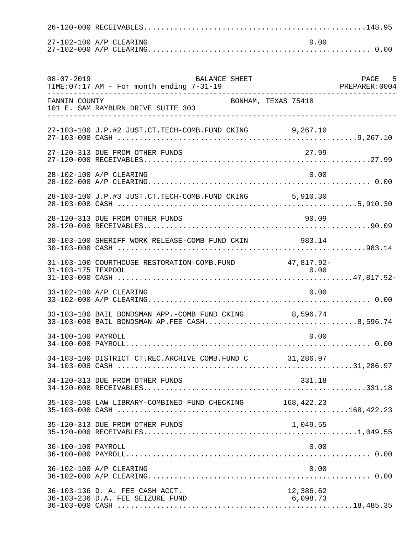| 27-102-100 A/P CLEARING |  | . N. U. |  |
|-------------------------|--|---------|--|
|                         |  |         |  |

| $08 - 07 - 2019$   | <b>BALANCE SHEET</b><br>TIME: 07:17 AM - For month ending 7-31-19                                      |                       | PAGE 5<br>PREPARER:0004 |
|--------------------|--------------------------------------------------------------------------------------------------------|-----------------------|-------------------------|
| FANNIN COUNTY      | 101 E. SAM RAYBURN DRIVE SUITE 303                                                                     | BONHAM, TEXAS 75418   |                         |
|                    | 27-103-100 J.P.#2 JUST.CT.TECH-COMB.FUND CKING 9,267.10                                                |                       |                         |
|                    | 27-120-313 DUE FROM OTHER FUNDS                                                                        | 27.99                 |                         |
|                    | 28-102-100 A/P CLEARING                                                                                | 0.00                  |                         |
|                    | 28-103-100 J.P.#3 JUST.CT.TECH-COMB.FUND CKING 5,910.30                                                |                       |                         |
|                    | 28-120-313 DUE FROM OTHER FUNDS                                                                        | 90.09                 |                         |
|                    | 30-103-100 SHERIFF WORK RELEASE-COMB FUND CKIN 983.14                                                  |                       |                         |
| 31-103-175 TEXPOOL | 31-103-100 COURTHOUSE RESTORATION-COMB. FUND 47,817.92-                                                | 0.00                  |                         |
|                    | 33-102-100 A/P CLEARING                                                                                | 0.00                  |                         |
|                    | 33-103-100 BAIL BONDSMAN APP.-COMB FUND CKING 8,596.74<br>33-103-000 BAIL BONDSMAN AP.FEE CASH8,596.74 |                       |                         |
| 34-100-100 PAYROLL |                                                                                                        | 0.00                  |                         |
|                    | 34-103-100 DISTRICT CT.REC.ARCHIVE COMB.FUND C 31,286.97                                               |                       |                         |
|                    | 34-120-313 DUE FROM OTHER FUNDS                                                                        | 331.18                |                         |
|                    | 35-103-100 LAW LIBRARY-COMBINED FUND CHECKING 168,422.23                                               |                       |                         |
|                    | 35-120-313 DUE FROM OTHER FUNDS                                                                        | 1,049.55              |                         |
| 36-100-100 PAYROLL |                                                                                                        | 0.00                  |                         |
|                    | 36-102-100 A/P CLEARING                                                                                | 0.00                  |                         |
|                    | 36-103-136 D. A. FEE CASH ACCT.<br>36-103-236 D.A. FEE SEIZURE FUND                                    | 12,386.62<br>6,098.73 |                         |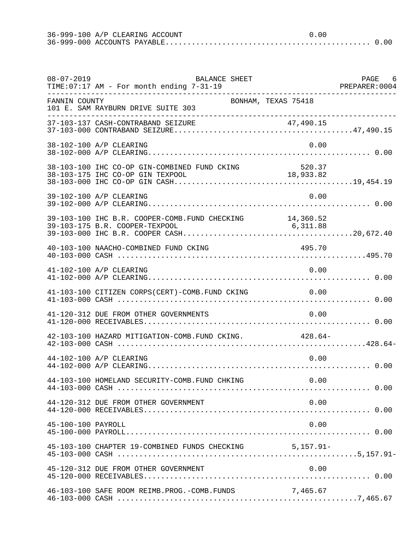36-999-100 A/P CLEARING ACCOUNT 0.00 36-999-000 ACCOUNTS PAYABLE............................................... 0.00

| $08 - 07 - 2019$   | BALANCE SHEET<br>TIME: 07:17 AM - For month ending 7-31-19                       |                     | PAGE 6 |
|--------------------|----------------------------------------------------------------------------------|---------------------|--------|
| FANNIN COUNTY      | 101 E. SAM RAYBURN DRIVE SUITE 303<br>___________________________________        | BONHAM, TEXAS 75418 |        |
|                    |                                                                                  |                     |        |
|                    | 38-102-100 A/P CLEARING                                                          | 0.00                |        |
|                    | 38-103-100 IHC CO-OP GIN-COMBINED FUND CKING<br>38-103-175 IHC CO-OP GIN TEXPOOL | 520.37<br>18,933.82 |        |
|                    | 39-102-100 A/P CLEARING                                                          | 0.00                |        |
|                    | 39-103-100 IHC B.R. COOPER-COMB. FUND CHECKING 14,360.52                         |                     |        |
|                    | 40-103-100 NAACHO-COMBINED FUND CKING                                            | 495.70              |        |
|                    | 41-102-100 A/P CLEARING                                                          | 0.00                |        |
|                    | 41-103-100 CITIZEN CORPS(CERT)-COMB.FUND CKING                                   | 0.00                |        |
|                    | 41-120-312 DUE FROM OTHER GOVERNMENTS                                            | 0.00                |        |
|                    | 42-103-100 HAZARD MITIGATION-COMB. FUND CKING. 428.64-                           |                     |        |
|                    | 44-102-100 A/P CLEARING                                                          | 0.00                |        |
|                    | 44-103-100 HOMELAND SECURITY-COMB.FUND CHKING                                    | 0.00                |        |
|                    | 44-120-312 DUE FROM OTHER GOVERNMENT                                             | 0.00                |        |
| 45-100-100 PAYROLL |                                                                                  | 0.00                |        |
|                    | 45-103-100 CHAPTER 19-COMBINED FUNDS CHECKING                                    | $5,157.91-$         |        |
|                    | 45-120-312 DUE FROM OTHER GOVERNMENT                                             | 0.00                |        |
|                    | 46-103-100 SAFE ROOM REIMB.PROG.-COMB.FUNDS                                      | 7,465.67            |        |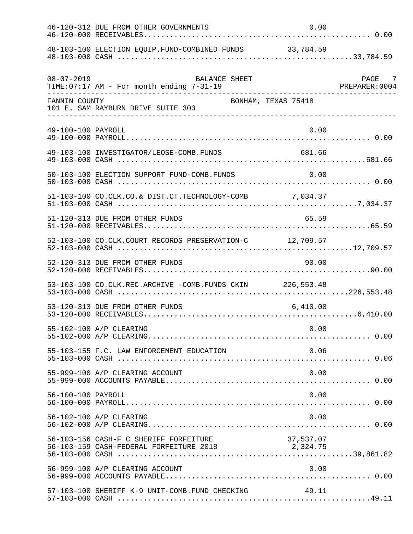|                    |                                                                                            | 0.00      |        |
|--------------------|--------------------------------------------------------------------------------------------|-----------|--------|
|                    | 48-103-100 ELECTION EQUIP.FUND-COMBINED FUNDS 33,784.59                                    |           |        |
| $08 - 07 - 2019$   | BALANCE SHEET<br>TIME:07:17 AM - For month ending 7-31-19<br>. _ _ _ _ _ _ _ _ _ _ _       |           | PAGE 7 |
| FANNIN COUNTY      | BONHAM, TEXAS 75418<br>101 E. SAM RAYBURN DRIVE SUITE 303                                  |           |        |
| 49-100-100 PAYROLL |                                                                                            | 0.00      |        |
|                    | 49-103-100 INVESTIGATOR/LEOSE-COMB.FUNDS                                                   | 681.66    |        |
|                    | 50-103-100 ELECTION SUPPORT FUND-COMB.FUNDS                                                | 0.00      |        |
|                    | 51-103-100 CO.CLK.CO.& DIST.CT.TECHNOLOGY-COMB 7,034.37                                    |           |        |
|                    | 51-120-313 DUE FROM OTHER FUNDS                                                            | 65.59     |        |
|                    | 52-103-100 CO.CLK.COURT RECORDS PRESERVATION-C 12,709.57                                   |           |        |
|                    | 52-120-313 DUE FROM OTHER FUNDS                                                            | 90.00     |        |
|                    | 53-103-100 CO.CLK.REC.ARCHIVE -COMB.FUNDS CKIN 226,553.48                                  |           |        |
|                    | 53-120-313 DUE FROM OTHER FUNDS                                                            | 6,410.00  |        |
|                    | 55-102-100 A/P CLEARING                                                                    | 0.00      |        |
|                    | 55-103-155 F.C. LAW ENFORCEMENT EDUCATION                                                  | 0.06      |        |
|                    | 55-999-100 A/P CLEARING ACCOUNT                                                            | 0.00      |        |
| 56-100-100 PAYROLL |                                                                                            | 0.00      |        |
|                    | 56-102-100 A/P CLEARING                                                                    | 0.00      |        |
|                    | 56-103-156 CASH-F C SHERIFF FORFEITURE<br>56-103-159 CASH-FEDERAL FORFEITURE 2018 2,324.75 | 37,537.07 |        |
|                    | 56-999-100 A/P CLEARING ACCOUNT                                                            | 0.00      |        |
|                    | 57-103-100 SHERIFF K-9 UNIT-COMB.FUND CHECKING 49.11                                       |           |        |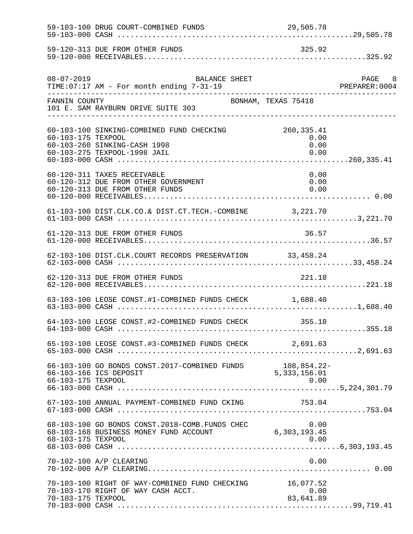|                    | 59-120-313 DUE FROM OTHER FUNDS                                                                            | 325.92                              |        |
|--------------------|------------------------------------------------------------------------------------------------------------|-------------------------------------|--------|
| $08 - 07 - 2019$   | BALANCE SHEET<br>TIME: 07:17 AM - For month ending 7-31-19                                                 |                                     | PAGE 8 |
| FANNIN COUNTY      | BONHAM, TEXAS 75418<br>101 E. SAM RAYBURN DRIVE SUITE 303                                                  |                                     |        |
| 60-103-175 TEXPOOL | 60-103-100 SINKING-COMBINED FUND CHECKING<br>60-103-260 SINKING-CASH 1998<br>60-103-275 TEXPOOL-1998 JAIL  | 260, 335.41<br>0.00<br>0.00<br>0.00 |        |
|                    | 60-120-311 TAXES RECEIVABLE<br>60-120-312 DUE FROM OTHER GOVERNMENT<br>60-120-313 DUE FROM OTHER FUNDS     | 0.00<br>0.00<br>0.00                |        |
|                    | 61-103-100 DIST.CLK.CO.& DIST.CT.TECH.-COMBINE 3,221.70                                                    |                                     |        |
|                    | 61-120-313 DUE FROM OTHER FUNDS                                                                            | 36.57                               |        |
|                    | 62-103-100 DIST.CLK.COURT RECORDS PRESERVATION 33,458.24                                                   |                                     |        |
|                    | 62-120-313 DUE FROM OTHER FUNDS                                                                            | 221.18                              |        |
|                    | 63-103-100 LEOSE CONST.#1-COMBINED FUNDS CHECK 1,688.40                                                    |                                     |        |
|                    | 64-103-100 LEOSE CONST.#2-COMBINED FUNDS CHECK 355.18                                                      |                                     |        |
|                    | 65-103-100 LEOSE CONST.#3-COMBINED FUNDS CHECK 2,691.63                                                    |                                     |        |
|                    | 66-103-100 GO BONDS CONST. 2017-COMBINED FUNDS 108,854.22-<br>66-103-166 ICS DEPOSIT                       | 5,333,156.01                        |        |
|                    | 67-103-100 ANNUAL PAYMENT-COMBINED FUND CKING                                                              | 753.04                              |        |
|                    | 68-103-100 GO BONDS CONST.2018-COMB.FUNDS CHEC 0.00<br>68-103-168 BUSINESS MONEY FUND ACCOUNT 6,303,193.45 |                                     |        |
|                    | 70-102-100 A/P CLEARING                                                                                    | 0.00                                |        |
| 70-103-175 TEXPOOL | 70-103-100 RIGHT OF WAY-COMBINED FUND CHECKING 16,077.52<br>70-103-170 RIGHT OF WAY CASH ACCT.             | 0.00<br>83,641.89                   |        |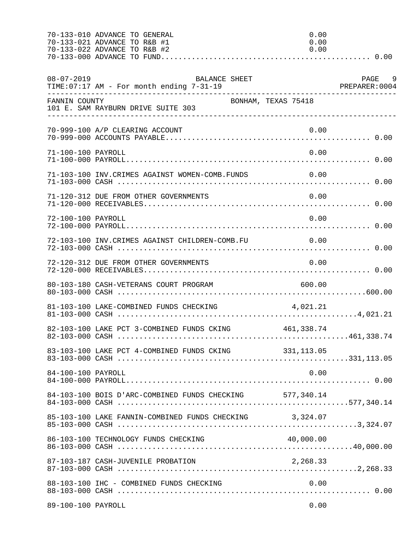|                    | 70-133-010 ADVANCE TO GENERAL<br>70-133-021 ADVANCE TO R&B #1<br>70-133-022 ADVANCE TO R&B #2 | 0.00<br>0.00<br>0.00 |        |
|--------------------|-----------------------------------------------------------------------------------------------|----------------------|--------|
| $08 - 07 - 2019$   | BALANCE SHEET                                                                                 |                      | PAGE 9 |
|                    | ------- COUNIT<br>101 E. SAM RAYBURN DRIVE SUITE 303<br>-----------------                     |                      |        |
|                    | 70-999-100 A/P CLEARING ACCOUNT                                                               | 0.00                 |        |
| 71-100-100 PAYROLL |                                                                                               | 0.00                 |        |
|                    | 71-103-100 INV.CRIMES AGAINST WOMEN-COMB.FUNDS                                                | 0.00                 |        |
|                    | 71-120-312 DUE FROM OTHER GOVERNMENTS                                                         | 0.00                 |        |
| 72-100-100 PAYROLL |                                                                                               | 0.00                 |        |
|                    | 72-103-100 INV.CRIMES AGAINST CHILDREN-COMB.FU                                                | 0.00                 |        |
|                    | 72-120-312 DUE FROM OTHER GOVERNMENTS                                                         | 0.00                 |        |
|                    | 80-103-180 CASH-VETERANS COURT PROGRAM                                                        | 600.00               |        |
|                    | 81-103-100 LAKE-COMBINED FUNDS CHECKING                                                       | 4,021.21             |        |
|                    | 82-103-100 LAKE PCT 3-COMBINED FUNDS CKING 461,338.74                                         |                      |        |
|                    | 83-103-100 LAKE PCT 4-COMBINED FUNDS CKING 331,113.05                                         |                      |        |
| 84-100-100 PAYROLL |                                                                                               | 0.00                 |        |
|                    | 84-103-100 BOIS D'ARC-COMBINED FUNDS CHECKING 577,340.14                                      |                      |        |
|                    | 85-103-100 LAKE FANNIN-COMBINED FUNDS CHECKING 3,324.07                                       |                      |        |
|                    |                                                                                               |                      |        |
|                    |                                                                                               |                      |        |
|                    | 88-103-100 IHC - COMBINED FUNDS CHECKING                                                      | 0.00                 |        |
| 89-100-100 PAYROLL |                                                                                               | 0.00                 |        |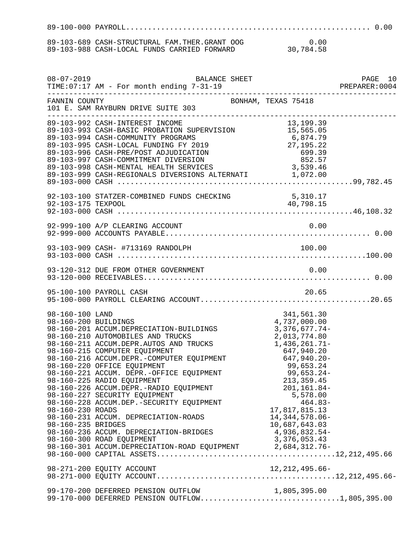89-100-000 PAYROLL........................................................ 0.00 89-103-689 CASH-STRUCTURAL FAM.THER.GRANT OOG 0.00

89-103-988 CASH-LOCAL FUNDS CARRIED FORWARD 30,784.58

| $08 - 07 - 2019$                                                                  | <b>BALANCE SHEET</b><br>TIME:07:17 AM - For month ending 7-31-19 PREPARER:                                                                                                                                                                                                                                                                                                                                                                                                                                                                                                   |                                                                                                                                                                                                          | PAGE 10<br>PREPARER:0004 |
|-----------------------------------------------------------------------------------|------------------------------------------------------------------------------------------------------------------------------------------------------------------------------------------------------------------------------------------------------------------------------------------------------------------------------------------------------------------------------------------------------------------------------------------------------------------------------------------------------------------------------------------------------------------------------|----------------------------------------------------------------------------------------------------------------------------------------------------------------------------------------------------------|--------------------------|
| FANNIN COUNTY                                                                     | BONHAM, TEXAS 75418<br>101 E. SAM RAYBURN DRIVE SUITE 303                                                                                                                                                                                                                                                                                                                                                                                                                                                                                                                    |                                                                                                                                                                                                          |                          |
|                                                                                   | 89-103-992 CASH-INTEREST INCOME<br>89-103-992 CASH-INTEREST INCOME<br>89-103-993 CASH-BASIC PROBATION SUPERVISION 15,565.05<br>89-103-994 CASH-COMMUNITY PROGRAMS 6,874.79<br>89-103-995 CASH-LOCAL FUNDING FY 2019 27,195.22<br>89-103-                                                                                                                                                                                                                                                                                                                                     |                                                                                                                                                                                                          |                          |
|                                                                                   |                                                                                                                                                                                                                                                                                                                                                                                                                                                                                                                                                                              |                                                                                                                                                                                                          |                          |
|                                                                                   |                                                                                                                                                                                                                                                                                                                                                                                                                                                                                                                                                                              |                                                                                                                                                                                                          |                          |
|                                                                                   |                                                                                                                                                                                                                                                                                                                                                                                                                                                                                                                                                                              |                                                                                                                                                                                                          |                          |
|                                                                                   |                                                                                                                                                                                                                                                                                                                                                                                                                                                                                                                                                                              |                                                                                                                                                                                                          |                          |
|                                                                                   |                                                                                                                                                                                                                                                                                                                                                                                                                                                                                                                                                                              |                                                                                                                                                                                                          |                          |
| 98-160-100 LAND<br>98-160-200 BUILDINGS<br>98-160-230 ROADS<br>98-160-235 BRIDGES | 98-160-200 BUILDINGS<br>98-160-201 ACCUM.DEPRECIATION-BUILDINGS<br>98-160-211 ACCUM.DEPRECIATION-BUILDINGS<br>98-160-211 ACCUM.DEPR.AUTOS AND TRUCKS<br>98-160-211 ACCUM.DEPR.AUTOS AND TRUCKS<br>98-160-215 COMPUTER EQUIPMENT<br>98-160-<br>98-160-225 RADIO EQUIPMENT<br>98-160-226 ACCUM.DEPR.-RADIO EQUIPMENT<br>98-160-227 SECURITY EQUIPMENT<br>98-160-228 ACCUM.DEP.-SECURITY EQUIPMENT<br>98-160-231 ACCUM. DEPRECIATION-ROADS<br>98-160-236 ACCUM. DEPRECIATION-BRIDGES<br>98-160-300 ROAD EQUIPMENT<br>98-160-301 ACCUM.DEPRECIATION-ROAD EQUIPMENT 2,684,312.76- | 341,561.30<br>4,737,000.00<br>3,376,677.74<br>2.013.774.90<br>213, 359.45<br>201,161.84-<br>5,578.00<br>$464.83-$<br>17,817,815.13<br>14, 344, 578.06-<br>10,687,643.03<br>4,936,832.54-<br>3,376,053.43 |                          |
|                                                                                   | 98-271-200 EQUITY ACCOUNT                                                                                                                                                                                                                                                                                                                                                                                                                                                                                                                                                    | 12, 212, 495.66-                                                                                                                                                                                         |                          |
|                                                                                   | 99-170-200 DEFERRED PENSION OUTFLOW 1,805,395.00<br>99-170-000 DEFERRED PENSION OUTFLOW1,805,395.00                                                                                                                                                                                                                                                                                                                                                                                                                                                                          |                                                                                                                                                                                                          |                          |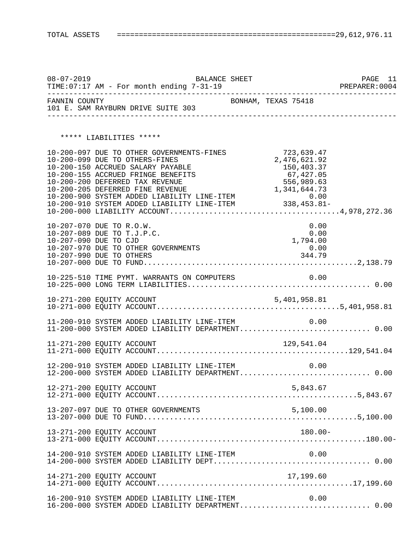08-07-2019 BALANCE SHEET PAGE 11<br>TIME:07:17 AM - For month ending 7-31-19 PREPARER:0004  $TIME:07:17$  AM - For month ending  $7-31-19$ -------------------------------------------------------------------------------- FANNIN COUNTY **EXAS 75418** 101 E. SAM RAYBURN DRIVE SUITE 303 -------------------------------------------------------------------------------- \*\*\*\*\* LIABILITIES \*\*\*\*\* 10-200-097 DUE TO OTHER GOVERNMENTS-FINES 723,639.47<br>10-200-099 DUE TO OTHERS-FINES 7 2,476,621.92 10-200-099 DUE TO OTHERS-FINES<br>10-200-150 ACCRUED SALARY PAYABLE 150,403.37 10-200-150 ACCRUED SALARY PAYABLE 150,403.37<br>10-200-155 ACCRUED FRINGE BENEFITS 67,427.05 10-200-155 ACCRUED FRINGE BENEFITS 67,427.05<br>10-200-200 DEFERRED TAX REVENUE 656,989.63 10-200-200 DEFERRED TAX REVENUE 556,989.63<br>10-200-205 DEFERRED FINE REVENUE 556,989.63 10-200-205 DEFERRED FINE REVENUE 1,341,644.73 10-200-900 SYSTEM ADDED LIABILITY LINE-ITEM 0.00 10-200-910 SYSTEM ADDED LIABILITY LINE-ITEM 338,453.81- 10-200-000 LIABILITY ACCOUNT.......................................4,978,272.36 10-207-070 DUE TO R.O.W. 0.00 10-207-089 DUE TO T.J.P.C. 0.00 10-207-090 DUE TO CJD<br>10-207-970 DUE TO OTHER GOVERNMENTS 0.00 10-207-970 DUE TO OTHER GOVERNMENTS 0.00<br>10-207-990 DUE TO OTHERS 344.79 10-207-990 DUE TO OTHERS 10-207-000 DUE TO FUND.................................................2,138.79 10-225-510 TIME PYMT. WARRANTS ON COMPUTERS 0.00 10-225-000 LONG TERM LIABILITIES.......................................... 0.00 10-271-200 EQUITY ACCOUNT 5,401,958.81 10-271-000 EQUITY ACCOUNT..........................................5,401,958.81 11-200-910 SYSTEM ADDED LIABILITY LINE-ITEM 0.00 11-200-000 SYSTEM ADDED LIABILITY DEPARTMENT.............................. 0.00 11-271-200 EQUITY ACCOUNT 129,541.04 11-271-000 EQUITY ACCOUNT............................................129,541.04 12-200-910 SYSTEM ADDED LIABILITY LINE-ITEM 0.00 12-200-000 SYSTEM ADDED LIABILITY DEPARTMENT.............................. 0.00 12-271-200 EQUITY ACCOUNT 5,843.67 12-271-000 EQUITY ACCOUNT..............................................5,843.67 13-207-097 DUE TO OTHER GOVERNMENTS 5,100.00 13-207-000 DUE TO FUND.................................................5,100.00 13-271-200 EQUITY ACCOUNT 180.00- 13-271-000 EQUITY ACCOUNT................................................180.00- 14-200-910 SYSTEM ADDED LIABILITY LINE-ITEM 0.00 14-200-000 SYSTEM ADDED LIABILITY DEPT.................................... 0.00 14-271-200 EQUITY ACCOUNT 17,199.60 14-271-000 EQUITY ACCOUNT.............................................17,199.60 16-200-910 SYSTEM ADDED LIABILITY LINE-ITEM 0.00

16-200-000 SYSTEM ADDED LIABILITY DEPARTMENT.............................. 0.00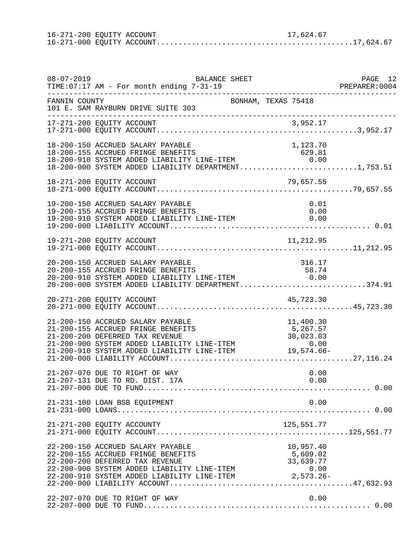| 16-271-200 EQUITY ACCOUNT |  | 17,624.67 |
|---------------------------|--|-----------|
|                           |  |           |

| $08 - 07 - 2019$ | BALANCE SHEET<br>TIME:07:17 AM - For month ending 7-31-19                                                                                                                                                                                                |                                    | PAGE 12 |
|------------------|----------------------------------------------------------------------------------------------------------------------------------------------------------------------------------------------------------------------------------------------------------|------------------------------------|---------|
| FANNIN COUNTY    | 101 E. SAM RAYBURN DRIVE SUITE 303                                                                                                                                                                                                                       | BONHAM, TEXAS 75418                |         |
|                  | ---------------------------------                                                                                                                                                                                                                        |                                    |         |
|                  | 18-200-150 ACCRUED SALARY PAYABLE<br>18-200-155 ACCRUED FRINGE BENEFITS<br>18-200-910 SYSTEM ADDED LIABILITY LINE-ITEM<br>18-200-910 SYSTEM ADDED LIABILITY LINE-ITEM 0.00<br>18-200-000 SYSTEM ADDED LIABILITY DEPARTMENT1,753.51                       | 1,123.70<br>629.81                 |         |
|                  |                                                                                                                                                                                                                                                          |                                    |         |
|                  | 19-200-150 ACCRUED SALARY PAYABLE<br>19-200-155 ACCRUED FRINGE BENEFITS<br>19-200-910 SYSTEM ADDED LIABILITY LINE-ITEM 0.00                                                                                                                              | 0.01<br>0.00                       |         |
|                  |                                                                                                                                                                                                                                                          |                                    |         |
|                  | 20-200-150 ACCRUED SALARY PAYABLE<br>20-200-150 ACCRUED SADARI FATABLE<br>20-200-155 ACCRUED FRINGE BENEFITS 58.74<br>20-200-910 SYSTEM ADDED LIABILITY LINE-ITEM 0.00<br>20-200-000 SYSTEM ADDED LIABILITY DEPARTMENT374.91                             | 316.17                             |         |
|                  | 20-271-200 EQUITY ACCOUNT                                                                                                                                                                                                                                | 45,723.30                          |         |
|                  | 21-200-150 ACCRUED SALARY PAYABLE<br>21-200-155 ACCRUED FRINGE BENEFITS<br>21-200-200 DEFERRED TAX REVENUE<br>21-200-900 SYSTEM ADDED LIABILITY LINE-ITEM<br>0.00 11-200-910 SYSTEM ADDED LIABILITY LINE-ITEM 19,574.66-<br>21-200-000 LIABILITY ACCOUNT | 11,400.30<br>5,267.57<br>30,023.03 |         |
|                  | 21-207-070 DUE TO RIGHT OF WAY<br>21-207-131 DUE TO RD. DIST. 17A                                                                                                                                                                                        | 0.00<br>0.00                       |         |
|                  | 21-231-100 LOAN BSB EQUIPMENT                                                                                                                                                                                                                            | 0.00                               |         |
|                  | 21-271-200 EQUITY ACCOUNTY                                                                                                                                                                                                                               | 125,551.77                         |         |
|                  | 22-200-150 ACCRUED SALARY PAYABLE<br>22-200-155 ACCRUED FRINGE BENEFITS<br>22-200-200 DEFERRED TAX REVENUE<br>22-200-900 SYSTEM ADDED LIABILITY LINE-ITEM $22-200-910$ SYSTEM ADDED LIABILITY LINE-ITEM $2,573.26-$                                      | 10,957.40<br>5,609.02<br>33,639.77 |         |
|                  | 22-207-070 DUE TO RIGHT OF WAY                                                                                                                                                                                                                           | 0.00                               |         |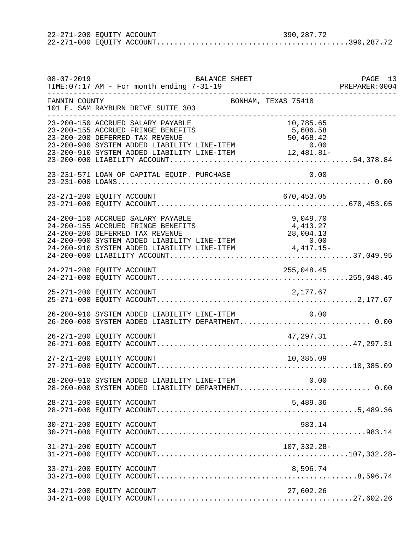| 22-271-200 EQUITY ACCOUNT |  | 390,287.72 |  |
|---------------------------|--|------------|--|
|                           |  |            |  |

| $08 - 07 - 2019$      | BALANCE SHEET<br>TIME:07:17 AM - For month ending 7-31-19                                                                                                                                                               |                                    | PAGE 13 |
|-----------------------|-------------------------------------------------------------------------------------------------------------------------------------------------------------------------------------------------------------------------|------------------------------------|---------|
| FANNIN COUNTY         | BONHAM, TEXAS 75418<br>101 E. SAM RAYBURN DRIVE SUITE 303                                                                                                                                                               |                                    |         |
| _____________________ | 23-200-150 ACCRUED SALARY PAYABLE<br>23-200-155 ACCRUED FRINGE BENEFITS<br>23-200-200 DEFERRED TAX REVENUE                                                                                                              | 10,785.65<br>5,606.58<br>50,468.42 |         |
|                       | 23-231-571 LOAN OF CAPITAL EQUIP. PURCHASE                                                                                                                                                                              | 0.00                               |         |
|                       | 23-271-200 EQUITY ACCOUNT                                                                                                                                                                                               | 670,453.05                         |         |
|                       | 24-200-150 ACCRUED SALARY PAYABLE<br>24-200-155 ACCRUED FRINGE BENEFITS<br>24-200-200 DEFERRED TAX REVENUE<br>24-200-900 SYSTEM ADDED LIABILITY LINE-ITEM 0.00<br>24-200-910 SYSTEM ADDED LIABILITY LINE-ITEM 4,417.15- | 9,049.70<br>4,413.27<br>28,004.13  |         |
|                       | 24-271-200 EQUITY ACCOUNT                                                                                                                                                                                               |                                    |         |
|                       | 25-271-200 EQUITY ACCOUNT                                                                                                                                                                                               | 2,177.67                           |         |
|                       | 26-200-910 SYSTEM ADDED LIABILITY LINE-ITEM<br>26-200-000 SYSTEM ADDED LIABILITY DEPARTMENT 0.00                                                                                                                        | 0.00                               |         |
|                       | 26-271-200 EQUITY ACCOUNT                                                                                                                                                                                               | 47, 297.31                         |         |
|                       | 27-271-200 EQUITY ACCOUNT                                                                                                                                                                                               | 10,385.09                          |         |
|                       | 28-200-910 SYSTEM ADDED LIABILITY LINE-ITEM<br>28-200-000 SYSTEM ADDED LIABILITY DEPARTMENT 0.00                                                                                                                        | 0.00                               |         |
|                       | 28-271-200 EQUITY ACCOUNT                                                                                                                                                                                               | 5,489.36                           |         |
|                       | 30-271-200 EQUITY ACCOUNT                                                                                                                                                                                               | 983.14                             |         |
|                       | 31-271-200 EQUITY ACCOUNT                                                                                                                                                                                               | 107,332.28-                        |         |
|                       | 33-271-200 EQUITY ACCOUNT                                                                                                                                                                                               | 8,596.74                           |         |
|                       | 34-271-200 EQUITY ACCOUNT                                                                                                                                                                                               | 27,602.26                          |         |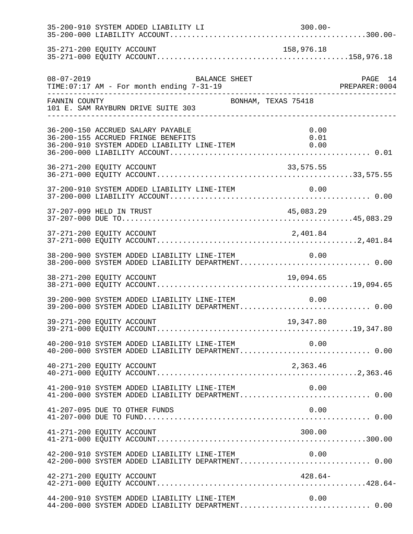|                           | 35-200-910 SYSTEM ADDED LIABILITY LI                                                                                        | $300.00 -$          |  |
|---------------------------|-----------------------------------------------------------------------------------------------------------------------------|---------------------|--|
| 35-271-200 EQUITY ACCOUNT |                                                                                                                             | 158,976.18          |  |
|                           | $08-07-2019$ BALANCE SHEET TIME:07:17 AM - For month ending 7-31-19                                                         |                     |  |
| FANNIN COUNTY             | 101 E. SAM RAYBURN DRIVE SUITE 303<br>___________________________________                                                   | BONHAM, TEXAS 75418 |  |
|                           | 36-200-150 ACCRUED SALARY PAYABLE<br>36-200-155 ACCRUED FRINGE BENEFITS<br>36-200-910 SYSTEM ADDED LIABILITY LINE-ITEM 0.00 | 0.00<br>0.01        |  |
|                           |                                                                                                                             |                     |  |
|                           |                                                                                                                             |                     |  |
| 37-207-099 HELD IN TRUST  |                                                                                                                             |                     |  |
| 37-271-200 EQUITY ACCOUNT |                                                                                                                             | 2,401.84            |  |
|                           | 38-200-900 SYSTEM ADDED LIABILITY LINE-ITEM 0.00<br>38-200-000 SYSTEM ADDED LIABILITY DEPARTMENT 0.00                       |                     |  |
|                           |                                                                                                                             |                     |  |
|                           | 39-200-900 SYSTEM ADDED LIABILITY LINE-ITEM<br>39-200-000 SYSTEM ADDED LIABILITY DEPARTMENT 0.00                            | 0.00                |  |
| 39-271-200 EQUITY ACCOUNT |                                                                                                                             | 19,347.80           |  |
|                           | 40-200-910 SYSTEM ADDED LIABILITY LINE-ITEM<br>40-200-000 SYSTEM ADDED LIABILITY DEPARTMENT 0.00                            | 0.00                |  |
| 40-271-200 EQUITY ACCOUNT |                                                                                                                             | 2,363.46            |  |
|                           | 41-200-910 SYSTEM ADDED LIABILITY LINE-ITEM                                                                                 | 0.00                |  |
|                           | 41-207-095 DUE TO OTHER FUNDS                                                                                               | 0.00                |  |
| 41-271-200 EQUITY ACCOUNT |                                                                                                                             | 300.00              |  |
|                           |                                                                                                                             |                     |  |
| 42-271-200 EQUITY ACCOUNT |                                                                                                                             | $428.64-$           |  |
|                           | 44-200-910 SYSTEM ADDED LIABILITY LINE-ITEM<br>44-200-000 SYSTEM ADDED LIABILITY DEPARTMENT 0.00                            | 0.00                |  |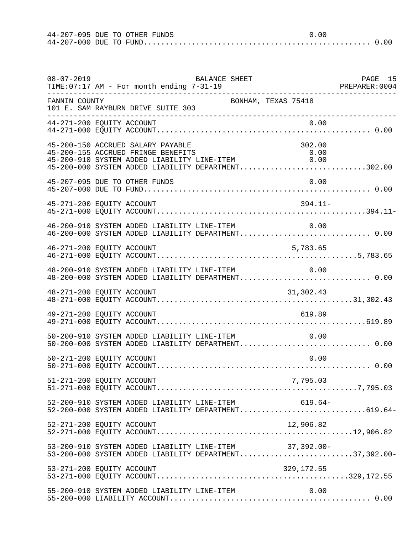| 44-207-095 DUE TO OTHER FUNDS |  |  | 0.00 |  |
|-------------------------------|--|--|------|--|
|                               |  |  |      |  |

| $08 - 07 - 2019$ | BALANCE SHEET<br>TIME:07:17 AM - For month ending 7-31-19                                                                                                                                              | PAGE 15 |
|------------------|--------------------------------------------------------------------------------------------------------------------------------------------------------------------------------------------------------|---------|
| FANNIN COUNTY    | BONHAM, TEXAS 75418<br>101 E. SAM RAYBURN DRIVE SUITE 303<br>_____________________                                                                                                                     |         |
|                  | 44-271-200 EQUITY ACCOUNT<br>0.00                                                                                                                                                                      |         |
|                  | 45-200-150 ACCRUED SALARY PAYABLE<br>302.00<br>45-200-155 ACCRUED FRINGE BENEFITS<br>0.00<br>45-200-910 SYSTEM ADDED LIABILITY LINE-ITEM<br>0.00<br>45-200-000 SYSTEM ADDED LIABILITY DEPARTMENT302.00 |         |
|                  | 45-207-095 DUE TO OTHER FUNDS<br>0.00                                                                                                                                                                  |         |
|                  | $394.11-$<br>45-271-200 EQUITY ACCOUNT                                                                                                                                                                 |         |
|                  | $46-200-910$ SYSTEM ADDED LIABILITY LINE-ITEM $0.00$<br>$46-200-000$ SYSTEM ADDED LIABILITY DEPARTMENT0.00                                                                                             |         |
|                  | 46-271-200 EQUITY ACCOUNT<br>5,783.65                                                                                                                                                                  |         |
|                  | 48-200-910 SYSTEM ADDED LIABILITY LINE-ITEM<br>0.00<br>48-200-000 SYSTEM ADDED LIABILITY DEPARTMENT 0.00                                                                                               |         |
|                  | 31,302.43                                                                                                                                                                                              |         |
|                  | 619.89<br>49-271-200 EQUITY ACCOUNT                                                                                                                                                                    |         |
|                  | 50-200-910 SYSTEM ADDED LIABILITY LINE-ITEM<br>0.00<br>50-200-000 SYSTEM ADDED LIABILITY DEPARTMENT 0.00                                                                                               |         |
|                  | 50-271-200 EQUITY ACCOUNT<br>0.00                                                                                                                                                                      |         |
|                  | 51-271-200 EQUITY ACCOUNT<br>7,795.03                                                                                                                                                                  |         |
|                  | $619.64-$<br>52-200-910 SYSTEM ADDED LIABILITY LINE-ITEM<br>52-200-000 SYSTEM ADDED LIABILITY DEPARTMENT619.64-                                                                                        |         |
|                  | 52-271-200 EQUITY ACCOUNT<br>12,906.82                                                                                                                                                                 |         |
|                  | 53-200-910 SYSTEM ADDED LIABILITY LINE-ITEM 37,392.00-<br>53-200-000 SYSTEM ADDED LIABILITY DEPARTMENT37,392.00-                                                                                       |         |
|                  | 53-271-200 EQUITY ACCOUNT<br>329,172.55                                                                                                                                                                |         |
|                  | 0.00<br>55-200-910 SYSTEM ADDED LIABILITY LINE-ITEM                                                                                                                                                    |         |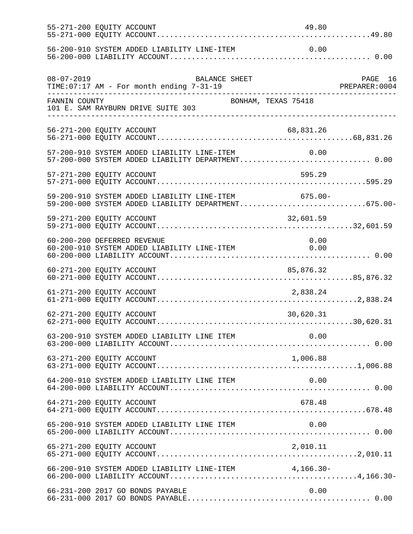|                  | 55-271-200 EQUITY ACCOUNT                                                                                        | 49.80      |         |
|------------------|------------------------------------------------------------------------------------------------------------------|------------|---------|
|                  |                                                                                                                  |            |         |
| $08 - 07 - 2019$ | BALANCE SHEET<br>TIME: 07:17 AM - For month ending 7-31-19                                                       |            | PAGE 16 |
| FANNIN COUNTY    | BONHAM, TEXAS 75418<br>101 E. SAM RAYBURN DRIVE SUITE 303                                                        |            |         |
|                  | 56-271-200 EQUITY ACCOUNT                                                                                        | 68,831.26  |         |
|                  | 57-200-910 SYSTEM ADDED LIABILITY LINE-ITEM<br>57-200-000 SYSTEM ADDED LIABILITY DEPARTMENT 0.00                 | 0.00       |         |
|                  | 57-271-200 EQUITY ACCOUNT                                                                                        | 595.29     |         |
|                  | 59-200-910 SYSTEM ADDED LIABILITY LINE-ITEM<br>59-200-000 SYSTEM ADDED LIABILITY DEPARTMENT675.00-               | $675.00 -$ |         |
|                  | 59-271-200 EQUITY ACCOUNT                                                                                        | 32,601.59  |         |
|                  | 60-200-200 DEFERRED REVENUE<br>60-200-200 DEFERRED REVENUE<br>60-200-910 SYSTEM ADDED LIABILITY LINE-ITEM $0.00$ | 0.00       |         |
|                  | 60-271-200 EQUITY ACCOUNT                                                                                        | 85,876.32  |         |
|                  | 61-271-200 EQUITY ACCOUNT                                                                                        | 2,838.24   |         |
|                  | 62-271-200 EQUITY ACCOUNT                                                                                        | 30,620.31  |         |
|                  |                                                                                                                  | 0.00       |         |
|                  | 63-271-200 EQUITY ACCOUNT                                                                                        | 1,006.88   |         |
|                  | 64-200-910 SYSTEM ADDED LIABILITY LINE ITEM                                                                      | 0.00       |         |
|                  | 64-271-200 EQUITY ACCOUNT                                                                                        | 678.48     |         |
|                  |                                                                                                                  |            |         |
|                  | 65-271-200 EQUITY ACCOUNT                                                                                        | 2,010.11   |         |
|                  | 66-200-910 SYSTEM ADDED LIABILITY LINE-ITEM 4,166.30-                                                            |            |         |
|                  | 66-231-200 2017 GO BONDS PAYABLE                                                                                 | 0.00       |         |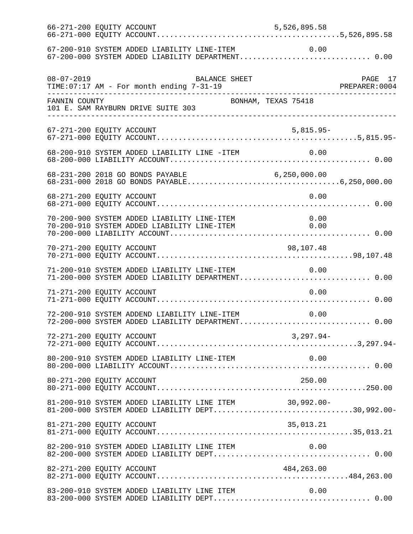|                  | 67-200-910 SYSTEM ADDED LIABILITY LINE-ITEM 0.00<br>67-200-000 SYSTEM ADDED LIABILITY DEPARTMENT 0.00                                     |                     |              |  |
|------------------|-------------------------------------------------------------------------------------------------------------------------------------------|---------------------|--------------|--|
| $08 - 07 - 2019$ | TIME: 07:17 AM - For month ending 7-31-19                                                                                                 | BALANCE SHEET       |              |  |
| FANNIN COUNTY    | 101 E. SAM RAYBURN DRIVE SUITE 303                                                                                                        | BONHAM, TEXAS 75418 |              |  |
|                  | 67-271-200 EQUITY ACCOUNT                                                                                                                 |                     | $5,815.95-$  |  |
|                  | 68-200-910 SYSTEM ADDED LIABILITY LINE -ITEM 0.00                                                                                         |                     |              |  |
|                  | 68-231-200 2018 GO BONDS PAYABLE                                                                                                          |                     |              |  |
|                  | 68-271-200 EQUITY ACCOUNT                                                                                                                 |                     | 0.00         |  |
|                  | 70-200-900 SYSTEM ADDED LIABILITY LINE-ITEM<br>70-200-910 SYSTEM ADDED LIABILITY LINE-ITEM<br>70-200-910 SYSTEM ADDED LIABILITY LINE-ITEM |                     | 0.00<br>0.00 |  |
|                  | 70-271-200 EQUITY ACCOUNT                                                                                                                 |                     | 98,107.48    |  |
|                  | 71-200-910 SYSTEM ADDED LIABILITY LINE-ITEM<br>71-200-000 SYSTEM ADDED LIABILITY DEPARTMENT 0.00                                          |                     | 0.00         |  |
|                  | 71-271-200 EQUITY ACCOUNT                                                                                                                 |                     | 0.00         |  |
|                  | 72-200-910 SYSTEM ADDEND LIABILITY LINE-ITEM<br>72-200-000 SYSTEM ADDED LIABILITY DEPARTMENT 0.00                                         |                     | 0.00         |  |
|                  | 72-271-200 EQUITY ACCOUNT                                                                                                                 |                     | $3,297.94-$  |  |
|                  | 80-200-910 SYSTEM ADDED LIABILITY LINE-ITEM                                                                                               |                     | 0.00         |  |
|                  | 80-271-200 EQUITY ACCOUNT                                                                                                                 |                     | 250.00       |  |
|                  | 81-200-910 SYSTEM ADDED LIABILITY LINE ITEM 30,992.00-<br>81-200-000 SYSTEM ADDED LIABILITY DEPT30,992.00-                                |                     |              |  |
|                  | 81-271-200 EQUITY ACCOUNT                                                                                                                 |                     | 35,013.21    |  |
|                  | 82-200-910 SYSTEM ADDED LIABILITY LINE ITEM                                                                                               |                     | 0.00         |  |
|                  | 82-271-200 EQUITY ACCOUNT                                                                                                                 |                     | 484,263.00   |  |
|                  |                                                                                                                                           |                     |              |  |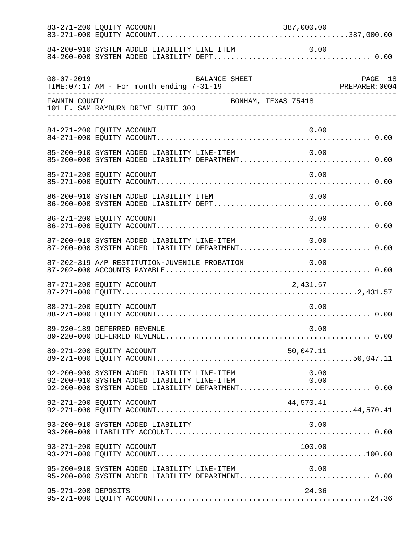|                     | 83-271-200 EQUITY ACCOUNT                                                                                                                       | 387,000.00          |  |
|---------------------|-------------------------------------------------------------------------------------------------------------------------------------------------|---------------------|--|
|                     |                                                                                                                                                 |                     |  |
| $08 - 07 - 2019$    | 08-07-2019 BALANCE SHEET<br>TIME:07:17 AM - For month ending 7-31-19<br>----------------------------------                                      |                     |  |
| FANNIN COUNTY       | 101 E. SAM RAYBURN DRIVE SUITE 303                                                                                                              | BONHAM, TEXAS 75418 |  |
|                     | 84-271-200 EQUITY ACCOUNT                                                                                                                       | 0.00                |  |
|                     | 85-200-910 SYSTEM ADDED LIABILITY LINE-ITEM<br>85-200-000 SYSTEM ADDED LIABILITY DEPARTMENT 0.00                                                | 0.00                |  |
|                     | 85-271-200 EQUITY ACCOUNT                                                                                                                       | 0.00                |  |
|                     | 86-200-910 SYSTEM ADDED LIABILITY ITEM                                                                                                          | 0.00                |  |
|                     | 86-271-200 EQUITY ACCOUNT                                                                                                                       | 0.00                |  |
|                     | 87-200-910 SYSTEM ADDED LIABILITY LINE-ITEM 0.00<br>87-200-000 SYSTEM ADDED LIABILITY DEPARTMENT 0.00                                           |                     |  |
|                     | 87-202-319 A/P RESTITUTION-JUVENILE PROBATION                                                                                                   | 0.00                |  |
|                     | 87-271-200 EQUITY ACCOUNT                                                                                                                       | 2,431.57            |  |
|                     | 88-271-200 EQUITY ACCOUNT                                                                                                                       | 0.00                |  |
|                     | 89-220-189 DEFERRED REVENUE                                                                                                                     | 0.00                |  |
|                     | 89-271-200 EQUITY ACCOUNT                                                                                                                       | 50,047.11           |  |
|                     | 92-200-900 SYSTEM ADDED LIABILITY LINE-ITEM<br>92-200-910 SYSTEM ADDED LIABILITY LINE-ITEM<br>92-200-000 SYSTEM ADDED LIABILITY DEPARTMENT 0.00 | 0.00<br>0.00        |  |
|                     | 92-271-200 EQUITY ACCOUNT                                                                                                                       | 44,570.41           |  |
|                     | 93-200-910 SYSTEM ADDED LIABILITY                                                                                                               | 0.00                |  |
|                     | 93-271-200 EQUITY ACCOUNT                                                                                                                       | 100.00              |  |
|                     | 95-200-910 SYSTEM ADDED LIABILITY LINE-ITEM<br>95-200-000 SYSTEM ADDED LIABILITY DEPARTMENT 0.00                                                | 0.00                |  |
| 95-271-200 DEPOSITS |                                                                                                                                                 | 24.36               |  |